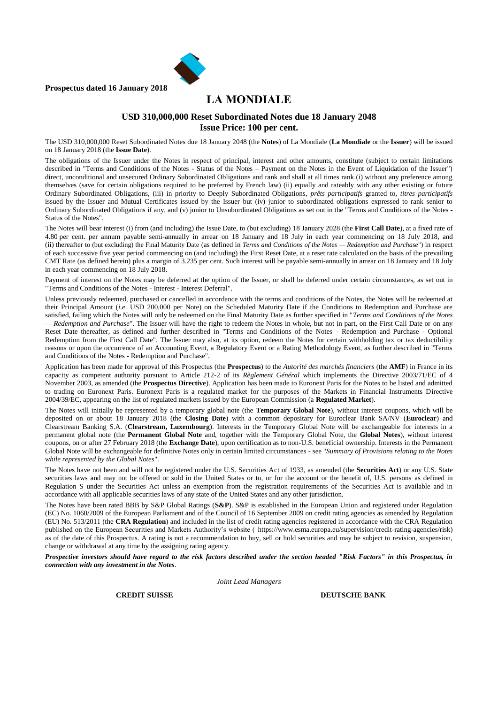

**Prospectus dated 16 January 2018**

# **LA MONDIALE**

#### **USD 310,000,000 Reset Subordinated Notes due 18 January 2048 Issue Price: 100 per cent.**

The USD 310,000,000 Reset Subordinated Notes due 18 January 2048 (the **Notes**) of La Mondiale (**La Mondiale** or the **Issuer**) will be issued on 18 January 2018 (the **Issue Date**).

The obligations of the Issuer under the Notes in respect of principal, interest and other amounts, constitute (subject to certain limitations described in "Terms and Conditions of the Notes - Status of the Notes – Payment on the Notes in the Event of Liquidation of the Issuer") direct, unconditional and unsecured Ordinary Subordinated Obligations and rank and shall at all times rank (i) without any preference among themselves (save for certain obligations required to be preferred by French law) (ii) equally and rateably with any other existing or future Ordinary Subordinated Obligations, (iii) in priority to Deeply Subordinated Obligations, *prêts participatifs* granted to, *titres participatifs*  issued by the Issuer and Mutual Certificates issued by the Issuer but (iv) junior to subordinated obligations expressed to rank senior to Ordinary Subordinated Obligations if any, and (v) junior to Unsubordinated Obligations as set out in the "Terms and Conditions of the Notes - Status of the Notes".

The Notes will bear interest (i) from (and including) the Issue Date, to (but excluding) 18 January 2028 (the **First Call Date**), at a fixed rate of 4.80 per cent. per annum payable semi-annually in arrear on 18 January and 18 July in each year commencing on 18 July 2018, and (ii) thereafter to (but excluding) the Final Maturity Date (as defined in *Terms and Conditions of the Notes — Redemption and Purchase*") in respect of each successive five year period commencing on (and including) the First Reset Date, at a reset rate calculated on the basis of the prevailing CMT Rate (as defined herein) plus a margin of 3.235 per cent. Such interest will be payable semi-annually in arrear on 18 January and 18 July in each year commencing on 18 July 2018.

Payment of interest on the Notes may be deferred at the option of the Issuer, or shall be deferred under certain circumstances, as set out in "Terms and Conditions of the Notes - Interest - Interest Deferral".

Unless previously redeemed, purchased or cancelled in accordance with the terms and conditions of the Notes, the Notes will be redeemed at their Principal Amount (*i.e.* USD 200,000 per Note) on the Scheduled Maturity Date if the Conditions to Redemption and Purchase are satisfied, failing which the Notes will only be redeemed on the Final Maturity Date as further specified in "*Terms and Conditions of the Notes — Redemption and Purchase*". The Issuer will have the right to redeem the Notes in whole, but not in part, on the First Call Date or on any Reset Date thereafter, as defined and further described in "Terms and Conditions of the Notes - Redemption and Purchase - Optional Redemption from the First Call Date". The Issuer may also, at its option, redeem the Notes for certain withholding tax or tax deductibility reasons or upon the occurrence of an Accounting Event, a Regulatory Event or a Rating Methodology Event, as further described in "Terms and Conditions of the Notes - Redemption and Purchase".

Application has been made for approval of this Prospectus (the **Prospectus**) to the *Autorité des marchés financiers* (the **AMF**) in France in its capacity as competent authority pursuant to Article 212-2 of its *Règlement Général* which implements the Directive 2003/71/EC of 4 November 2003, as amended (the **Prospectus Directive**). Application has been made to Euronext Paris for the Notes to be listed and admitted to trading on Euronext Paris. Euronext Paris is a regulated market for the purposes of the Markets in Financial Instruments Directive 2004/39/EC, appearing on the list of regulated markets issued by the European Commission (a **Regulated Market**).

The Notes will initially be represented by a temporary global note (the **Temporary Global Note**), without interest coupons, which will be deposited on or about 18 January 2018 (the **Closing Date**) with a common depositary for Euroclear Bank SA/NV (**Euroclear**) and Clearstream Banking S.A. (**Clearstream, Luxembourg**). Interests in the Temporary Global Note will be exchangeable for interests in a permanent global note (the **Permanent Global Note** and, together with the Temporary Global Note, the **Global Notes**), without interest coupons, on or after 27 February 2018 (the **Exchange Date**), upon certification as to non-U.S. beneficial ownership. Interests in the Permanent Global Note will be exchangeable for definitive Notes only in certain limited circumstances - see "*Summary of Provisions relating to the Notes while represented by the Global Notes*".

The Notes have not been and will not be registered under the U.S. Securities Act of 1933, as amended (the **Securities Act**) or any U.S. State securities laws and may not be offered or sold in the United States or to, or for the account or the benefit of, U.S. persons as defined in Regulation S under the Securities Act unless an exemption from the registration requirements of the Securities Act is available and in accordance with all applicable securities laws of any state of the United States and any other jurisdiction.

The Notes have been rated BBB by S&P Global Ratings (**S&P**). S&P is established in the European Union and registered under Regulation (EC) No. 1060/2009 of the European Parliament and of the Council of 16 September 2009 on credit rating agencies as amended by Regulation (EU) No. 513/2011 (the **CRA Regulation**) and included in the list of credit rating agencies registered in accordance with the CRA Regulation published on the European Securities and Markets Authority's website ( https://www.esma.europa.eu/supervision/credit-rating-agencies/risk) as of the date of this Prospectus. A rating is not a recommendation to buy, sell or hold securities and may be subject to revision, suspension, change or withdrawal at any time by the assigning rating agency.

*Prospective investors should have regard to the risk factors described under the section headed "Risk Factors" in this Prospectus, in connection with any investment in the Notes.*

*Joint Lead Managers*

**CREDIT SUISSE DEUTSCHE BANK**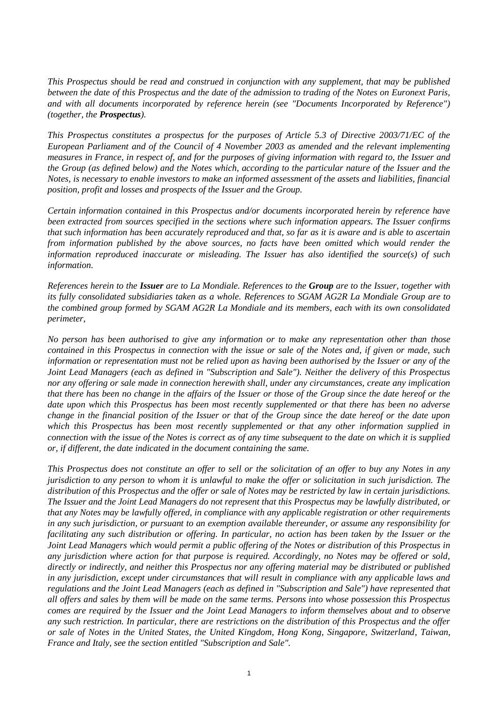*This Prospectus should be read and construed in conjunction with any supplement, that may be published between the date of this Prospectus and the date of the admission to trading of the Notes on Euronext Paris, and with all documents incorporated by reference herein (see "Documents Incorporated by Reference") (together, the Prospectus).*

*This Prospectus constitutes a prospectus for the purposes of Article 5.3 of Directive 2003/71/EC of the European Parliament and of the Council of 4 November 2003 as amended and the relevant implementing measures in France, in respect of, and for the purposes of giving information with regard to, the Issuer and the Group (as defined below) and the Notes which, according to the particular nature of the Issuer and the Notes, is necessary to enable investors to make an informed assessment of the assets and liabilities, financial position, profit and losses and prospects of the Issuer and the Group.*

*Certain information contained in this Prospectus and/or documents incorporated herein by reference have been extracted from sources specified in the sections where such information appears. The Issuer confirms that such information has been accurately reproduced and that, so far as it is aware and is able to ascertain from information published by the above sources, no facts have been omitted which would render the information reproduced inaccurate or misleading. The Issuer has also identified the source(s) of such information.*

*References herein to the Issuer are to La Mondiale. References to the Group are to the Issuer, together with its fully consolidated subsidiaries taken as a whole. References to SGAM AG2R La Mondiale Group are to the combined group formed by SGAM AG2R La Mondiale and its members, each with its own consolidated perimeter,* 

*No person has been authorised to give any information or to make any representation other than those contained in this Prospectus in connection with the issue or sale of the Notes and, if given or made, such information or representation must not be relied upon as having been authorised by the Issuer or any of the Joint Lead Managers (each as defined in "Subscription and Sale"). Neither the delivery of this Prospectus nor any offering or sale made in connection herewith shall, under any circumstances, create any implication that there has been no change in the affairs of the Issuer or those of the Group since the date hereof or the date upon which this Prospectus has been most recently supplemented or that there has been no adverse change in the financial position of the Issuer or that of the Group since the date hereof or the date upon which this Prospectus has been most recently supplemented or that any other information supplied in connection with the issue of the Notes is correct as of any time subsequent to the date on which it is supplied or, if different, the date indicated in the document containing the same.*

*This Prospectus does not constitute an offer to sell or the solicitation of an offer to buy any Notes in any jurisdiction to any person to whom it is unlawful to make the offer or solicitation in such jurisdiction. The distribution of this Prospectus and the offer or sale of Notes may be restricted by law in certain jurisdictions. The Issuer and the Joint Lead Managers do not represent that this Prospectus may be lawfully distributed, or that any Notes may be lawfully offered, in compliance with any applicable registration or other requirements in any such jurisdiction, or pursuant to an exemption available thereunder, or assume any responsibility for facilitating any such distribution or offering. In particular, no action has been taken by the Issuer or the Joint Lead Managers which would permit a public offering of the Notes or distribution of this Prospectus in any jurisdiction where action for that purpose is required. Accordingly, no Notes may be offered or sold, directly or indirectly, and neither this Prospectus nor any offering material may be distributed or published in any jurisdiction, except under circumstances that will result in compliance with any applicable laws and regulations and the Joint Lead Managers (each as defined in "Subscription and Sale") have represented that all offers and sales by them will be made on the same terms. Persons into whose possession this Prospectus comes are required by the Issuer and the Joint Lead Managers to inform themselves about and to observe any such restriction. In particular, there are restrictions on the distribution of this Prospectus and the offer or sale of Notes in the United States, the United Kingdom, Hong Kong, Singapore, Switzerland, Taiwan, France and Italy, see the section entitled "Subscription and Sale".*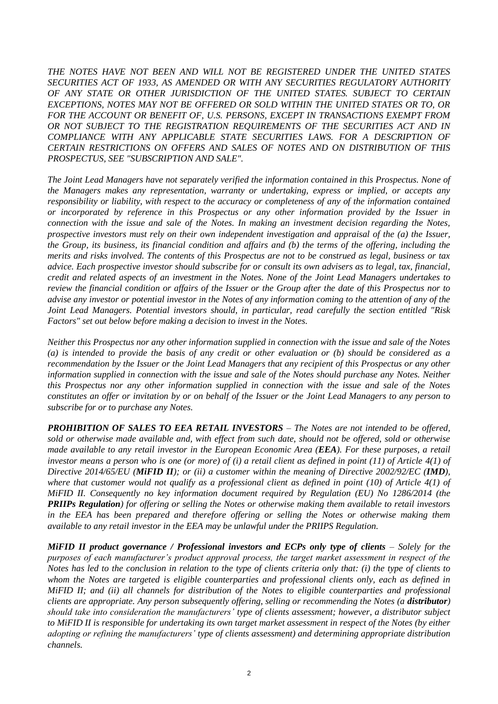*THE NOTES HAVE NOT BEEN AND WILL NOT BE REGISTERED UNDER THE UNITED STATES SECURITIES ACT OF 1933, AS AMENDED OR WITH ANY SECURITIES REGULATORY AUTHORITY OF ANY STATE OR OTHER JURISDICTION OF THE UNITED STATES. SUBJECT TO CERTAIN EXCEPTIONS, NOTES MAY NOT BE OFFERED OR SOLD WITHIN THE UNITED STATES OR TO, OR*  FOR THE ACCOUNT OR BENEFIT OF, U.S. PERSONS, EXCEPT IN TRANSACTIONS EXEMPT FROM *OR NOT SUBJECT TO THE REGISTRATION REQUIREMENTS OF THE SECURITIES ACT AND IN COMPLIANCE WITH ANY APPLICABLE STATE SECURITIES LAWS. FOR A DESCRIPTION OF CERTAIN RESTRICTIONS ON OFFERS AND SALES OF NOTES AND ON DISTRIBUTION OF THIS PROSPECTUS, SEE "SUBSCRIPTION AND SALE".*

*The Joint Lead Managers have not separately verified the information contained in this Prospectus. None of the Managers makes any representation, warranty or undertaking, express or implied, or accepts any responsibility or liability, with respect to the accuracy or completeness of any of the information contained or incorporated by reference in this Prospectus or any other information provided by the Issuer in connection with the issue and sale of the Notes. In making an investment decision regarding the Notes, prospective investors must rely on their own independent investigation and appraisal of the (a) the Issuer, the Group, its business, its financial condition and affairs and (b) the terms of the offering, including the merits and risks involved. The contents of this Prospectus are not to be construed as legal, business or tax advice. Each prospective investor should subscribe for or consult its own advisers as to legal, tax, financial, credit and related aspects of an investment in the Notes. None of the Joint Lead Managers undertakes to review the financial condition or affairs of the Issuer or the Group after the date of this Prospectus nor to advise any investor or potential investor in the Notes of any information coming to the attention of any of the Joint Lead Managers. Potential investors should, in particular, read carefully the section entitled "Risk Factors" set out below before making a decision to invest in the Notes.*

*Neither this Prospectus nor any other information supplied in connection with the issue and sale of the Notes (a) is intended to provide the basis of any credit or other evaluation or (b) should be considered as a recommendation by the Issuer or the Joint Lead Managers that any recipient of this Prospectus or any other information supplied in connection with the issue and sale of the Notes should purchase any Notes. Neither this Prospectus nor any other information supplied in connection with the issue and sale of the Notes constitutes an offer or invitation by or on behalf of the Issuer or the Joint Lead Managers to any person to subscribe for or to purchase any Notes.*

*PROHIBITION OF SALES TO EEA RETAIL INVESTORS – The Notes are not intended to be offered, sold or otherwise made available and, with effect from such date, should not be offered, sold or otherwise made available to any retail investor in the European Economic Area (EEA). For these purposes, a retail investor means a person who is one (or more) of (i) a retail client as defined in point (11) of Article 4(1) of Directive 2014/65/EU (MiFID II); or (ii) a customer within the meaning of Directive 2002/92/EC (IMD), where that customer would not qualify as a professional client as defined in point (10) of Article 4(1) of MiFID II. Consequently no key information document required by Regulation (EU) No 1286/2014 (the PRIIPs Regulation) for offering or selling the Notes or otherwise making them available to retail investors in the EEA has been prepared and therefore offering or selling the Notes or otherwise making them available to any retail investor in the EEA may be unlawful under the PRIIPS Regulation.*

*MiFID II product governance / Professional investors and ECPs only type of clients – Solely for the purposes of each manufacturer's product approval process, the target market assessment in respect of the Notes has led to the conclusion in relation to the type of clients criteria only that: (i) the type of clients to whom the Notes are targeted is eligible counterparties and professional clients only, each as defined in MiFID II; and (ii) all channels for distribution of the Notes to eligible counterparties and professional clients are appropriate. Any person subsequently offering, selling or recommending the Notes (a distributor) should take into consideration the manufacturers' type of clients assessment; however, a distributor subject to MiFID II is responsible for undertaking its own target market assessment in respect of the Notes (by either adopting or refining the manufacturers' type of clients assessment) and determining appropriate distribution channels.*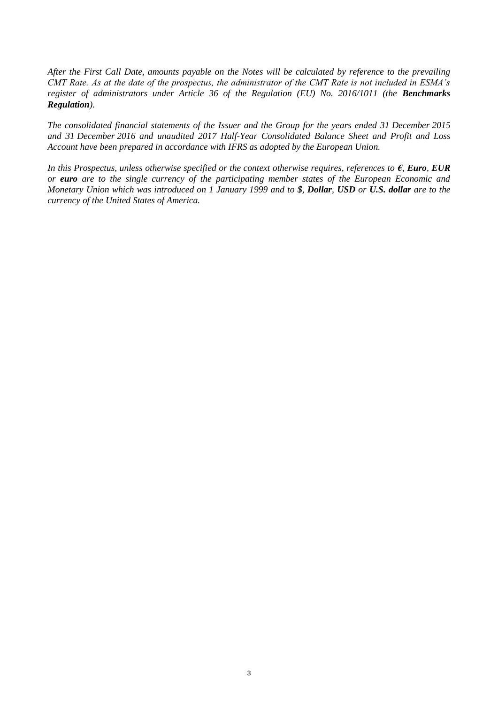*After the First Call Date, amounts payable on the Notes will be calculated by reference to the prevailing CMT Rate. As at the date of the prospectus, the administrator of the CMT Rate is not included in ESMA's register of administrators under Article 36 of the Regulation (EU) No. 2016/1011 (the Benchmarks Regulation).*

*The consolidated financial statements of the Issuer and the Group for the years ended 31 December 2015 and 31 December 2016 and unaudited 2017 Half-Year Consolidated Balance Sheet and Profit and Loss Account have been prepared in accordance with IFRS as adopted by the European Union.*

*In this Prospectus, unless otherwise specified or the context otherwise requires, references to €, Euro, EUR or euro are to the single currency of the participating member states of the European Economic and Monetary Union which was introduced on 1 January 1999 and to \$, Dollar, USD or U.S. dollar are to the currency of the United States of America.*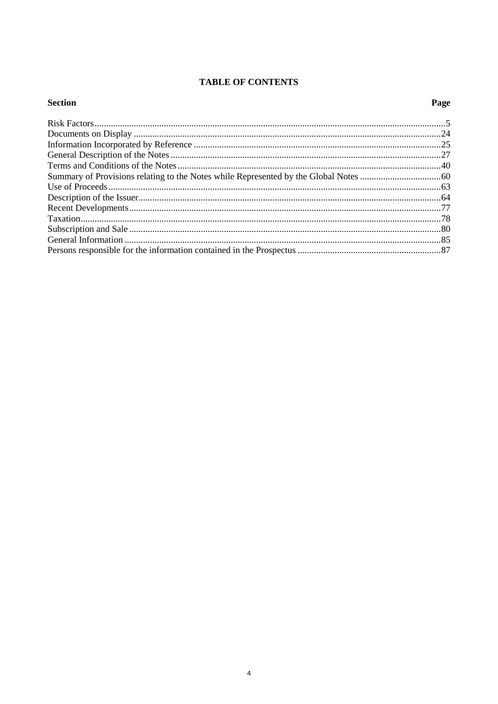# **TABLE OF CONTENTS**

| <b>Section</b> | Page |
|----------------|------|
|                |      |
|                |      |
|                |      |
|                |      |
|                |      |
|                |      |
|                |      |
|                |      |
|                |      |
|                |      |
|                |      |
|                |      |
|                |      |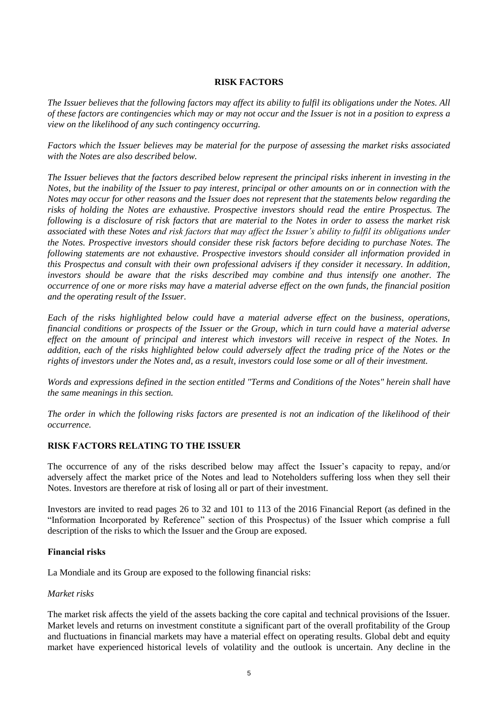## **RISK FACTORS**

*The Issuer believes that the following factors may affect its ability to fulfil its obligations under the Notes. All of these factors are contingencies which may or may not occur and the Issuer is not in a position to express a view on the likelihood of any such contingency occurring.*

*Factors which the Issuer believes may be material for the purpose of assessing the market risks associated with the Notes are also described below.*

*The Issuer believes that the factors described below represent the principal risks inherent in investing in the Notes, but the inability of the Issuer to pay interest, principal or other amounts on or in connection with the Notes may occur for other reasons and the Issuer does not represent that the statements below regarding the risks of holding the Notes are exhaustive. Prospective investors should read the entire Prospectus. The following is a disclosure of risk factors that are material to the Notes in order to assess the market risk associated with these Notes and risk factors that may affect the Issuer's ability to fulfil its obligations under the Notes. Prospective investors should consider these risk factors before deciding to purchase Notes. The following statements are not exhaustive. Prospective investors should consider all information provided in this Prospectus and consult with their own professional advisers if they consider it necessary. In addition, investors should be aware that the risks described may combine and thus intensify one another. The occurrence of one or more risks may have a material adverse effect on the own funds, the financial position and the operating result of the Issuer.*

*Each of the risks highlighted below could have a material adverse effect on the business, operations, financial conditions or prospects of the Issuer or the Group, which in turn could have a material adverse effect on the amount of principal and interest which investors will receive in respect of the Notes. In addition, each of the risks highlighted below could adversely affect the trading price of the Notes or the rights of investors under the Notes and, as a result, investors could lose some or all of their investment.* 

*Words and expressions defined in the section entitled "Terms and Conditions of the Notes" herein shall have the same meanings in this section.* 

*The order in which the following risks factors are presented is not an indication of the likelihood of their occurrence.*

## **RISK FACTORS RELATING TO THE ISSUER**

The occurrence of any of the risks described below may affect the Issuer's capacity to repay, and/or adversely affect the market price of the Notes and lead to Noteholders suffering loss when they sell their Notes. Investors are therefore at risk of losing all or part of their investment.

Investors are invited to read pages 26 to 32 and 101 to 113 of the 2016 Financial Report (as defined in the "Information Incorporated by Reference" section of this Prospectus) of the Issuer which comprise a full description of the risks to which the Issuer and the Group are exposed.

## **Financial risks**

La Mondiale and its Group are exposed to the following financial risks:

## *Market risks*

The market risk affects the yield of the assets backing the core capital and technical provisions of the Issuer. Market levels and returns on investment constitute a significant part of the overall profitability of the Group and fluctuations in financial markets may have a material effect on operating results. Global debt and equity market have experienced historical levels of volatility and the outlook is uncertain. Any decline in the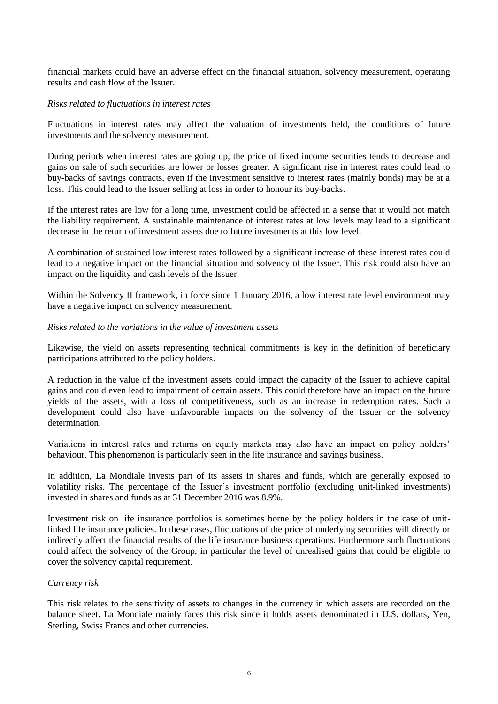financial markets could have an adverse effect on the financial situation, solvency measurement, operating results and cash flow of the Issuer.

#### *Risks related to fluctuations in interest rates*

Fluctuations in interest rates may affect the valuation of investments held, the conditions of future investments and the solvency measurement.

During periods when interest rates are going up, the price of fixed income securities tends to decrease and gains on sale of such securities are lower or losses greater. A significant rise in interest rates could lead to buy-backs of savings contracts, even if the investment sensitive to interest rates (mainly bonds) may be at a loss. This could lead to the Issuer selling at loss in order to honour its buy-backs.

If the interest rates are low for a long time, investment could be affected in a sense that it would not match the liability requirement. A sustainable maintenance of interest rates at low levels may lead to a significant decrease in the return of investment assets due to future investments at this low level.

A combination of sustained low interest rates followed by a significant increase of these interest rates could lead to a negative impact on the financial situation and solvency of the Issuer. This risk could also have an impact on the liquidity and cash levels of the Issuer.

Within the Solvency II framework, in force since 1 January 2016, a low interest rate level environment may have a negative impact on solvency measurement.

#### *Risks related to the variations in the value of investment assets*

Likewise, the yield on assets representing technical commitments is key in the definition of beneficiary participations attributed to the policy holders.

A reduction in the value of the investment assets could impact the capacity of the Issuer to achieve capital gains and could even lead to impairment of certain assets. This could therefore have an impact on the future yields of the assets, with a loss of competitiveness, such as an increase in redemption rates. Such a development could also have unfavourable impacts on the solvency of the Issuer or the solvency determination.

Variations in interest rates and returns on equity markets may also have an impact on policy holders' behaviour. This phenomenon is particularly seen in the life insurance and savings business.

In addition, La Mondiale invests part of its assets in shares and funds, which are generally exposed to volatility risks. The percentage of the Issuer's investment portfolio (excluding unit-linked investments) invested in shares and funds as at 31 December 2016 was 8.9%.

Investment risk on life insurance portfolios is sometimes borne by the policy holders in the case of unitlinked life insurance policies. In these cases, fluctuations of the price of underlying securities will directly or indirectly affect the financial results of the life insurance business operations. Furthermore such fluctuations could affect the solvency of the Group, in particular the level of unrealised gains that could be eligible to cover the solvency capital requirement.

## *Currency risk*

This risk relates to the sensitivity of assets to changes in the currency in which assets are recorded on the balance sheet. La Mondiale mainly faces this risk since it holds assets denominated in U.S. dollars, Yen, Sterling, Swiss Francs and other currencies.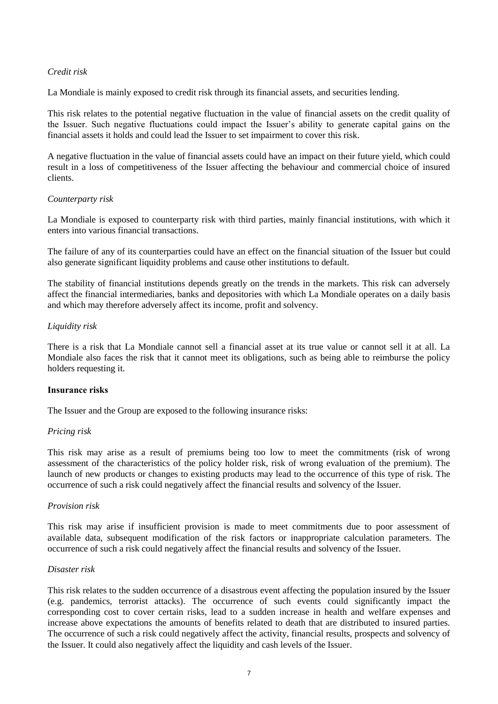## *Credit risk*

La Mondiale is mainly exposed to credit risk through its financial assets, and securities lending.

This risk relates to the potential negative fluctuation in the value of financial assets on the credit quality of the Issuer. Such negative fluctuations could impact the Issuer's ability to generate capital gains on the financial assets it holds and could lead the Issuer to set impairment to cover this risk.

A negative fluctuation in the value of financial assets could have an impact on their future yield, which could result in a loss of competitiveness of the Issuer affecting the behaviour and commercial choice of insured clients.

## *Counterparty risk*

La Mondiale is exposed to counterparty risk with third parties, mainly financial institutions, with which it enters into various financial transactions.

The failure of any of its counterparties could have an effect on the financial situation of the Issuer but could also generate significant liquidity problems and cause other institutions to default.

The stability of financial institutions depends greatly on the trends in the markets. This risk can adversely affect the financial intermediaries, banks and depositories with which La Mondiale operates on a daily basis and which may therefore adversely affect its income, profit and solvency.

## *Liquidity risk*

There is a risk that La Mondiale cannot sell a financial asset at its true value or cannot sell it at all. La Mondiale also faces the risk that it cannot meet its obligations, such as being able to reimburse the policy holders requesting it.

## **Insurance risks**

The Issuer and the Group are exposed to the following insurance risks:

## *Pricing risk*

This risk may arise as a result of premiums being too low to meet the commitments (risk of wrong assessment of the characteristics of the policy holder risk, risk of wrong evaluation of the premium). The launch of new products or changes to existing products may lead to the occurrence of this type of risk. The occurrence of such a risk could negatively affect the financial results and solvency of the Issuer.

## *Provision risk*

This risk may arise if insufficient provision is made to meet commitments due to poor assessment of available data, subsequent modification of the risk factors or inappropriate calculation parameters. The occurrence of such a risk could negatively affect the financial results and solvency of the Issuer.

## *Disaster risk*

This risk relates to the sudden occurrence of a disastrous event affecting the population insured by the Issuer (e.g. pandemics, terrorist attacks). The occurrence of such events could significantly impact the corresponding cost to cover certain risks, lead to a sudden increase in health and welfare expenses and increase above expectations the amounts of benefits related to death that are distributed to insured parties. The occurrence of such a risk could negatively affect the activity, financial results, prospects and solvency of the Issuer. It could also negatively affect the liquidity and cash levels of the Issuer.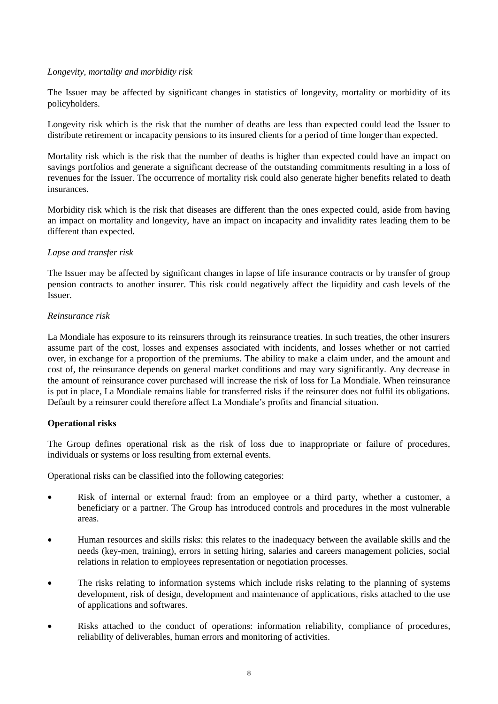## *Longevity, mortality and morbidity risk*

The Issuer may be affected by significant changes in statistics of longevity, mortality or morbidity of its policyholders.

Longevity risk which is the risk that the number of deaths are less than expected could lead the Issuer to distribute retirement or incapacity pensions to its insured clients for a period of time longer than expected.

Mortality risk which is the risk that the number of deaths is higher than expected could have an impact on savings portfolios and generate a significant decrease of the outstanding commitments resulting in a loss of revenues for the Issuer. The occurrence of mortality risk could also generate higher benefits related to death insurances.

Morbidity risk which is the risk that diseases are different than the ones expected could, aside from having an impact on mortality and longevity, have an impact on incapacity and invalidity rates leading them to be different than expected.

## *Lapse and transfer risk*

The Issuer may be affected by significant changes in lapse of life insurance contracts or by transfer of group pension contracts to another insurer. This risk could negatively affect the liquidity and cash levels of the Issuer.

## *Reinsurance risk*

La Mondiale has exposure to its reinsurers through its reinsurance treaties. In such treaties, the other insurers assume part of the cost, losses and expenses associated with incidents, and losses whether or not carried over, in exchange for a proportion of the premiums. The ability to make a claim under, and the amount and cost of, the reinsurance depends on general market conditions and may vary significantly. Any decrease in the amount of reinsurance cover purchased will increase the risk of loss for La Mondiale. When reinsurance is put in place, La Mondiale remains liable for transferred risks if the reinsurer does not fulfil its obligations. Default by a reinsurer could therefore affect La Mondiale's profits and financial situation.

# **Operational risks**

The Group defines operational risk as the risk of loss due to inappropriate or failure of procedures, individuals or systems or loss resulting from external events.

Operational risks can be classified into the following categories:

- Risk of internal or external fraud: from an employee or a third party, whether a customer, a beneficiary or a partner. The Group has introduced controls and procedures in the most vulnerable areas.
- Human resources and skills risks: this relates to the inadequacy between the available skills and the needs (key-men, training), errors in setting hiring, salaries and careers management policies, social relations in relation to employees representation or negotiation processes.
- The risks relating to information systems which include risks relating to the planning of systems development, risk of design, development and maintenance of applications, risks attached to the use of applications and softwares.
- Risks attached to the conduct of operations: information reliability, compliance of procedures, reliability of deliverables, human errors and monitoring of activities.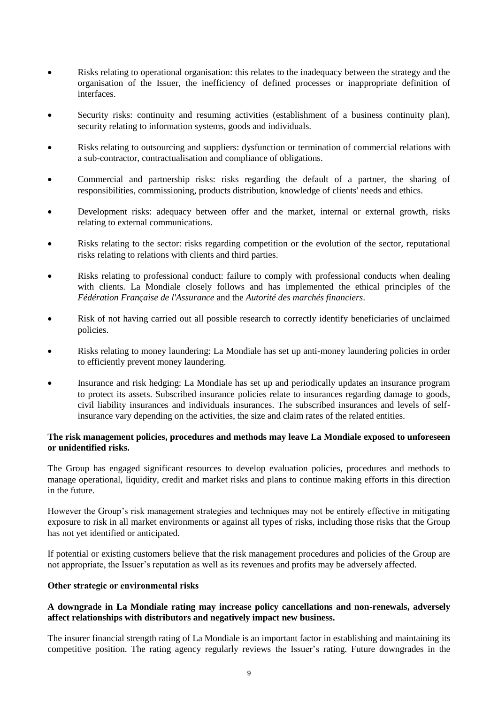- Risks relating to operational organisation: this relates to the inadequacy between the strategy and the organisation of the Issuer, the inefficiency of defined processes or inappropriate definition of interfaces.
- Security risks: continuity and resuming activities (establishment of a business continuity plan), security relating to information systems, goods and individuals.
- Risks relating to outsourcing and suppliers: dysfunction or termination of commercial relations with a sub-contractor, contractualisation and compliance of obligations.
- Commercial and partnership risks: risks regarding the default of a partner, the sharing of responsibilities, commissioning, products distribution, knowledge of clients' needs and ethics.
- Development risks: adequacy between offer and the market, internal or external growth, risks relating to external communications.
- Risks relating to the sector: risks regarding competition or the evolution of the sector, reputational risks relating to relations with clients and third parties.
- Risks relating to professional conduct: failure to comply with professional conducts when dealing with clients. La Mondiale closely follows and has implemented the ethical principles of the *Fédération Française de l'Assurance* and the *Autorité des marchés financiers*.
- Risk of not having carried out all possible research to correctly identify beneficiaries of unclaimed policies.
- Risks relating to money laundering: La Mondiale has set up anti-money laundering policies in order to efficiently prevent money laundering.
- Insurance and risk hedging: La Mondiale has set up and periodically updates an insurance program to protect its assets. Subscribed insurance policies relate to insurances regarding damage to goods, civil liability insurances and individuals insurances. The subscribed insurances and levels of selfinsurance vary depending on the activities, the size and claim rates of the related entities.

## **The risk management policies, procedures and methods may leave La Mondiale exposed to unforeseen or unidentified risks.**

The Group has engaged significant resources to develop evaluation policies, procedures and methods to manage operational, liquidity, credit and market risks and plans to continue making efforts in this direction in the future.

However the Group's risk management strategies and techniques may not be entirely effective in mitigating exposure to risk in all market environments or against all types of risks, including those risks that the Group has not yet identified or anticipated.

If potential or existing customers believe that the risk management procedures and policies of the Group are not appropriate, the Issuer's reputation as well as its revenues and profits may be adversely affected.

## **Other strategic or environmental risks**

## **A downgrade in La Mondiale rating may increase policy cancellations and non-renewals, adversely affect relationships with distributors and negatively impact new business.**

The insurer financial strength rating of La Mondiale is an important factor in establishing and maintaining its competitive position. The rating agency regularly reviews the Issuer's rating. Future downgrades in the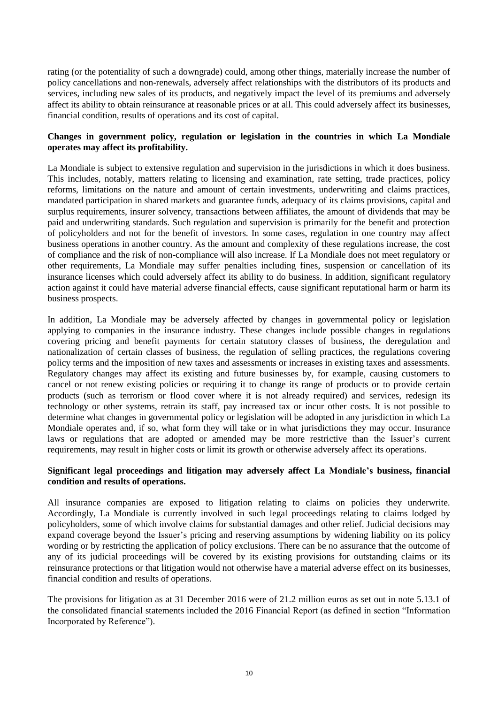rating (or the potentiality of such a downgrade) could, among other things, materially increase the number of policy cancellations and non-renewals, adversely affect relationships with the distributors of its products and services, including new sales of its products, and negatively impact the level of its premiums and adversely affect its ability to obtain reinsurance at reasonable prices or at all. This could adversely affect its businesses, financial condition, results of operations and its cost of capital.

## **Changes in government policy, regulation or legislation in the countries in which La Mondiale operates may affect its profitability.**

La Mondiale is subject to extensive regulation and supervision in the jurisdictions in which it does business. This includes, notably, matters relating to licensing and examination, rate setting, trade practices, policy reforms, limitations on the nature and amount of certain investments, underwriting and claims practices, mandated participation in shared markets and guarantee funds, adequacy of its claims provisions, capital and surplus requirements, insurer solvency, transactions between affiliates, the amount of dividends that may be paid and underwriting standards. Such regulation and supervision is primarily for the benefit and protection of policyholders and not for the benefit of investors. In some cases, regulation in one country may affect business operations in another country. As the amount and complexity of these regulations increase, the cost of compliance and the risk of non-compliance will also increase. If La Mondiale does not meet regulatory or other requirements, La Mondiale may suffer penalties including fines, suspension or cancellation of its insurance licenses which could adversely affect its ability to do business. In addition, significant regulatory action against it could have material adverse financial effects, cause significant reputational harm or harm its business prospects.

In addition, La Mondiale may be adversely affected by changes in governmental policy or legislation applying to companies in the insurance industry. These changes include possible changes in regulations covering pricing and benefit payments for certain statutory classes of business, the deregulation and nationalization of certain classes of business, the regulation of selling practices, the regulations covering policy terms and the imposition of new taxes and assessments or increases in existing taxes and assessments. Regulatory changes may affect its existing and future businesses by, for example, causing customers to cancel or not renew existing policies or requiring it to change its range of products or to provide certain products (such as terrorism or flood cover where it is not already required) and services, redesign its technology or other systems, retrain its staff, pay increased tax or incur other costs. It is not possible to determine what changes in governmental policy or legislation will be adopted in any jurisdiction in which La Mondiale operates and, if so, what form they will take or in what jurisdictions they may occur. Insurance laws or regulations that are adopted or amended may be more restrictive than the Issuer's current requirements, may result in higher costs or limit its growth or otherwise adversely affect its operations.

## **Significant legal proceedings and litigation may adversely affect La Mondiale's business, financial condition and results of operations.**

All insurance companies are exposed to litigation relating to claims on policies they underwrite. Accordingly, La Mondiale is currently involved in such legal proceedings relating to claims lodged by policyholders, some of which involve claims for substantial damages and other relief. Judicial decisions may expand coverage beyond the Issuer's pricing and reserving assumptions by widening liability on its policy wording or by restricting the application of policy exclusions. There can be no assurance that the outcome of any of its judicial proceedings will be covered by its existing provisions for outstanding claims or its reinsurance protections or that litigation would not otherwise have a material adverse effect on its businesses, financial condition and results of operations.

The provisions for litigation as at 31 December 2016 were of 21.2 million euros as set out in note 5.13.1 of the consolidated financial statements included the 2016 Financial Report (as defined in section "Information Incorporated by Reference").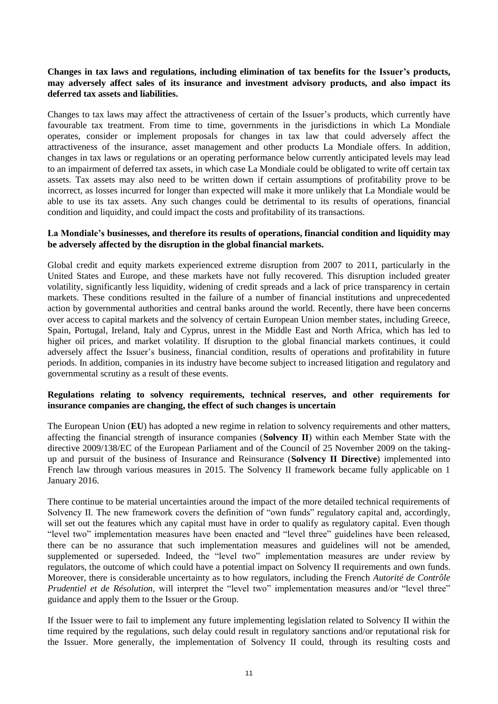## **Changes in tax laws and regulations, including elimination of tax benefits for the Issuer's products, may adversely affect sales of its insurance and investment advisory products, and also impact its deferred tax assets and liabilities.**

Changes to tax laws may affect the attractiveness of certain of the Issuer's products, which currently have favourable tax treatment. From time to time, governments in the jurisdictions in which La Mondiale operates, consider or implement proposals for changes in tax law that could adversely affect the attractiveness of the insurance, asset management and other products La Mondiale offers. In addition, changes in tax laws or regulations or an operating performance below currently anticipated levels may lead to an impairment of deferred tax assets, in which case La Mondiale could be obligated to write off certain tax assets. Tax assets may also need to be written down if certain assumptions of profitability prove to be incorrect, as losses incurred for longer than expected will make it more unlikely that La Mondiale would be able to use its tax assets. Any such changes could be detrimental to its results of operations, financial condition and liquidity, and could impact the costs and profitability of its transactions.

## **La Mondiale's businesses, and therefore its results of operations, financial condition and liquidity may be adversely affected by the disruption in the global financial markets.**

Global credit and equity markets experienced extreme disruption from 2007 to 2011, particularly in the United States and Europe, and these markets have not fully recovered. This disruption included greater volatility, significantly less liquidity, widening of credit spreads and a lack of price transparency in certain markets. These conditions resulted in the failure of a number of financial institutions and unprecedented action by governmental authorities and central banks around the world. Recently, there have been concerns over access to capital markets and the solvency of certain European Union member states, including Greece, Spain, Portugal, Ireland, Italy and Cyprus, unrest in the Middle East and North Africa, which has led to higher oil prices, and market volatility. If disruption to the global financial markets continues, it could adversely affect the Issuer's business, financial condition, results of operations and profitability in future periods. In addition, companies in its industry have become subject to increased litigation and regulatory and governmental scrutiny as a result of these events.

## **Regulations relating to solvency requirements, technical reserves, and other requirements for insurance companies are changing, the effect of such changes is uncertain**

The European Union (**EU**) has adopted a new regime in relation to solvency requirements and other matters, affecting the financial strength of insurance companies (**Solvency II**) within each Member State with the directive 2009/138/EC of the European Parliament and of the Council of 25 November 2009 on the takingup and pursuit of the business of Insurance and Reinsurance (**Solvency II Directive**) implemented into French law through various measures in 2015. The Solvency II framework became fully applicable on 1 January 2016.

There continue to be material uncertainties around the impact of the more detailed technical requirements of Solvency II. The new framework covers the definition of "own funds" regulatory capital and, accordingly, will set out the features which any capital must have in order to qualify as regulatory capital. Even though "level two" implementation measures have been enacted and "level three" guidelines have been released, there can be no assurance that such implementation measures and guidelines will not be amended, supplemented or superseded. Indeed, the "level two" implementation measures are under review by regulators, the outcome of which could have a potential impact on Solvency II requirements and own funds. Moreover, there is considerable uncertainty as to how regulators, including the French *Autorité de Contrôle Prudentiel et de Résolution*, will interpret the "level two" implementation measures and/or "level three" guidance and apply them to the Issuer or the Group.

If the Issuer were to fail to implement any future implementing legislation related to Solvency II within the time required by the regulations, such delay could result in regulatory sanctions and/or reputational risk for the Issuer. More generally, the implementation of Solvency II could, through its resulting costs and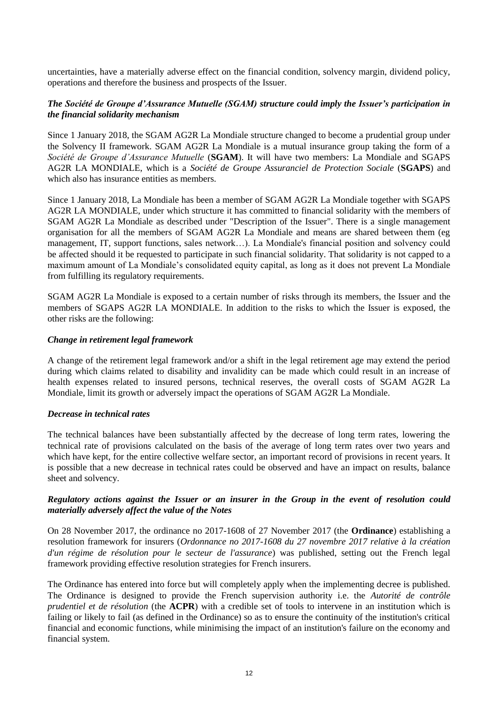uncertainties, have a materially adverse effect on the financial condition, solvency margin, dividend policy, operations and therefore the business and prospects of the Issuer.

# *The Société de Groupe d'Assurance Mutuelle (SGAM) structure could imply the Issuer's participation in the financial solidarity mechanism*

Since 1 January 2018, the SGAM AG2R La Mondiale structure changed to become a prudential group under the Solvency II framework. SGAM AG2R La Mondiale is a mutual insurance group taking the form of a *Société de Groupe d'Assurance Mutuelle* (**SGAM**). It will have two members: La Mondiale and SGAPS AG2R LA MONDIALE, which is a *Société de Groupe Assuranciel de Protection Sociale* (**SGAPS**) and which also has insurance entities as members.

Since 1 January 2018, La Mondiale has been a member of SGAM AG2R La Mondiale together with SGAPS AG2R LA MONDIALE, under which structure it has committed to financial solidarity with the members of SGAM AG2R La Mondiale as described under "Description of the Issuer". There is a single management organisation for all the members of SGAM AG2R La Mondiale and means are shared between them (eg management, IT, support functions, sales network…). La Mondiale's financial position and solvency could be affected should it be requested to participate in such financial solidarity. That solidarity is not capped to a maximum amount of La Mondiale's consolidated equity capital, as long as it does not prevent La Mondiale from fulfilling its regulatory requirements.

SGAM AG2R La Mondiale is exposed to a certain number of risks through its members, the Issuer and the members of SGAPS AG2R LA MONDIALE. In addition to the risks to which the Issuer is exposed, the other risks are the following:

#### *Change in retirement legal framework*

A change of the retirement legal framework and/or a shift in the legal retirement age may extend the period during which claims related to disability and invalidity can be made which could result in an increase of health expenses related to insured persons, technical reserves, the overall costs of SGAM AG2R La Mondiale, limit its growth or adversely impact the operations of SGAM AG2R La Mondiale.

## *Decrease in technical rates*

The technical balances have been substantially affected by the decrease of long term rates, lowering the technical rate of provisions calculated on the basis of the average of long term rates over two years and which have kept, for the entire collective welfare sector, an important record of provisions in recent years. It is possible that a new decrease in technical rates could be observed and have an impact on results, balance sheet and solvency.

## *Regulatory actions against the Issuer or an insurer in the Group in the event of resolution could materially adversely affect the value of the Notes*

On 28 November 2017, the ordinance no 2017-1608 of 27 November 2017 (the **Ordinance**) establishing a resolution framework for insurers (*Ordonnance no 2017-1608 du 27 novembre 2017 relative à la création d'un régime de résolution pour le secteur de l'assurance*) was published, setting out the French legal framework providing effective resolution strategies for French insurers.

The Ordinance has entered into force but will completely apply when the implementing decree is published. The Ordinance is designed to provide the French supervision authority i.e. the *Autorité de contrôle prudentiel et de résolution* (the **ACPR**) with a credible set of tools to intervene in an institution which is failing or likely to fail (as defined in the Ordinance) so as to ensure the continuity of the institution's critical financial and economic functions, while minimising the impact of an institution's failure on the economy and financial system.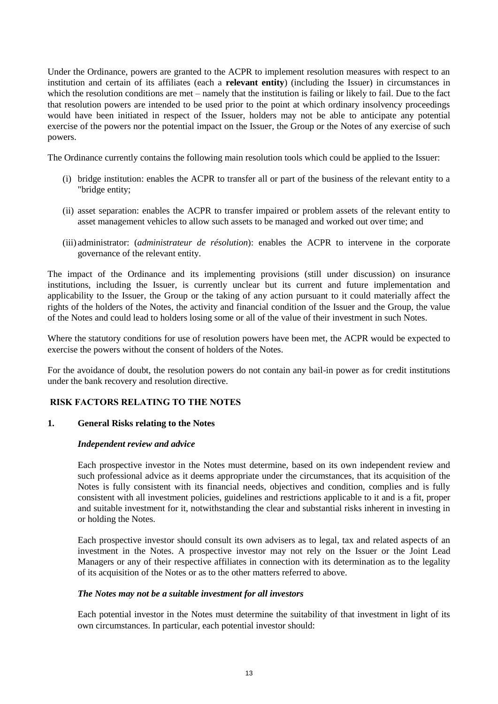Under the Ordinance, powers are granted to the ACPR to implement resolution measures with respect to an institution and certain of its affiliates (each a **relevant entity**) (including the Issuer) in circumstances in which the resolution conditions are met – namely that the institution is failing or likely to fail. Due to the fact that resolution powers are intended to be used prior to the point at which ordinary insolvency proceedings would have been initiated in respect of the Issuer, holders may not be able to anticipate any potential exercise of the powers nor the potential impact on the Issuer, the Group or the Notes of any exercise of such powers.

The Ordinance currently contains the following main resolution tools which could be applied to the Issuer:

- (i) bridge institution: enables the ACPR to transfer all or part of the business of the relevant entity to a "bridge entity;
- (ii) asset separation: enables the ACPR to transfer impaired or problem assets of the relevant entity to asset management vehicles to allow such assets to be managed and worked out over time; and
- (iii) administrator: (*administrateur de résolution*): enables the ACPR to intervene in the corporate governance of the relevant entity.

The impact of the Ordinance and its implementing provisions (still under discussion) on insurance institutions, including the Issuer, is currently unclear but its current and future implementation and applicability to the Issuer, the Group or the taking of any action pursuant to it could materially affect the rights of the holders of the Notes, the activity and financial condition of the Issuer and the Group, the value of the Notes and could lead to holders losing some or all of the value of their investment in such Notes.

Where the statutory conditions for use of resolution powers have been met, the ACPR would be expected to exercise the powers without the consent of holders of the Notes.

For the avoidance of doubt, the resolution powers do not contain any bail-in power as for credit institutions under the bank recovery and resolution directive.

## **RISK FACTORS RELATING TO THE NOTES**

## **1. General Risks relating to the Notes**

#### *Independent review and advice*

Each prospective investor in the Notes must determine, based on its own independent review and such professional advice as it deems appropriate under the circumstances, that its acquisition of the Notes is fully consistent with its financial needs, objectives and condition, complies and is fully consistent with all investment policies, guidelines and restrictions applicable to it and is a fit, proper and suitable investment for it, notwithstanding the clear and substantial risks inherent in investing in or holding the Notes.

Each prospective investor should consult its own advisers as to legal, tax and related aspects of an investment in the Notes. A prospective investor may not rely on the Issuer or the Joint Lead Managers or any of their respective affiliates in connection with its determination as to the legality of its acquisition of the Notes or as to the other matters referred to above.

#### *The Notes may not be a suitable investment for all investors*

Each potential investor in the Notes must determine the suitability of that investment in light of its own circumstances. In particular, each potential investor should: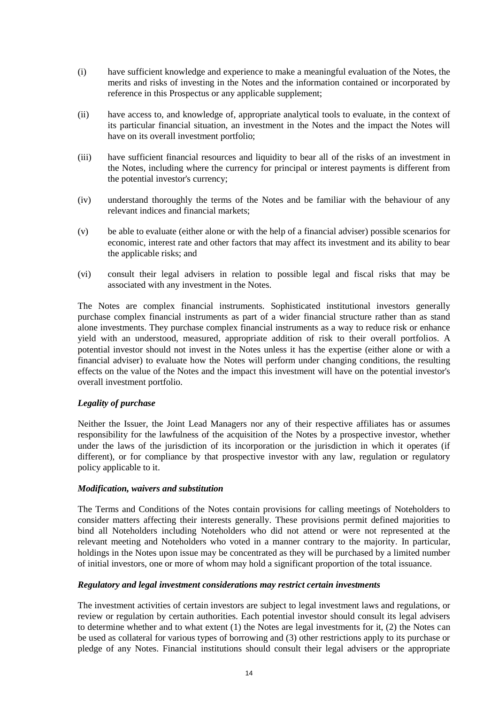- (i) have sufficient knowledge and experience to make a meaningful evaluation of the Notes, the merits and risks of investing in the Notes and the information contained or incorporated by reference in this Prospectus or any applicable supplement;
- (ii) have access to, and knowledge of, appropriate analytical tools to evaluate, in the context of its particular financial situation, an investment in the Notes and the impact the Notes will have on its overall investment portfolio;
- (iii) have sufficient financial resources and liquidity to bear all of the risks of an investment in the Notes, including where the currency for principal or interest payments is different from the potential investor's currency;
- (iv) understand thoroughly the terms of the Notes and be familiar with the behaviour of any relevant indices and financial markets;
- (v) be able to evaluate (either alone or with the help of a financial adviser) possible scenarios for economic, interest rate and other factors that may affect its investment and its ability to bear the applicable risks; and
- (vi) consult their legal advisers in relation to possible legal and fiscal risks that may be associated with any investment in the Notes.

The Notes are complex financial instruments. Sophisticated institutional investors generally purchase complex financial instruments as part of a wider financial structure rather than as stand alone investments. They purchase complex financial instruments as a way to reduce risk or enhance yield with an understood, measured, appropriate addition of risk to their overall portfolios. A potential investor should not invest in the Notes unless it has the expertise (either alone or with a financial adviser) to evaluate how the Notes will perform under changing conditions, the resulting effects on the value of the Notes and the impact this investment will have on the potential investor's overall investment portfolio.

## *Legality of purchase*

Neither the Issuer, the Joint Lead Managers nor any of their respective affiliates has or assumes responsibility for the lawfulness of the acquisition of the Notes by a prospective investor, whether under the laws of the jurisdiction of its incorporation or the jurisdiction in which it operates (if different), or for compliance by that prospective investor with any law, regulation or regulatory policy applicable to it.

## *Modification, waivers and substitution*

The Terms and Conditions of the Notes contain provisions for calling meetings of Noteholders to consider matters affecting their interests generally. These provisions permit defined majorities to bind all Noteholders including Noteholders who did not attend or were not represented at the relevant meeting and Noteholders who voted in a manner contrary to the majority. In particular, holdings in the Notes upon issue may be concentrated as they will be purchased by a limited number of initial investors, one or more of whom may hold a significant proportion of the total issuance.

## *Regulatory and legal investment considerations may restrict certain investments*

The investment activities of certain investors are subject to legal investment laws and regulations, or review or regulation by certain authorities. Each potential investor should consult its legal advisers to determine whether and to what extent (1) the Notes are legal investments for it, (2) the Notes can be used as collateral for various types of borrowing and (3) other restrictions apply to its purchase or pledge of any Notes. Financial institutions should consult their legal advisers or the appropriate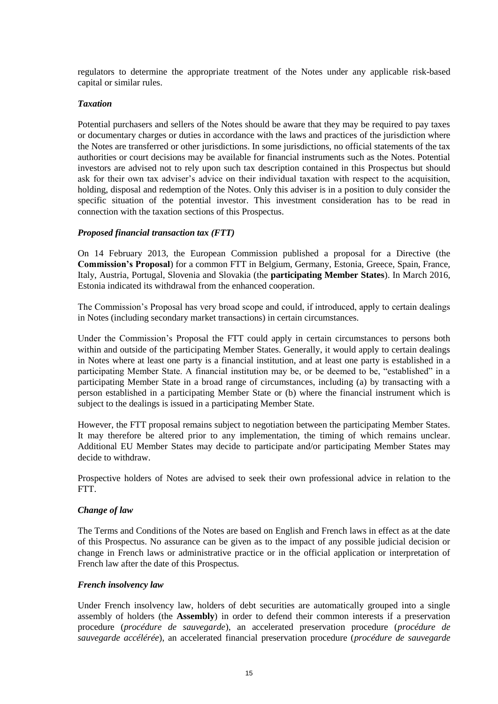regulators to determine the appropriate treatment of the Notes under any applicable risk-based capital or similar rules.

#### *Taxation*

Potential purchasers and sellers of the Notes should be aware that they may be required to pay taxes or documentary charges or duties in accordance with the laws and practices of the jurisdiction where the Notes are transferred or other jurisdictions. In some jurisdictions, no official statements of the tax authorities or court decisions may be available for financial instruments such as the Notes. Potential investors are advised not to rely upon such tax description contained in this Prospectus but should ask for their own tax adviser's advice on their individual taxation with respect to the acquisition, holding, disposal and redemption of the Notes. Only this adviser is in a position to duly consider the specific situation of the potential investor. This investment consideration has to be read in connection with the taxation sections of this Prospectus.

## *Proposed financial transaction tax (FTT)*

On 14 February 2013, the European Commission published a proposal for a Directive (the **Commission's Proposal**) for a common FTT in Belgium, Germany, Estonia, Greece, Spain, France, Italy, Austria, Portugal, Slovenia and Slovakia (the **participating Member States**). In March 2016, Estonia indicated its withdrawal from the enhanced cooperation.

The Commission's Proposal has very broad scope and could, if introduced, apply to certain dealings in Notes (including secondary market transactions) in certain circumstances.

Under the Commission's Proposal the FTT could apply in certain circumstances to persons both within and outside of the participating Member States. Generally, it would apply to certain dealings in Notes where at least one party is a financial institution, and at least one party is established in a participating Member State. A financial institution may be, or be deemed to be, "established" in a participating Member State in a broad range of circumstances, including (a) by transacting with a person established in a participating Member State or (b) where the financial instrument which is subject to the dealings is issued in a participating Member State.

However, the FTT proposal remains subject to negotiation between the participating Member States. It may therefore be altered prior to any implementation, the timing of which remains unclear. Additional EU Member States may decide to participate and/or participating Member States may decide to withdraw.

Prospective holders of Notes are advised to seek their own professional advice in relation to the FTT.

## *Change of law*

The Terms and Conditions of the Notes are based on English and French laws in effect as at the date of this Prospectus. No assurance can be given as to the impact of any possible judicial decision or change in French laws or administrative practice or in the official application or interpretation of French law after the date of this Prospectus.

#### *French insolvency law*

Under French insolvency law, holders of debt securities are automatically grouped into a single assembly of holders (the **Assembly**) in order to defend their common interests if a preservation procedure (*procédure de sauvegarde*), an accelerated preservation procedure (*procédure de sauvegarde accélérée*), an accelerated financial preservation procedure (*procédure de sauvegarde*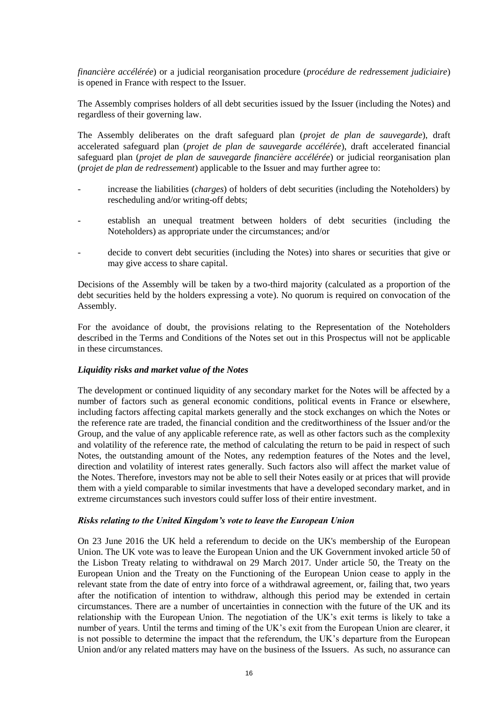*financière accélérée*) or a judicial reorganisation procedure (*procédure de redressement judiciaire*) is opened in France with respect to the Issuer.

The Assembly comprises holders of all debt securities issued by the Issuer (including the Notes) and regardless of their governing law.

The Assembly deliberates on the draft safeguard plan (*projet de plan de sauvegarde*), draft accelerated safeguard plan (*projet de plan de sauvegarde accélérée*), draft accelerated financial safeguard plan (*projet de plan de sauvegarde financière accélérée*) or judicial reorganisation plan (*projet de plan de redressement*) applicable to the Issuer and may further agree to:

- increase the liabilities (*charges*) of holders of debt securities (including the Noteholders) by rescheduling and/or writing-off debts;
- establish an unequal treatment between holders of debt securities (including the Noteholders) as appropriate under the circumstances; and/or
- decide to convert debt securities (including the Notes) into shares or securities that give or may give access to share capital.

Decisions of the Assembly will be taken by a two-third majority (calculated as a proportion of the debt securities held by the holders expressing a vote). No quorum is required on convocation of the Assembly.

For the avoidance of doubt, the provisions relating to the Representation of the Noteholders described in the Terms and Conditions of the Notes set out in this Prospectus will not be applicable in these circumstances.

## *Liquidity risks and market value of the Notes*

The development or continued liquidity of any secondary market for the Notes will be affected by a number of factors such as general economic conditions, political events in France or elsewhere, including factors affecting capital markets generally and the stock exchanges on which the Notes or the reference rate are traded, the financial condition and the creditworthiness of the Issuer and/or the Group, and the value of any applicable reference rate, as well as other factors such as the complexity and volatility of the reference rate, the method of calculating the return to be paid in respect of such Notes, the outstanding amount of the Notes, any redemption features of the Notes and the level, direction and volatility of interest rates generally. Such factors also will affect the market value of the Notes. Therefore, investors may not be able to sell their Notes easily or at prices that will provide them with a yield comparable to similar investments that have a developed secondary market, and in extreme circumstances such investors could suffer loss of their entire investment.

#### *Risks relating to the United Kingdom's vote to leave the European Union*

On 23 June 2016 the UK held a referendum to decide on the UK's membership of the European Union. The UK vote was to leave the European Union and the UK Government invoked article 50 of the Lisbon Treaty relating to withdrawal on 29 March 2017. Under article 50, the Treaty on the European Union and the Treaty on the Functioning of the European Union cease to apply in the relevant state from the date of entry into force of a withdrawal agreement, or, failing that, two years after the notification of intention to withdraw, although this period may be extended in certain circumstances. There are a number of uncertainties in connection with the future of the UK and its relationship with the European Union. The negotiation of the UK's exit terms is likely to take a number of years. Until the terms and timing of the UK's exit from the European Union are clearer, it is not possible to determine the impact that the referendum, the UK's departure from the European Union and/or any related matters may have on the business of the Issuers. As such, no assurance can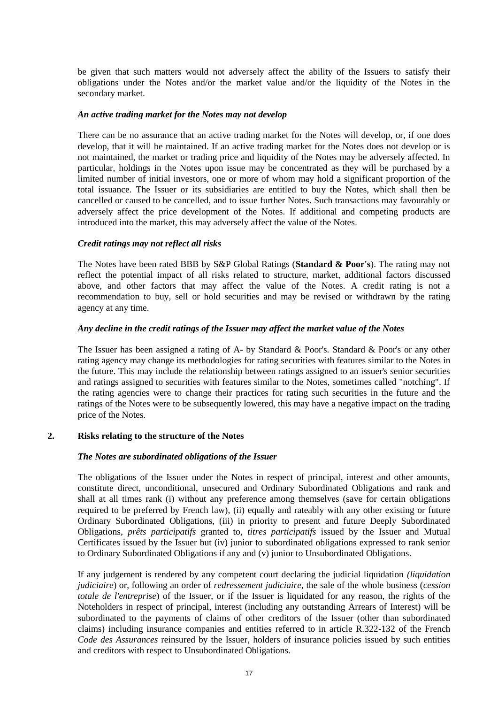be given that such matters would not adversely affect the ability of the Issuers to satisfy their obligations under the Notes and/or the market value and/or the liquidity of the Notes in the secondary market.

#### *An active trading market for the Notes may not develop*

There can be no assurance that an active trading market for the Notes will develop, or, if one does develop, that it will be maintained. If an active trading market for the Notes does not develop or is not maintained, the market or trading price and liquidity of the Notes may be adversely affected. In particular, holdings in the Notes upon issue may be concentrated as they will be purchased by a limited number of initial investors, one or more of whom may hold a significant proportion of the total issuance. The Issuer or its subsidiaries are entitled to buy the Notes, which shall then be cancelled or caused to be cancelled, and to issue further Notes. Such transactions may favourably or adversely affect the price development of the Notes. If additional and competing products are introduced into the market, this may adversely affect the value of the Notes.

## *Credit ratings may not reflect all risks*

The Notes have been rated BBB by S&P Global Ratings (**Standard & Poor's**). The rating may not reflect the potential impact of all risks related to structure, market, additional factors discussed above, and other factors that may affect the value of the Notes. A credit rating is not a recommendation to buy, sell or hold securities and may be revised or withdrawn by the rating agency at any time.

#### *Any decline in the credit ratings of the Issuer may affect the market value of the Notes*

The Issuer has been assigned a rating of A- by Standard & Poor's. Standard & Poor's or any other rating agency may change its methodologies for rating securities with features similar to the Notes in the future. This may include the relationship between ratings assigned to an issuer's senior securities and ratings assigned to securities with features similar to the Notes, sometimes called "notching". If the rating agencies were to change their practices for rating such securities in the future and the ratings of the Notes were to be subsequently lowered, this may have a negative impact on the trading price of the Notes.

## **2. Risks relating to the structure of the Notes**

## *The Notes are subordinated obligations of the Issuer*

The obligations of the Issuer under the Notes in respect of principal, interest and other amounts, constitute direct, unconditional, unsecured and Ordinary Subordinated Obligations and rank and shall at all times rank (i) without any preference among themselves (save for certain obligations required to be preferred by French law), (ii) equally and rateably with any other existing or future Ordinary Subordinated Obligations, (iii) in priority to present and future Deeply Subordinated Obligations, *prêts participatifs* granted to, *titres participatifs* issued by the Issuer and Mutual Certificates issued by the Issuer but (iv) junior to subordinated obligations expressed to rank senior to Ordinary Subordinated Obligations if any and (v) junior to Unsubordinated Obligations.

If any judgement is rendered by any competent court declaring the judicial liquidation *(liquidation judiciaire*) or, following an order of *redressement judiciaire*, the sale of the whole business (*cession totale de l'entreprise*) of the Issuer, or if the Issuer is liquidated for any reason, the rights of the Noteholders in respect of principal, interest (including any outstanding Arrears of Interest) will be subordinated to the payments of claims of other creditors of the Issuer (other than subordinated claims) including insurance companies and entities referred to in article R.322-132 of the French *Code des Assurances* reinsured by the Issuer, holders of insurance policies issued by such entities and creditors with respect to Unsubordinated Obligations.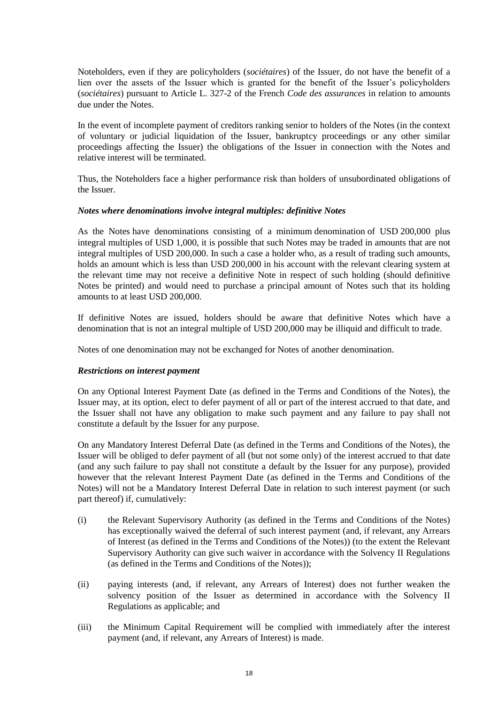Noteholders, even if they are policyholders (*sociétaires*) of the Issuer, do not have the benefit of a lien over the assets of the Issuer which is granted for the benefit of the Issuer's policyholders (*sociétaires*) pursuant to Article L. 327-2 of the French *Code des assurances* in relation to amounts due under the Notes.

In the event of incomplete payment of creditors ranking senior to holders of the Notes (in the context of voluntary or judicial liquidation of the Issuer, bankruptcy proceedings or any other similar proceedings affecting the Issuer) the obligations of the Issuer in connection with the Notes and relative interest will be terminated.

Thus, the Noteholders face a higher performance risk than holders of unsubordinated obligations of the Issuer.

#### *Notes where denominations involve integral multiples: definitive Notes*

As the Notes have denominations consisting of a minimum denomination of USD 200,000 plus integral multiples of USD 1,000, it is possible that such Notes may be traded in amounts that are not integral multiples of USD 200,000. In such a case a holder who, as a result of trading such amounts, holds an amount which is less than USD 200,000 in his account with the relevant clearing system at the relevant time may not receive a definitive Note in respect of such holding (should definitive Notes be printed) and would need to purchase a principal amount of Notes such that its holding amounts to at least USD 200,000.

If definitive Notes are issued, holders should be aware that definitive Notes which have a denomination that is not an integral multiple of USD 200,000 may be illiquid and difficult to trade.

Notes of one denomination may not be exchanged for Notes of another denomination.

#### *Restrictions on interest payment*

On any Optional Interest Payment Date (as defined in the Terms and Conditions of the Notes), the Issuer may, at its option, elect to defer payment of all or part of the interest accrued to that date, and the Issuer shall not have any obligation to make such payment and any failure to pay shall not constitute a default by the Issuer for any purpose.

On any Mandatory Interest Deferral Date (as defined in the Terms and Conditions of the Notes), the Issuer will be obliged to defer payment of all (but not some only) of the interest accrued to that date (and any such failure to pay shall not constitute a default by the Issuer for any purpose), provided however that the relevant Interest Payment Date (as defined in the Terms and Conditions of the Notes) will not be a Mandatory Interest Deferral Date in relation to such interest payment (or such part thereof) if, cumulatively:

- (i) the Relevant Supervisory Authority (as defined in the Terms and Conditions of the Notes) has exceptionally waived the deferral of such interest payment (and, if relevant, any Arrears of Interest (as defined in the Terms and Conditions of the Notes)) (to the extent the Relevant Supervisory Authority can give such waiver in accordance with the Solvency II Regulations (as defined in the Terms and Conditions of the Notes));
- (ii) paying interests (and, if relevant, any Arrears of Interest) does not further weaken the solvency position of the Issuer as determined in accordance with the Solvency II Regulations as applicable; and
- (iii) the Minimum Capital Requirement will be complied with immediately after the interest payment (and, if relevant, any Arrears of Interest) is made.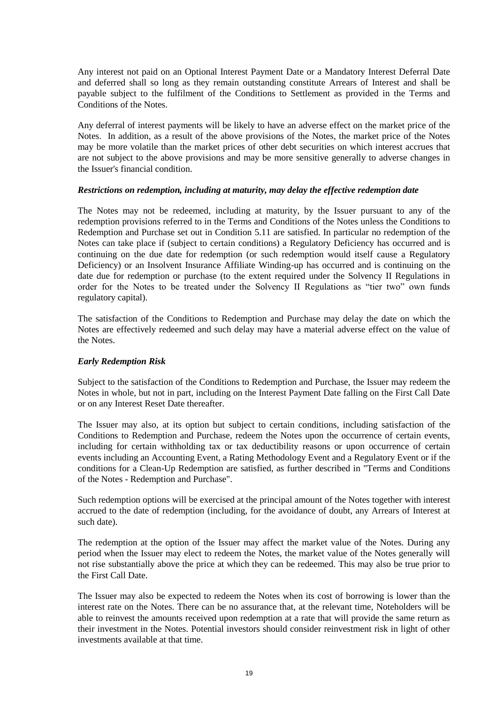Any interest not paid on an Optional Interest Payment Date or a Mandatory Interest Deferral Date and deferred shall so long as they remain outstanding constitute Arrears of Interest and shall be payable subject to the fulfilment of the Conditions to Settlement as provided in the Terms and Conditions of the Notes.

Any deferral of interest payments will be likely to have an adverse effect on the market price of the Notes. In addition, as a result of the above provisions of the Notes, the market price of the Notes may be more volatile than the market prices of other debt securities on which interest accrues that are not subject to the above provisions and may be more sensitive generally to adverse changes in the Issuer's financial condition.

#### *Restrictions on redemption, including at maturity, may delay the effective redemption date*

The Notes may not be redeemed, including at maturity, by the Issuer pursuant to any of the redemption provisions referred to in the Terms and Conditions of the Notes unless the Conditions to Redemption and Purchase set out in Condition 5.11 are satisfied. In particular no redemption of the Notes can take place if (subject to certain conditions) a Regulatory Deficiency has occurred and is continuing on the due date for redemption (or such redemption would itself cause a Regulatory Deficiency) or an Insolvent Insurance Affiliate Winding-up has occurred and is continuing on the date due for redemption or purchase (to the extent required under the Solvency II Regulations in order for the Notes to be treated under the Solvency II Regulations as "tier two" own funds regulatory capital).

The satisfaction of the Conditions to Redemption and Purchase may delay the date on which the Notes are effectively redeemed and such delay may have a material adverse effect on the value of the Notes.

## *Early Redemption Risk*

Subject to the satisfaction of the Conditions to Redemption and Purchase, the Issuer may redeem the Notes in whole, but not in part, including on the Interest Payment Date falling on the First Call Date or on any Interest Reset Date thereafter.

The Issuer may also, at its option but subject to certain conditions, including satisfaction of the Conditions to Redemption and Purchase, redeem the Notes upon the occurrence of certain events, including for certain withholding tax or tax deductibility reasons or upon occurrence of certain events including an Accounting Event, a Rating Methodology Event and a Regulatory Event or if the conditions for a Clean-Up Redemption are satisfied, as further described in "Terms and Conditions of the Notes - Redemption and Purchase".

Such redemption options will be exercised at the principal amount of the Notes together with interest accrued to the date of redemption (including, for the avoidance of doubt, any Arrears of Interest at such date).

The redemption at the option of the Issuer may affect the market value of the Notes. During any period when the Issuer may elect to redeem the Notes, the market value of the Notes generally will not rise substantially above the price at which they can be redeemed. This may also be true prior to the First Call Date.

The Issuer may also be expected to redeem the Notes when its cost of borrowing is lower than the interest rate on the Notes. There can be no assurance that, at the relevant time, Noteholders will be able to reinvest the amounts received upon redemption at a rate that will provide the same return as their investment in the Notes. Potential investors should consider reinvestment risk in light of other investments available at that time.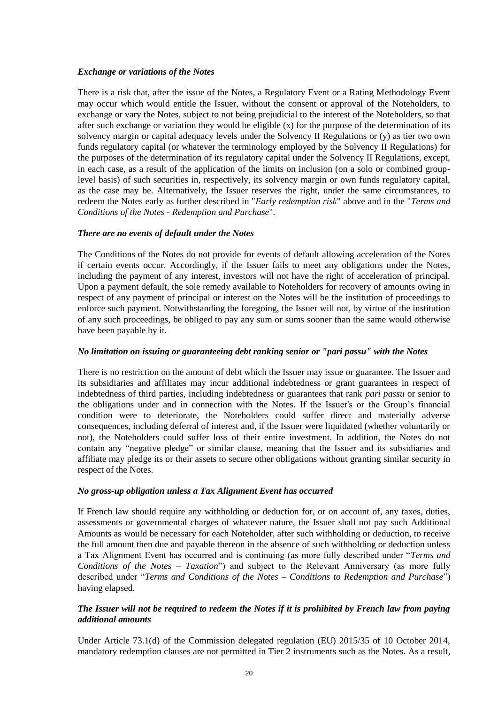## *Exchange or variations of the Notes*

There is a risk that, after the issue of the Notes, a Regulatory Event or a Rating Methodology Event may occur which would entitle the Issuer, without the consent or approval of the Noteholders, to exchange or vary the Notes, subject to not being prejudicial to the interest of the Noteholders, so that after such exchange or variation they would be eligible (x) for the purpose of the determination of its solvency margin or capital adequacy levels under the Solvency II Regulations or (y) as tier two own funds regulatory capital (or whatever the terminology employed by the Solvency II Regulations) for the purposes of the determination of its regulatory capital under the Solvency II Regulations, except, in each case, as a result of the application of the limits on inclusion (on a solo or combined grouplevel basis) of such securities in, respectively, its solvency margin or own funds regulatory capital, as the case may be. Alternatively, the Issuer reserves the right, under the same circumstances, to redeem the Notes early as further described in "*Early redemption risk*" above and in the "*Terms and Conditions of the Notes - Redemption and Purchase*".

# *There are no events of default under the Notes*

The Conditions of the Notes do not provide for events of default allowing acceleration of the Notes if certain events occur. Accordingly, if the Issuer fails to meet any obligations under the Notes, including the payment of any interest, investors will not have the right of acceleration of principal. Upon a payment default, the sole remedy available to Noteholders for recovery of amounts owing in respect of any payment of principal or interest on the Notes will be the institution of proceedings to enforce such payment. Notwithstanding the foregoing, the Issuer will not, by virtue of the institution of any such proceedings, be obliged to pay any sum or sums sooner than the same would otherwise have been payable by it.

## *No limitation on issuing or guaranteeing debt ranking senior or "pari passu" with the Notes*

There is no restriction on the amount of debt which the Issuer may issue or guarantee. The Issuer and its subsidiaries and affiliates may incur additional indebtedness or grant guarantees in respect of indebtedness of third parties, including indebtedness or guarantees that rank *pari passu* or senior to the obligations under and in connection with the Notes. If the Issuer's or the Group's financial condition were to deteriorate, the Noteholders could suffer direct and materially adverse consequences, including deferral of interest and, if the Issuer were liquidated (whether voluntarily or not), the Noteholders could suffer loss of their entire investment. In addition, the Notes do not contain any "negative pledge" or similar clause, meaning that the Issuer and its subsidiaries and affiliate may pledge its or their assets to secure other obligations without granting similar security in respect of the Notes.

## *No gross-up obligation unless a Tax Alignment Event has occurred*

If French law should require any withholding or deduction for, or on account of, any taxes, duties, assessments or governmental charges of whatever nature, the Issuer shall not pay such Additional Amounts as would be necessary for each Noteholder, after such withholding or deduction, to receive the full amount then due and payable thereon in the absence of such withholding or deduction unless a Tax Alignment Event has occurred and is continuing (as more fully described under "*Terms and Conditions of the Notes – Taxation*") and subject to the Relevant Anniversary (as more fully described under "*Terms and Conditions of the Notes – Conditions to Redemption and Purchase*") having elapsed.

## *The Issuer will not be required to redeem the Notes if it is prohibited by French law from paying additional amounts*

Under Article 73.1(d) of the Commission delegated regulation (EU) 2015/35 of 10 October 2014, mandatory redemption clauses are not permitted in Tier 2 instruments such as the Notes. As a result,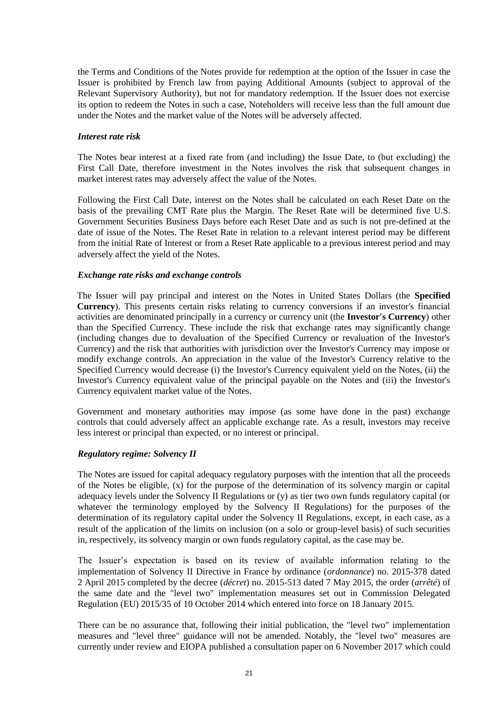the Terms and Conditions of the Notes provide for redemption at the option of the Issuer in case the Issuer is prohibited by French law from paying Additional Amounts (subject to approval of the Relevant Supervisory Authority), but not for mandatory redemption. If the Issuer does not exercise its option to redeem the Notes in such a case, Noteholders will receive less than the full amount due under the Notes and the market value of the Notes will be adversely affected.

#### *Interest rate risk*

The Notes bear interest at a fixed rate from (and including) the Issue Date, to (but excluding) the First Call Date, therefore investment in the Notes involves the risk that subsequent changes in market interest rates may adversely affect the value of the Notes.

Following the First Call Date, interest on the Notes shall be calculated on each Reset Date on the basis of the prevailing CMT Rate plus the Margin. The Reset Rate will be determined five U.S. Government Securities Business Days before each Reset Date and as such is not pre-defined at the date of issue of the Notes. The Reset Rate in relation to a relevant interest period may be different from the initial Rate of Interest or from a Reset Rate applicable to a previous interest period and may adversely affect the yield of the Notes.

#### *Exchange rate risks and exchange controls*

The Issuer will pay principal and interest on the Notes in United States Dollars (the **Specified Currency**). This presents certain risks relating to currency conversions if an investor's financial activities are denominated principally in a currency or currency unit (the **Investor's Currency**) other than the Specified Currency. These include the risk that exchange rates may significantly change (including changes due to devaluation of the Specified Currency or revaluation of the Investor's Currency) and the risk that authorities with jurisdiction over the Investor's Currency may impose or modify exchange controls. An appreciation in the value of the Investor's Currency relative to the Specified Currency would decrease (i) the Investor's Currency equivalent yield on the Notes, (ii) the Investor's Currency equivalent value of the principal payable on the Notes and (iii) the Investor's Currency equivalent market value of the Notes.

Government and monetary authorities may impose (as some have done in the past) exchange controls that could adversely affect an applicable exchange rate. As a result, investors may receive less interest or principal than expected, or no interest or principal.

## *Regulatory regime: Solvency II*

The Notes are issued for capital adequacy regulatory purposes with the intention that all the proceeds of the Notes be eligible, (x) for the purpose of the determination of its solvency margin or capital adequacy levels under the Solvency II Regulations or (y) as tier two own funds regulatory capital (or whatever the terminology employed by the Solvency II Regulations) for the purposes of the determination of its regulatory capital under the Solvency II Regulations, except, in each case, as a result of the application of the limits on inclusion (on a solo or group-level basis) of such securities in, respectively, its solvency margin or own funds regulatory capital, as the case may be.

The Issuer's expectation is based on its review of available information relating to the implementation of Solvency II Directive in France by ordinance (*ordonnance*) no. 2015-378 dated 2 April 2015 completed by the decree (*décret*) no. 2015-513 dated 7 May 2015, the order (*arrêté*) of the same date and the "level two" implementation measures set out in Commission Delegated Regulation (EU) 2015/35 of 10 October 2014 which entered into force on 18 January 2015.

There can be no assurance that, following their initial publication, the "level two" implementation measures and "level three" guidance will not be amended. Notably, the "level two" measures are currently under review and EIOPA published a consultation paper on 6 November 2017 which could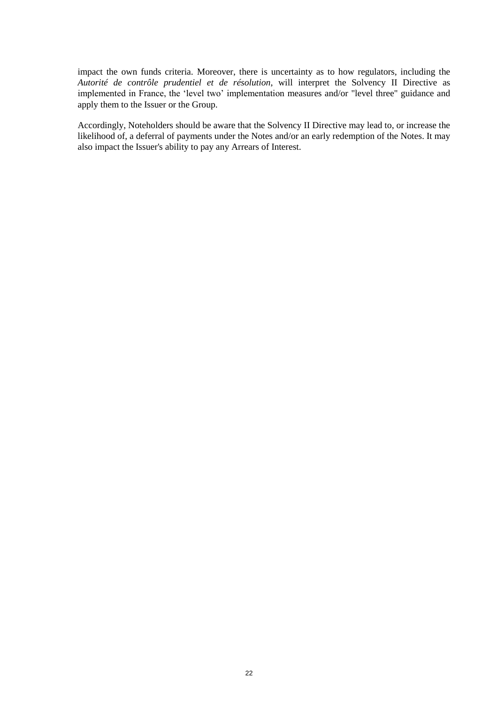impact the own funds criteria. Moreover, there is uncertainty as to how regulators, including the *Autorité de contrôle prudentiel et de résolution*, will interpret the Solvency II Directive as implemented in France, the 'level two' implementation measures and/or "level three" guidance and apply them to the Issuer or the Group.

Accordingly, Noteholders should be aware that the Solvency II Directive may lead to, or increase the likelihood of, a deferral of payments under the Notes and/or an early redemption of the Notes. It may also impact the Issuer's ability to pay any Arrears of Interest.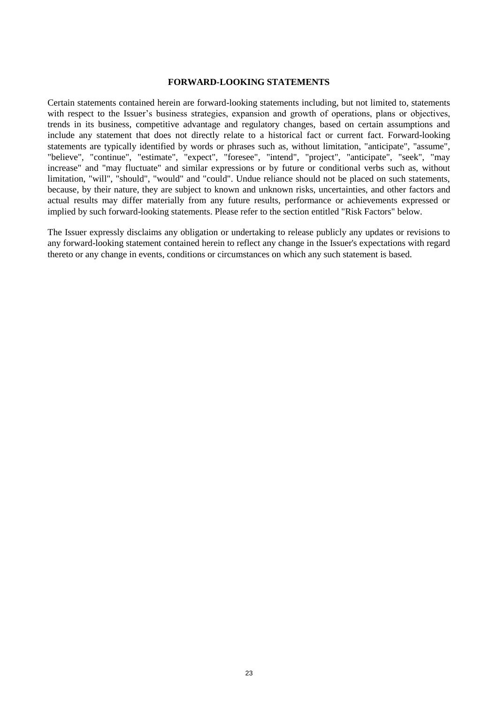#### **FORWARD-LOOKING STATEMENTS**

Certain statements contained herein are forward-looking statements including, but not limited to, statements with respect to the Issuer's business strategies, expansion and growth of operations, plans or objectives, trends in its business, competitive advantage and regulatory changes, based on certain assumptions and include any statement that does not directly relate to a historical fact or current fact. Forward-looking statements are typically identified by words or phrases such as, without limitation, "anticipate", "assume", "believe", "continue", "estimate", "expect", "foresee", "intend", "project", "anticipate", "seek", "may increase" and "may fluctuate" and similar expressions or by future or conditional verbs such as, without limitation, "will", "should", "would" and "could". Undue reliance should not be placed on such statements, because, by their nature, they are subject to known and unknown risks, uncertainties, and other factors and actual results may differ materially from any future results, performance or achievements expressed or implied by such forward-looking statements. Please refer to the section entitled "Risk Factors" below.

The Issuer expressly disclaims any obligation or undertaking to release publicly any updates or revisions to any forward-looking statement contained herein to reflect any change in the Issuer's expectations with regard thereto or any change in events, conditions or circumstances on which any such statement is based.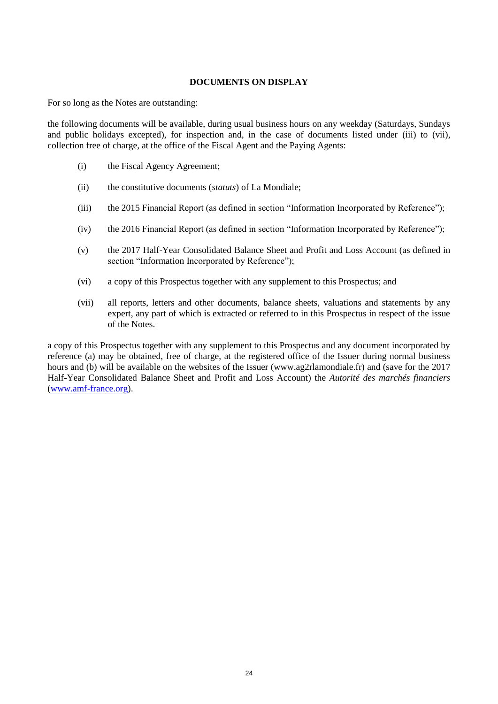## **DOCUMENTS ON DISPLAY**

For so long as the Notes are outstanding:

the following documents will be available, during usual business hours on any weekday (Saturdays, Sundays and public holidays excepted), for inspection and, in the case of documents listed under [\(iii\)](#page-24-0) to [\(vii\),](#page-24-1) collection free of charge, at the office of the Fiscal Agent and the Paying Agents:

- (i) the Fiscal Agency Agreement;
- <span id="page-24-0"></span>(ii) the constitutive documents (*statuts*) of La Mondiale;
- (iii) the 2015 Financial Report (as defined in section "Information Incorporated by Reference");
- (iv) the 2016 Financial Report (as defined in section "Information Incorporated by Reference");
- (v) the 2017 Half-Year Consolidated Balance Sheet and Profit and Loss Account (as defined in section "Information Incorporated by Reference");
- <span id="page-24-1"></span>(vi) a copy of this Prospectus together with any supplement to this Prospectus; and
- (vii) all reports, letters and other documents, balance sheets, valuations and statements by any expert, any part of which is extracted or referred to in this Prospectus in respect of the issue of the Notes.

a copy of this Prospectus together with any supplement to this Prospectus and any document incorporated by reference (a) may be obtained, free of charge, at the registered office of the Issuer during normal business hours and (b) will be available on the websites of the Issuer (www.ag2rlamondiale.fr) and (save for the 2017 Half-Year Consolidated Balance Sheet and Profit and Loss Account) the *Autorité des marchés financiers* [\(www.amf-france.org\)](http://www.amf-france.org/).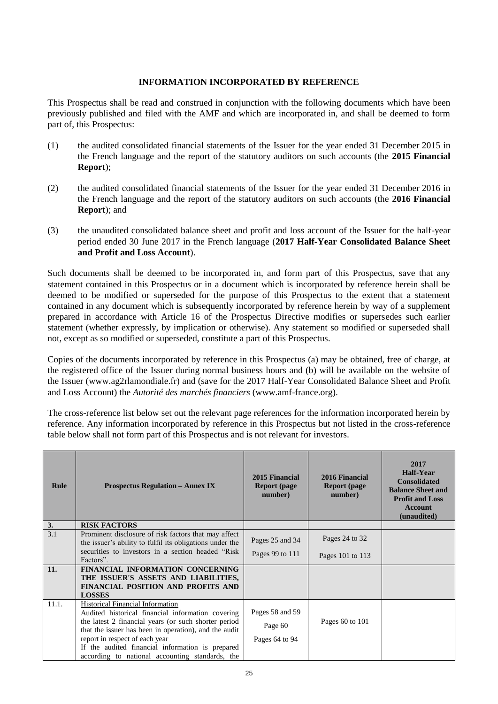## **INFORMATION INCORPORATED BY REFERENCE**

This Prospectus shall be read and construed in conjunction with the following documents which have been previously published and filed with the AMF and which are incorporated in, and shall be deemed to form part of, this Prospectus:

- (1) the audited consolidated financial statements of the Issuer for the year ended 31 December 2015 in the French language and the report of the statutory auditors on such accounts (the **2015 Financial Report**);
- (2) the audited consolidated financial statements of the Issuer for the year ended 31 December 2016 in the French language and the report of the statutory auditors on such accounts (the **2016 Financial Report**); and
- (3) the unaudited consolidated balance sheet and profit and loss account of the Issuer for the half-year period ended 30 June 2017 in the French language (**2017 Half-Year Consolidated Balance Sheet and Profit and Loss Account**).

Such documents shall be deemed to be incorporated in, and form part of this Prospectus, save that any statement contained in this Prospectus or in a document which is incorporated by reference herein shall be deemed to be modified or superseded for the purpose of this Prospectus to the extent that a statement contained in any document which is subsequently incorporated by reference herein by way of a supplement prepared in accordance with Article 16 of the Prospectus Directive modifies or supersedes such earlier statement (whether expressly, by implication or otherwise). Any statement so modified or superseded shall not, except as so modified or superseded, constitute a part of this Prospectus.

Copies of the documents incorporated by reference in this Prospectus (a) may be obtained, free of charge, at the registered office of the Issuer during normal business hours and (b) will be available on the website of the Issuer (www.ag2rlamondiale.fr) and (save for the 2017 Half-Year Consolidated Balance Sheet and Profit and Loss Account) the *Autorité des marchés financiers* (www.amf-france.org).

The cross-reference list below set out the relevant page references for the information incorporated herein by reference. Any information incorporated by reference in this Prospectus but not listed in the cross-reference table below shall not form part of this Prospectus and is not relevant for investors.

| Rule  | <b>Prospectus Regulation – Annex IX</b>                                                                                                                                                                                                                                                                                                          | 2015 Financial<br><b>Report</b> (page<br>number) | 2016 Financial<br><b>Report</b> (page<br>number) | 2017<br>Half-Year<br><b>Consolidated</b><br><b>Balance Sheet and</b><br><b>Profit and Loss</b><br>Account<br>(unaudited) |
|-------|--------------------------------------------------------------------------------------------------------------------------------------------------------------------------------------------------------------------------------------------------------------------------------------------------------------------------------------------------|--------------------------------------------------|--------------------------------------------------|--------------------------------------------------------------------------------------------------------------------------|
| 3.    | <b>RISK FACTORS</b>                                                                                                                                                                                                                                                                                                                              |                                                  |                                                  |                                                                                                                          |
| 3.1   | Prominent disclosure of risk factors that may affect<br>the issuer's ability to fulfil its obligations under the                                                                                                                                                                                                                                 | Pages 25 and 34                                  | Pages 24 to 32                                   |                                                                                                                          |
|       | securities to investors in a section headed "Risk"<br>Factors".                                                                                                                                                                                                                                                                                  | Pages 99 to 111                                  | Pages 101 to 113                                 |                                                                                                                          |
| 11.   | FINANCIAL INFORMATION CONCERNING<br>THE ISSUER'S ASSETS AND LIABILITIES,<br><b>FINANCIAL POSITION AND PROFITS AND</b><br><b>LOSSES</b>                                                                                                                                                                                                           |                                                  |                                                  |                                                                                                                          |
| 11.1. | Historical Financial Information<br>Audited historical financial information covering<br>the latest 2 financial years (or such shorter period)<br>that the issuer has been in operation), and the audit<br>report in respect of each year<br>If the audited financial information is prepared<br>according to national accounting standards, the | Pages 58 and 59<br>Page 60<br>Pages 64 to 94     | Pages 60 to 101                                  |                                                                                                                          |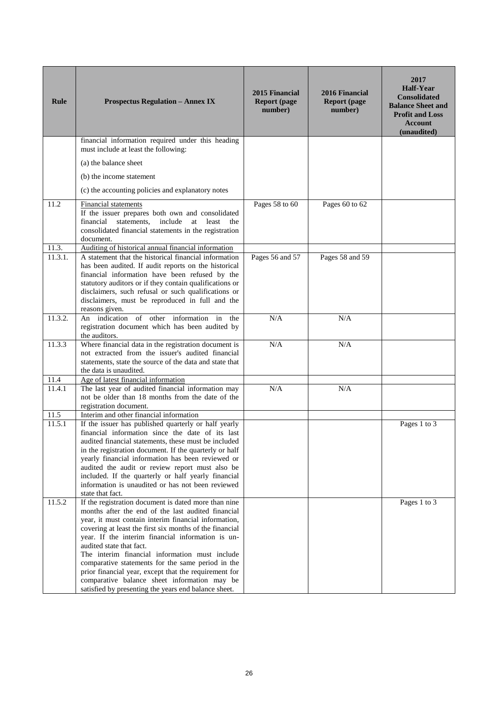| Rule    | <b>Prospectus Regulation - Annex IX</b>                                                                                                                                                                                                                                                                                                                                                                                                                                                                                                                                                | 2015 Financial<br><b>Report (page)</b><br>number) | 2016 Financial<br><b>Report (page)</b><br>number) | 2017<br><b>Half-Year</b><br><b>Consolidated</b><br><b>Balance Sheet and</b><br><b>Profit and Loss</b><br><b>Account</b><br>(unaudited) |
|---------|----------------------------------------------------------------------------------------------------------------------------------------------------------------------------------------------------------------------------------------------------------------------------------------------------------------------------------------------------------------------------------------------------------------------------------------------------------------------------------------------------------------------------------------------------------------------------------------|---------------------------------------------------|---------------------------------------------------|----------------------------------------------------------------------------------------------------------------------------------------|
|         | financial information required under this heading<br>must include at least the following:                                                                                                                                                                                                                                                                                                                                                                                                                                                                                              |                                                   |                                                   |                                                                                                                                        |
|         | (a) the balance sheet                                                                                                                                                                                                                                                                                                                                                                                                                                                                                                                                                                  |                                                   |                                                   |                                                                                                                                        |
|         | (b) the income statement                                                                                                                                                                                                                                                                                                                                                                                                                                                                                                                                                               |                                                   |                                                   |                                                                                                                                        |
|         | (c) the accounting policies and explanatory notes                                                                                                                                                                                                                                                                                                                                                                                                                                                                                                                                      |                                                   |                                                   |                                                                                                                                        |
| 11.2    | <b>Financial statements</b><br>If the issuer prepares both own and consolidated<br>include<br>financial statements,<br>at least the<br>consolidated financial statements in the registration<br>document.                                                                                                                                                                                                                                                                                                                                                                              | Pages 58 to 60                                    | Pages 60 to 62                                    |                                                                                                                                        |
| 11.3.   | Auditing of historical annual financial information                                                                                                                                                                                                                                                                                                                                                                                                                                                                                                                                    |                                                   |                                                   |                                                                                                                                        |
| 11.3.1. | A statement that the historical financial information<br>has been audited. If audit reports on the historical<br>financial information have been refused by the<br>statutory auditors or if they contain qualifications or<br>disclaimers, such refusal or such qualifications or<br>disclaimers, must be reproduced in full and the<br>reasons given.                                                                                                                                                                                                                                 | Pages 56 and 57                                   | Pages 58 and 59                                   |                                                                                                                                        |
| 11.3.2. | An indication of other information in the<br>registration document which has been audited by<br>the auditors.                                                                                                                                                                                                                                                                                                                                                                                                                                                                          | N/A                                               | N/A                                               |                                                                                                                                        |
| 11.3.3  | Where financial data in the registration document is<br>not extracted from the issuer's audited financial<br>statements, state the source of the data and state that<br>the data is unaudited.                                                                                                                                                                                                                                                                                                                                                                                         | N/A                                               | N/A                                               |                                                                                                                                        |
| 11.4    | Age of latest financial information                                                                                                                                                                                                                                                                                                                                                                                                                                                                                                                                                    |                                                   |                                                   |                                                                                                                                        |
| 11.4.1  | The last year of audited financial information may<br>not be older than 18 months from the date of the<br>registration document.                                                                                                                                                                                                                                                                                                                                                                                                                                                       | N/A                                               | N/A                                               |                                                                                                                                        |
| 11.5    | Interim and other financial information                                                                                                                                                                                                                                                                                                                                                                                                                                                                                                                                                |                                                   |                                                   |                                                                                                                                        |
| 11.5.1  | If the issuer has published quarterly or half yearly<br>financial information since the date of its last<br>audited financial statements, these must be included<br>in the registration document. If the quarterly or half<br>yearly financial information has been reviewed or<br>audited the audit or review report must also be<br>included. If the quarterly or half yearly financial<br>information is unaudited or has not been reviewed<br>state that fact.                                                                                                                     |                                                   |                                                   | Pages 1 to 3                                                                                                                           |
| 11.5.2  | If the registration document is dated more than nine<br>months after the end of the last audited financial<br>year, it must contain interim financial information,<br>covering at least the first six months of the financial<br>year. If the interim financial information is un-<br>audited state that fact.<br>The interim financial information must include<br>comparative statements for the same period in the<br>prior financial year, except that the requirement for<br>comparative balance sheet information may be<br>satisfied by presenting the years end balance sheet. |                                                   |                                                   | Pages 1 to 3                                                                                                                           |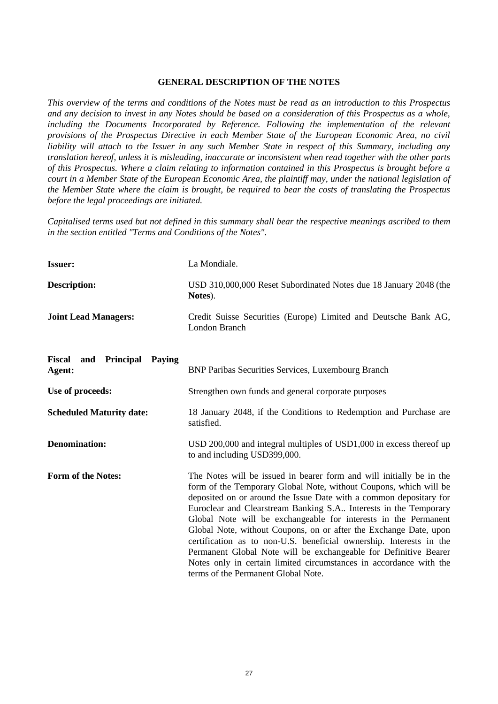#### **GENERAL DESCRIPTION OF THE NOTES**

*This overview of the terms and conditions of the Notes must be read as an introduction to this Prospectus and any decision to invest in any Notes should be based on a consideration of this Prospectus as a whole, including the Documents Incorporated by Reference. Following the implementation of the relevant provisions of the Prospectus Directive in each Member State of the European Economic Area, no civil liability will attach to the Issuer in any such Member State in respect of this Summary, including any translation hereof, unless it is misleading, inaccurate or inconsistent when read together with the other parts of this Prospectus. Where a claim relating to information contained in this Prospectus is brought before a court in a Member State of the European Economic Area, the plaintiff may, under the national legislation of the Member State where the claim is brought, be required to bear the costs of translating the Prospectus before the legal proceedings are initiated.* 

*Capitalised terms used but not defined in this summary shall bear the respective meanings ascribed to them in the section entitled "Terms and Conditions of the Notes".*

| <b>Issuer:</b>                                               | La Mondiale.                                                                                                                                                                                                                                                                                                                                                                                                                                                                                                                                                                                                                                                                        |
|--------------------------------------------------------------|-------------------------------------------------------------------------------------------------------------------------------------------------------------------------------------------------------------------------------------------------------------------------------------------------------------------------------------------------------------------------------------------------------------------------------------------------------------------------------------------------------------------------------------------------------------------------------------------------------------------------------------------------------------------------------------|
| <b>Description:</b>                                          | USD 310,000,000 Reset Subordinated Notes due 18 January 2048 (the<br>Notes).                                                                                                                                                                                                                                                                                                                                                                                                                                                                                                                                                                                                        |
| <b>Joint Lead Managers:</b>                                  | Credit Suisse Securities (Europe) Limited and Deutsche Bank AG,<br><b>London Branch</b>                                                                                                                                                                                                                                                                                                                                                                                                                                                                                                                                                                                             |
| <b>Fiscal</b><br><b>Principal</b><br>and<br>Paying<br>Agent: | <b>BNP Paribas Securities Services, Luxembourg Branch</b>                                                                                                                                                                                                                                                                                                                                                                                                                                                                                                                                                                                                                           |
| Use of proceeds:                                             | Strengthen own funds and general corporate purposes                                                                                                                                                                                                                                                                                                                                                                                                                                                                                                                                                                                                                                 |
| <b>Scheduled Maturity date:</b>                              | 18 January 2048, if the Conditions to Redemption and Purchase are<br>satisfied.                                                                                                                                                                                                                                                                                                                                                                                                                                                                                                                                                                                                     |
| <b>Denomination:</b>                                         | USD 200,000 and integral multiples of USD1,000 in excess thereof up<br>to and including USD399,000.                                                                                                                                                                                                                                                                                                                                                                                                                                                                                                                                                                                 |
| <b>Form of the Notes:</b>                                    | The Notes will be issued in bearer form and will initially be in the<br>form of the Temporary Global Note, without Coupons, which will be<br>deposited on or around the Issue Date with a common depositary for<br>Euroclear and Clearstream Banking S.A Interests in the Temporary<br>Global Note will be exchangeable for interests in the Permanent<br>Global Note, without Coupons, on or after the Exchange Date, upon<br>certification as to non-U.S. beneficial ownership. Interests in the<br>Permanent Global Note will be exchangeable for Definitive Bearer<br>Notes only in certain limited circumstances in accordance with the<br>terms of the Permanent Global Note. |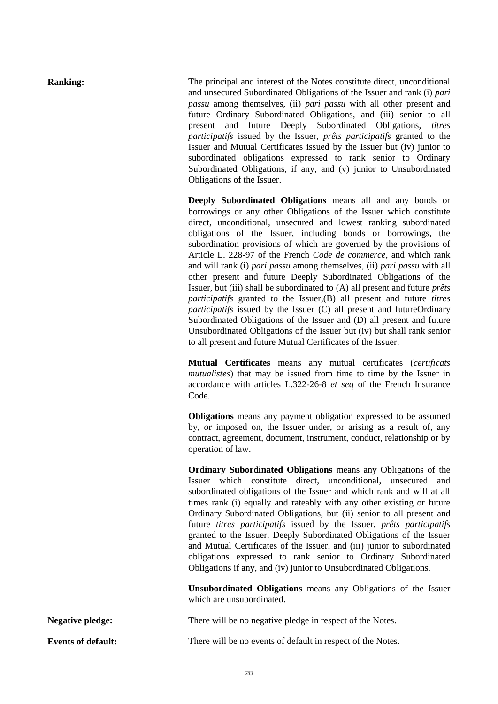**Ranking:** The principal and interest of the Notes constitute direct, unconditional and unsecured Subordinated Obligations of the Issuer and rank (i) *pari passu* among themselves, (ii) *pari passu* with all other present and future Ordinary Subordinated Obligations, and (iii) senior to all present and future Deeply Subordinated Obligations, *titres participatifs* issued by the Issuer, *prêts participatifs* granted to the Issuer and Mutual Certificates issued by the Issuer but (iv) junior to subordinated obligations expressed to rank senior to Ordinary Subordinated Obligations, if any, and (v) junior to Unsubordinated Obligations of the Issuer.

> **Deeply Subordinated Obligations** means all and any bonds or borrowings or any other Obligations of the Issuer which constitute direct, unconditional, unsecured and lowest ranking subordinated obligations of the Issuer, including bonds or borrowings, the subordination provisions of which are governed by the provisions of Article L. 228-97 of the French *Code de commerce,* and which rank and will rank (i) *pari passu* among themselves, (ii) *pari passu* with all other present and future Deeply Subordinated Obligations of the Issuer, but (iii) shall be subordinated to (A) all present and future *prêts participatifs* granted to the Issuer,(B) all present and future *titres participatifs* issued by the Issuer (C) all present and futureOrdinary Subordinated Obligations of the Issuer and (D) all present and future Unsubordinated Obligations of the Issuer but (iv) but shall rank senior to all present and future Mutual Certificates of the Issuer.

> **Mutual Certificates** means any mutual certificates (*certificats mutualistes*) that may be issued from time to time by the Issuer in accordance with articles L.322-26-8 *et seq* of the French Insurance Code.

> **Obligations** means any payment obligation expressed to be assumed by, or imposed on, the Issuer under, or arising as a result of, any contract, agreement, document, instrument, conduct, relationship or by operation of law.

> **Ordinary Subordinated Obligations** means any Obligations of the Issuer which constitute direct, unconditional, unsecured and subordinated obligations of the Issuer and which rank and will at all times rank (i) equally and rateably with any other existing or future Ordinary Subordinated Obligations, but (ii) senior to all present and future *titres participatifs* issued by the Issuer, *prêts participatifs* granted to the Issuer, Deeply Subordinated Obligations of the Issuer and Mutual Certificates of the Issuer, and (iii) junior to subordinated obligations expressed to rank senior to Ordinary Subordinated Obligations if any, and (iv) junior to Unsubordinated Obligations.

> **Unsubordinated Obligations** means any Obligations of the Issuer which are unsubordinated.

**Negative pledge:** There will be no negative pledge in respect of the Notes.

**Events of default:** There will be no events of default in respect of the Notes.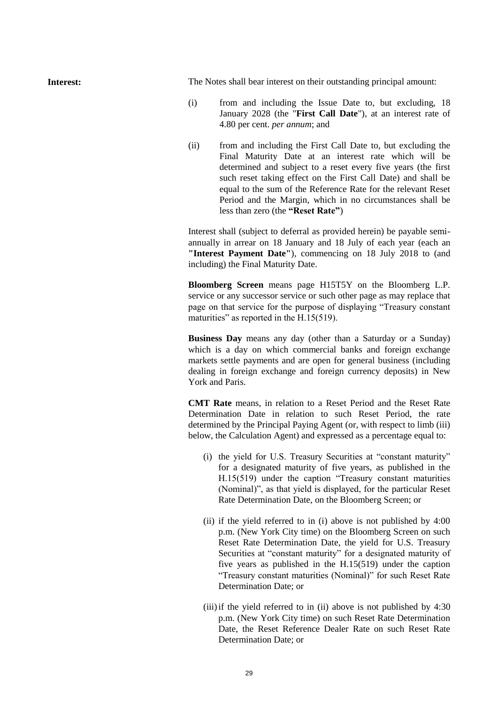**Interest:** The Notes shall bear interest on their outstanding principal amount:

- (i) from and including the Issue Date to, but excluding, 18 January 2028 (the "**First Call Date**"), at an interest rate of 4.80 per cent. *per annum*; and
- (ii) from and including the First Call Date to, but excluding the Final Maturity Date at an interest rate which will be determined and subject to a reset every five years (the first such reset taking effect on the First Call Date) and shall be equal to the sum of the Reference Rate for the relevant Reset Period and the Margin, which in no circumstances shall be less than zero (the **"Reset Rate"**)

Interest shall (subject to deferral as provided herein) be payable semiannually in arrear on 18 January and 18 July of each year (each an **"Interest Payment Date"**), commencing on 18 July 2018 to (and including) the Final Maturity Date.

**Bloomberg Screen** means page H15T5Y on the Bloomberg L.P. service or any successor service or such other page as may replace that page on that service for the purpose of displaying "Treasury constant maturities" as reported in the H.15(519).

**Business Day** means any day (other than a Saturday or a Sunday) which is a day on which commercial banks and foreign exchange markets settle payments and are open for general business (including dealing in foreign exchange and foreign currency deposits) in New York and Paris.

**CMT Rate** means, in relation to a Reset Period and the Reset Rate Determination Date in relation to such Reset Period, the rate determined by the Principal Paying Agent (or, with respect to limb (iii) below, the Calculation Agent) and expressed as a percentage equal to:

- (i) the yield for U.S. Treasury Securities at "constant maturity" for a designated maturity of five years, as published in the H.15(519) under the caption "Treasury constant maturities (Nominal)", as that yield is displayed, for the particular Reset Rate Determination Date, on the Bloomberg Screen; or
- (ii) if the yield referred to in (i) above is not published by 4:00 p.m. (New York City time) on the Bloomberg Screen on such Reset Rate Determination Date, the yield for U.S. Treasury Securities at "constant maturity" for a designated maturity of five years as published in the H.15(519) under the caption "Treasury constant maturities (Nominal)" for such Reset Rate Determination Date; or
- (iii)if the yield referred to in (ii) above is not published by 4:30 p.m. (New York City time) on such Reset Rate Determination Date, the Reset Reference Dealer Rate on such Reset Rate Determination Date; or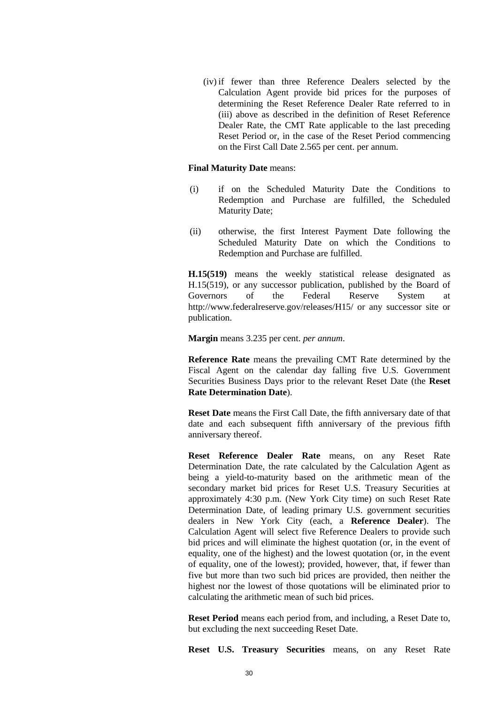(iv) if fewer than three Reference Dealers selected by the Calculation Agent provide bid prices for the purposes of determining the Reset Reference Dealer Rate referred to in (iii) above as described in the definition of Reset Reference Dealer Rate, the CMT Rate applicable to the last preceding Reset Period or, in the case of the Reset Period commencing on the First Call Date 2.565 per cent. per annum.

#### **Final Maturity Date** means:

- (i) if on the Scheduled Maturity Date the Conditions to Redemption and Purchase are fulfilled, the Scheduled Maturity Date;
- (ii) otherwise, the first Interest Payment Date following the Scheduled Maturity Date on which the Conditions to Redemption and Purchase are fulfilled.

**H.15(519)** means the weekly statistical release designated as H.15(519), or any successor publication, published by the Board of Governors of the Federal Reserve System at http://www.federalreserve.gov/releases/H15/ or any successor site or publication.

**Margin** means 3.235 per cent. *per annum*.

**Reference Rate** means the prevailing CMT Rate determined by the Fiscal Agent on the calendar day falling five U.S. Government Securities Business Days prior to the relevant Reset Date (the **Reset Rate Determination Date**).

**Reset Date** means the First Call Date, the fifth anniversary date of that date and each subsequent fifth anniversary of the previous fifth anniversary thereof.

**Reset Reference Dealer Rate** means, on any Reset Rate Determination Date, the rate calculated by the Calculation Agent as being a yield-to-maturity based on the arithmetic mean of the secondary market bid prices for Reset U.S. Treasury Securities at approximately 4:30 p.m. (New York City time) on such Reset Rate Determination Date, of leading primary U.S. government securities dealers in New York City (each, a **Reference Dealer**). The Calculation Agent will select five Reference Dealers to provide such bid prices and will eliminate the highest quotation (or, in the event of equality, one of the highest) and the lowest quotation (or, in the event of equality, one of the lowest); provided, however, that, if fewer than five but more than two such bid prices are provided, then neither the highest nor the lowest of those quotations will be eliminated prior to calculating the arithmetic mean of such bid prices.

**Reset Period** means each period from, and including, a Reset Date to, but excluding the next succeeding Reset Date.

**Reset U.S. Treasury Securities** means, on any Reset Rate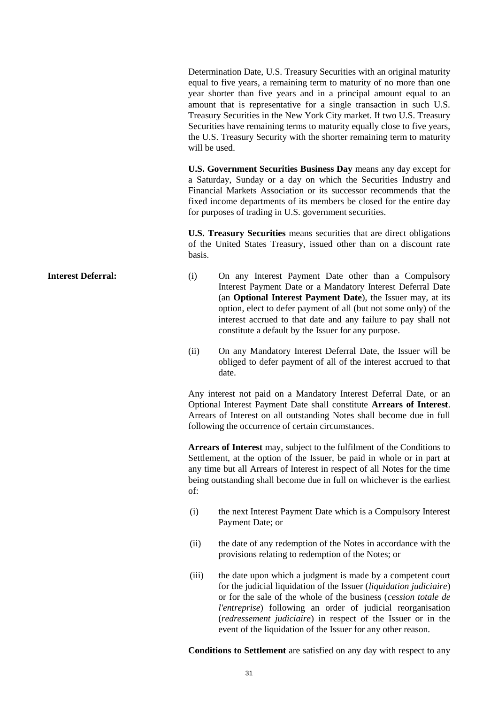Determination Date, U.S. Treasury Securities with an original maturity equal to five years, a remaining term to maturity of no more than one year shorter than five years and in a principal amount equal to an amount that is representative for a single transaction in such U.S. Treasury Securities in the New York City market. If two U.S. Treasury Securities have remaining terms to maturity equally close to five years, the U.S. Treasury Security with the shorter remaining term to maturity will be used.

**U.S. Government Securities Business Day** means any day except for a Saturday, Sunday or a day on which the Securities Industry and Financial Markets Association or its successor recommends that the fixed income departments of its members be closed for the entire day for purposes of trading in U.S. government securities.

**U.S. Treasury Securities** means securities that are direct obligations of the United States Treasury, issued other than on a discount rate basis.

- **Interest Deferral:** (i) On any Interest Payment Date other than a Compulsory Interest Payment Date or a Mandatory Interest Deferral Date (an **Optional Interest Payment Date**), the Issuer may, at its option, elect to defer payment of all (but not some only) of the interest accrued to that date and any failure to pay shall not constitute a default by the Issuer for any purpose.
	- (ii) On any Mandatory Interest Deferral Date, the Issuer will be obliged to defer payment of all of the interest accrued to that date.

Any interest not paid on a Mandatory Interest Deferral Date, or an Optional Interest Payment Date shall constitute **Arrears of Interest**. Arrears of Interest on all outstanding Notes shall become due in full following the occurrence of certain circumstances.

**Arrears of Interest** may, subject to the fulfilment of the Conditions to Settlement, at the option of the Issuer, be paid in whole or in part at any time but all Arrears of Interest in respect of all Notes for the time being outstanding shall become due in full on whichever is the earliest of:

- (i) the next Interest Payment Date which is a Compulsory Interest Payment Date; or
- (ii) the date of any redemption of the Notes in accordance with the provisions relating to redemption of the Notes; or
- (iii) the date upon which a judgment is made by a competent court for the judicial liquidation of the Issuer (*liquidation judiciaire*) or for the sale of the whole of the business (*cession totale de l'entreprise*) following an order of judicial reorganisation (*redressement judiciaire*) in respect of the Issuer or in the event of the liquidation of the Issuer for any other reason.

**Conditions to Settlement** are satisfied on any day with respect to any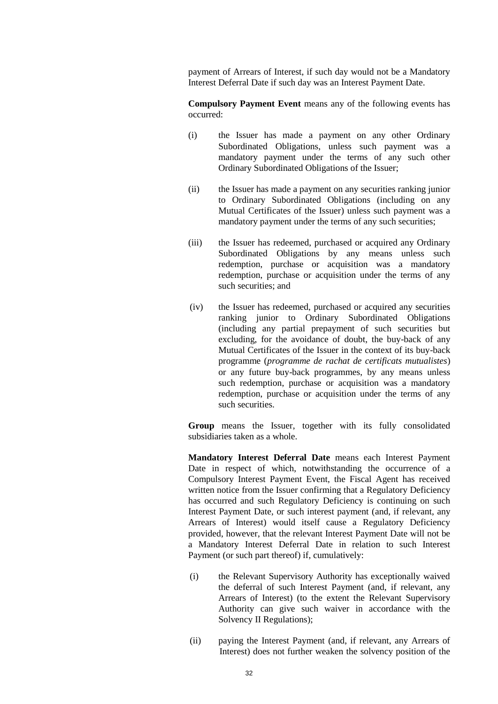payment of Arrears of Interest, if such day would not be a Mandatory Interest Deferral Date if such day was an Interest Payment Date.

**Compulsory Payment Event** means any of the following events has occurred:

- (i) the Issuer has made a payment on any other Ordinary Subordinated Obligations, unless such payment was a mandatory payment under the terms of any such other Ordinary Subordinated Obligations of the Issuer;
- (ii) the Issuer has made a payment on any securities ranking junior to Ordinary Subordinated Obligations (including on any Mutual Certificates of the Issuer) unless such payment was a mandatory payment under the terms of any such securities;
- (iii) the Issuer has redeemed, purchased or acquired any Ordinary Subordinated Obligations by any means unless such redemption, purchase or acquisition was a mandatory redemption, purchase or acquisition under the terms of any such securities; and
- (iv) the Issuer has redeemed, purchased or acquired any securities ranking junior to Ordinary Subordinated Obligations (including any partial prepayment of such securities but excluding, for the avoidance of doubt, the buy-back of any Mutual Certificates of the Issuer in the context of its buy-back programme (*programme de rachat de certificats mutualistes*) or any future buy-back programmes, by any means unless such redemption, purchase or acquisition was a mandatory redemption, purchase or acquisition under the terms of any such securities.

**Group** means the Issuer, together with its fully consolidated subsidiaries taken as a whole.

**Mandatory Interest Deferral Date** means each Interest Payment Date in respect of which, notwithstanding the occurrence of a Compulsory Interest Payment Event, the Fiscal Agent has received written notice from the Issuer confirming that a Regulatory Deficiency has occurred and such Regulatory Deficiency is continuing on such Interest Payment Date, or such interest payment (and, if relevant, any Arrears of Interest) would itself cause a Regulatory Deficiency provided, however, that the relevant Interest Payment Date will not be a Mandatory Interest Deferral Date in relation to such Interest Payment (or such part thereof) if, cumulatively:

- (i) the Relevant Supervisory Authority has exceptionally waived the deferral of such Interest Payment (and, if relevant, any Arrears of Interest) (to the extent the Relevant Supervisory Authority can give such waiver in accordance with the Solvency II Regulations);
- (ii) paying the Interest Payment (and, if relevant, any Arrears of Interest) does not further weaken the solvency position of the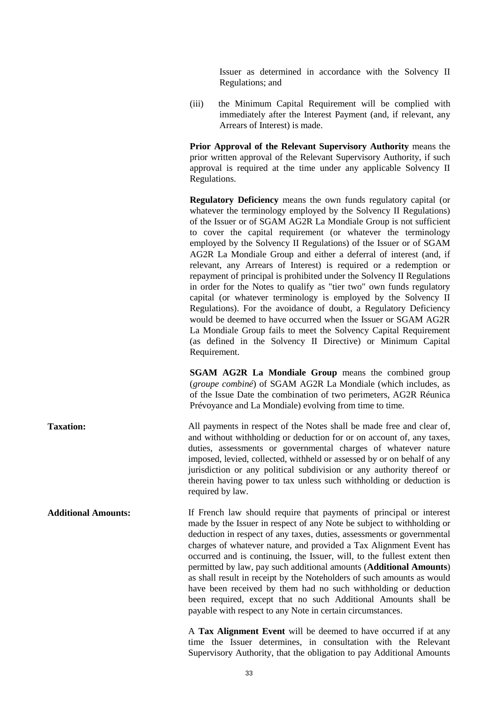Issuer as determined in accordance with the Solvency II Regulations; and

(iii) the Minimum Capital Requirement will be complied with immediately after the Interest Payment (and, if relevant, any Arrears of Interest) is made.

**Prior Approval of the Relevant Supervisory Authority** means the prior written approval of the Relevant Supervisory Authority, if such approval is required at the time under any applicable Solvency II Regulations.

**Regulatory Deficiency** means the own funds regulatory capital (or whatever the terminology employed by the Solvency II Regulations) of the Issuer or of SGAM AG2R La Mondiale Group is not sufficient to cover the capital requirement (or whatever the terminology employed by the Solvency II Regulations) of the Issuer or of SGAM AG2R La Mondiale Group and either a deferral of interest (and, if relevant, any Arrears of Interest) is required or a redemption or repayment of principal is prohibited under the Solvency II Regulations in order for the Notes to qualify as "tier two" own funds regulatory capital (or whatever terminology is employed by the Solvency II Regulations). For the avoidance of doubt, a Regulatory Deficiency would be deemed to have occurred when the Issuer or SGAM AG2R La Mondiale Group fails to meet the Solvency Capital Requirement (as defined in the Solvency II Directive) or Minimum Capital Requirement.

**SGAM AG2R La Mondiale Group means the combined group** (*groupe combiné*) of SGAM AG2R La Mondiale (which includes, as of the Issue Date the combination of two perimeters, AG2R Réunica Prévoyance and La Mondiale) evolving from time to time.

**Taxation:** All payments in respect of the Notes shall be made free and clear of, and without withholding or deduction for or on account of, any taxes, duties, assessments or governmental charges of whatever nature imposed, levied, collected, withheld or assessed by or on behalf of any jurisdiction or any political subdivision or any authority thereof or therein having power to tax unless such withholding or deduction is required by law.

**Additional Amounts:** If French law should require that payments of principal or interest made by the Issuer in respect of any Note be subject to withholding or deduction in respect of any taxes, duties, assessments or governmental charges of whatever nature, and provided a Tax Alignment Event has occurred and is continuing, the Issuer, will, to the fullest extent then permitted by law, pay such additional amounts (**Additional Amounts**) as shall result in receipt by the Noteholders of such amounts as would have been received by them had no such withholding or deduction been required, except that no such Additional Amounts shall be payable with respect to any Note in certain circumstances.

> A **Tax Alignment Event** will be deemed to have occurred if at any time the Issuer determines, in consultation with the Relevant Supervisory Authority, that the obligation to pay Additional Amounts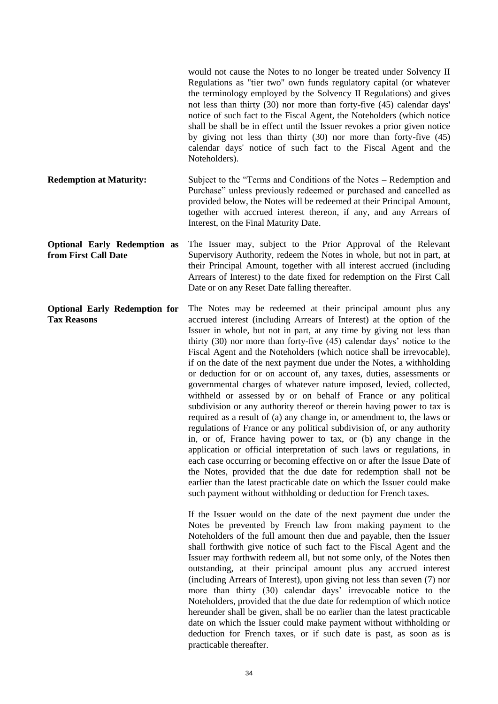|                                                             | would not cause the Notes to no longer be treated under Solvency II<br>Regulations as "tier two" own funds regulatory capital (or whatever<br>the terminology employed by the Solvency II Regulations) and gives<br>not less than thirty (30) nor more than forty-five (45) calendar days'<br>notice of such fact to the Fiscal Agent, the Noteholders (which notice<br>shall be shall be in effect until the Issuer revokes a prior given notice<br>by giving not less than thirty $(30)$ nor more than forty-five $(45)$<br>calendar days' notice of such fact to the Fiscal Agent and the<br>Noteholders).                                                                                                                                                                                                                                                                                                                                                                                                                                                                                                                                                                                                                                                                                                                                                                                                |
|-------------------------------------------------------------|--------------------------------------------------------------------------------------------------------------------------------------------------------------------------------------------------------------------------------------------------------------------------------------------------------------------------------------------------------------------------------------------------------------------------------------------------------------------------------------------------------------------------------------------------------------------------------------------------------------------------------------------------------------------------------------------------------------------------------------------------------------------------------------------------------------------------------------------------------------------------------------------------------------------------------------------------------------------------------------------------------------------------------------------------------------------------------------------------------------------------------------------------------------------------------------------------------------------------------------------------------------------------------------------------------------------------------------------------------------------------------------------------------------|
| <b>Redemption at Maturity:</b>                              | Subject to the "Terms and Conditions of the Notes – Redemption and<br>Purchase" unless previously redeemed or purchased and cancelled as<br>provided below, the Notes will be redeemed at their Principal Amount,<br>together with accrued interest thereon, if any, and any Arrears of<br>Interest, on the Final Maturity Date.                                                                                                                                                                                                                                                                                                                                                                                                                                                                                                                                                                                                                                                                                                                                                                                                                                                                                                                                                                                                                                                                             |
| <b>Optional Early Redemption as</b><br>from First Call Date | The Issuer may, subject to the Prior Approval of the Relevant<br>Supervisory Authority, redeem the Notes in whole, but not in part, at<br>their Principal Amount, together with all interest accrued (including<br>Arrears of Interest) to the date fixed for redemption on the First Call<br>Date or on any Reset Date falling thereafter.                                                                                                                                                                                                                                                                                                                                                                                                                                                                                                                                                                                                                                                                                                                                                                                                                                                                                                                                                                                                                                                                  |
| <b>Optional Early Redemption for</b><br><b>Tax Reasons</b>  | The Notes may be redeemed at their principal amount plus any<br>accrued interest (including Arrears of Interest) at the option of the<br>Issuer in whole, but not in part, at any time by giving not less than<br>thirty (30) nor more than forty-five (45) calendar days' notice to the<br>Fiscal Agent and the Noteholders (which notice shall be irrevocable),<br>if on the date of the next payment due under the Notes, a withholding<br>or deduction for or on account of, any taxes, duties, assessments or<br>governmental charges of whatever nature imposed, levied, collected,<br>withheld or assessed by or on behalf of France or any political<br>subdivision or any authority thereof or therein having power to tax is<br>required as a result of (a) any change in, or amendment to, the laws or<br>regulations of France or any political subdivision of, or any authority<br>in, or of, France having power to tax, or (b) any change in the<br>application or official interpretation of such laws or regulations, in<br>each case occurring or becoming effective on or after the Issue Date of<br>the Notes, provided that the due date for redemption shall not be<br>earlier than the latest practicable date on which the Issuer could make<br>such payment without withholding or deduction for French taxes.<br>If the Issuer would on the date of the next payment due under the |

Notes be prevented by French law from making payment to the Noteholders of the full amount then due and payable, then the Issuer shall forthwith give notice of such fact to the Fiscal Agent and the Issuer may forthwith redeem all, but not some only, of the Notes then outstanding, at their principal amount plus any accrued interest (including Arrears of Interest), upon giving not less than seven (7) nor more than thirty (30) calendar days' irrevocable notice to the Noteholders, provided that the due date for redemption of which notice hereunder shall be given, shall be no earlier than the latest practicable date on which the Issuer could make payment without withholding or deduction for French taxes, or if such date is past, as soon as is practicable thereafter.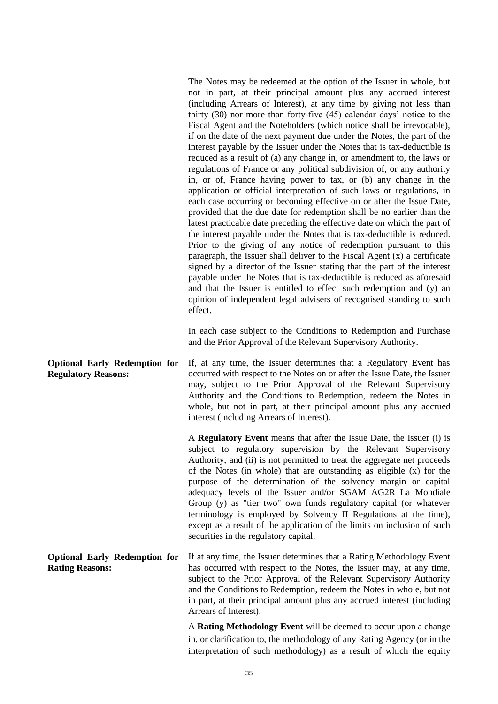The Notes may be redeemed at the option of the Issuer in whole, but not in part, at their principal amount plus any accrued interest (including Arrears of Interest), at any time by giving not less than thirty (30) nor more than forty-five (45) calendar days' notice to the Fiscal Agent and the Noteholders (which notice shall be irrevocable), if on the date of the next payment due under the Notes, the part of the interest payable by the Issuer under the Notes that is tax-deductible is reduced as a result of (a) any change in, or amendment to, the laws or regulations of France or any political subdivision of, or any authority in, or of, France having power to tax, or (b) any change in the application or official interpretation of such laws or regulations, in each case occurring or becoming effective on or after the Issue Date, provided that the due date for redemption shall be no earlier than the latest practicable date preceding the effective date on which the part of the interest payable under the Notes that is tax-deductible is reduced. Prior to the giving of any notice of redemption pursuant to this paragraph, the Issuer shall deliver to the Fiscal Agent (x) a certificate signed by a director of the Issuer stating that the part of the interest payable under the Notes that is tax-deductible is reduced as aforesaid and that the Issuer is entitled to effect such redemption and (y) an opinion of independent legal advisers of recognised standing to such effect.

In each case subject to the Conditions to Redemption and Purchase and the Prior Approval of the Relevant Supervisory Authority.

**Optional Early Redemption for Regulatory Reasons:** If, at any time, the Issuer determines that a Regulatory Event has occurred with respect to the Notes on or after the Issue Date, the Issuer may, subject to the Prior Approval of the Relevant Supervisory Authority and the Conditions to Redemption, redeem the Notes in whole, but not in part, at their principal amount plus any accrued interest (including Arrears of Interest).

> A **Regulatory Event** means that after the Issue Date, the Issuer (i) is subject to regulatory supervision by the Relevant Supervisory Authority, and (ii) is not permitted to treat the aggregate net proceeds of the Notes (in whole) that are outstanding as eligible (x) for the purpose of the determination of the solvency margin or capital adequacy levels of the Issuer and/or SGAM AG2R La Mondiale Group (y) as "tier two" own funds regulatory capital (or whatever terminology is employed by Solvency II Regulations at the time), except as a result of the application of the limits on inclusion of such securities in the regulatory capital.

**Optional Early Redemption for Rating Reasons:** If at any time, the Issuer determines that a Rating Methodology Event has occurred with respect to the Notes, the Issuer may, at any time, subject to the Prior Approval of the Relevant Supervisory Authority and the Conditions to Redemption, redeem the Notes in whole, but not in part, at their principal amount plus any accrued interest (including Arrears of Interest).

> A **Rating Methodology Event** will be deemed to occur upon a change in, or clarification to, the methodology of any Rating Agency (or in the interpretation of such methodology) as a result of which the equity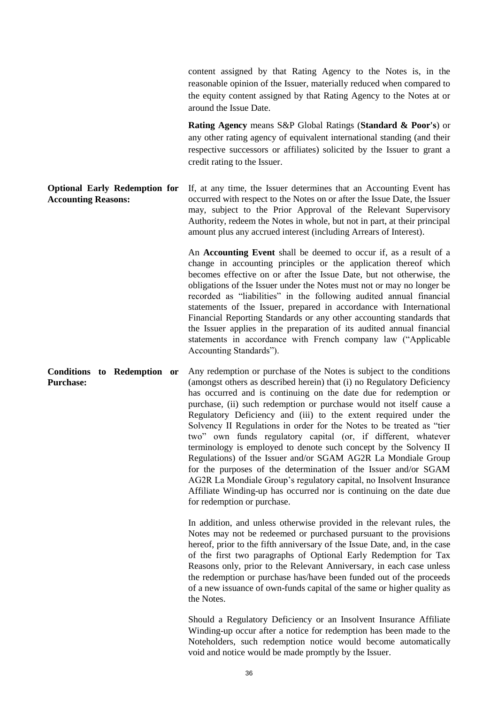content assigned by that Rating Agency to the Notes is, in the reasonable opinion of the Issuer, materially reduced when compared to the equity content assigned by that Rating Agency to the Notes at or around the Issue Date.

**Rating Agency** means S&P Global Ratings (**Standard & Poor's**) or any other rating agency of equivalent international standing (and their respective successors or affiliates) solicited by the Issuer to grant a credit rating to the Issuer.

**Accounting Reasons:** If, at any time, the Issuer determines that an Accounting Event has occurred with respect to the Notes on or after the Issue Date, the Issuer may, subject to the Prior Approval of the Relevant Supervisory Authority, redeem the Notes in whole, but not in part, at their principal amount plus any accrued interest (including Arrears of Interest).

> An **Accounting Event** shall be deemed to occur if, as a result of a change in accounting principles or the application thereof which becomes effective on or after the Issue Date, but not otherwise, the obligations of the Issuer under the Notes must not or may no longer be recorded as "liabilities" in the following audited annual financial statements of the Issuer, prepared in accordance with International Financial Reporting Standards or any other accounting standards that the Issuer applies in the preparation of its audited annual financial statements in accordance with French company law ("Applicable Accounting Standards").

**Purchase:** Any redemption or purchase of the Notes is subject to the conditions (amongst others as described herein) that (i) no Regulatory Deficiency has occurred and is continuing on the date due for redemption or purchase, (ii) such redemption or purchase would not itself cause a Regulatory Deficiency and (iii) to the extent required under the Solvency II Regulations in order for the Notes to be treated as "tier two" own funds regulatory capital (or, if different, whatever terminology is employed to denote such concept by the Solvency II Regulations) of the Issuer and/or SGAM AG2R La Mondiale Group for the purposes of the determination of the Issuer and/or SGAM AG2R La Mondiale Group's regulatory capital, no Insolvent Insurance Affiliate Winding-up has occurred nor is continuing on the date due for redemption or purchase.

> In addition, and unless otherwise provided in the relevant rules, the Notes may not be redeemed or purchased pursuant to the provisions hereof, prior to the fifth anniversary of the Issue Date, and, in the case of the first two paragraphs of Optional Early Redemption for Tax Reasons only, prior to the Relevant Anniversary, in each case unless the redemption or purchase has/have been funded out of the proceeds of a new issuance of own-funds capital of the same or higher quality as the Notes.

> Should a Regulatory Deficiency or an Insolvent Insurance Affiliate Winding-up occur after a notice for redemption has been made to the Noteholders, such redemption notice would become automatically void and notice would be made promptly by the Issuer.

**Optional Early Redemption for** 

**Conditions to Redemption or**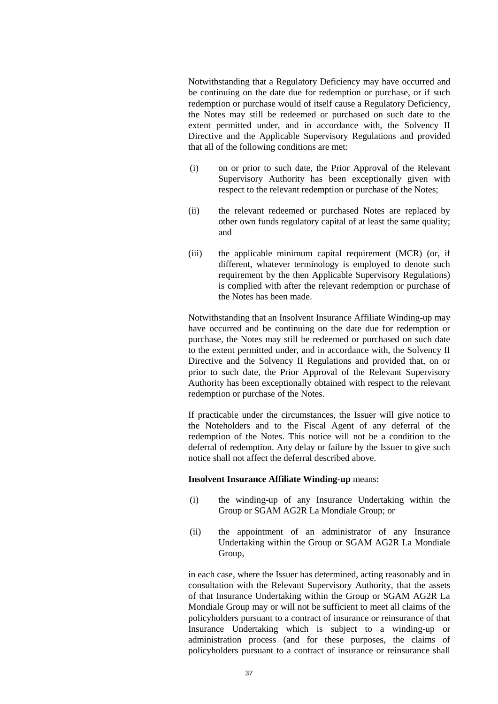Notwithstanding that a Regulatory Deficiency may have occurred and be continuing on the date due for redemption or purchase, or if such redemption or purchase would of itself cause a Regulatory Deficiency, the Notes may still be redeemed or purchased on such date to the extent permitted under, and in accordance with, the Solvency II Directive and the Applicable Supervisory Regulations and provided that all of the following conditions are met:

- (i) on or prior to such date, the Prior Approval of the Relevant Supervisory Authority has been exceptionally given with respect to the relevant redemption or purchase of the Notes;
- (ii) the relevant redeemed or purchased Notes are replaced by other own funds regulatory capital of at least the same quality; and
- (iii) the applicable minimum capital requirement (MCR) (or, if different, whatever terminology is employed to denote such requirement by the then Applicable Supervisory Regulations) is complied with after the relevant redemption or purchase of the Notes has been made.

Notwithstanding that an Insolvent Insurance Affiliate Winding-up may have occurred and be continuing on the date due for redemption or purchase, the Notes may still be redeemed or purchased on such date to the extent permitted under, and in accordance with, the Solvency II Directive and the Solvency II Regulations and provided that, on or prior to such date, the Prior Approval of the Relevant Supervisory Authority has been exceptionally obtained with respect to the relevant redemption or purchase of the Notes.

If practicable under the circumstances, the Issuer will give notice to the Noteholders and to the Fiscal Agent of any deferral of the redemption of the Notes. This notice will not be a condition to the deferral of redemption. Any delay or failure by the Issuer to give such notice shall not affect the deferral described above.

## **Insolvent Insurance Affiliate Winding-up** means:

- (i) the winding-up of any Insurance Undertaking within the Group or SGAM AG2R La Mondiale Group; or
- (ii) the appointment of an administrator of any Insurance Undertaking within the Group or SGAM AG2R La Mondiale Group,

in each case, where the Issuer has determined, acting reasonably and in consultation with the Relevant Supervisory Authority, that the assets of that Insurance Undertaking within the Group or SGAM AG2R La Mondiale Group may or will not be sufficient to meet all claims of the policyholders pursuant to a contract of insurance or reinsurance of that Insurance Undertaking which is subject to a winding-up or administration process (and for these purposes, the claims of policyholders pursuant to a contract of insurance or reinsurance shall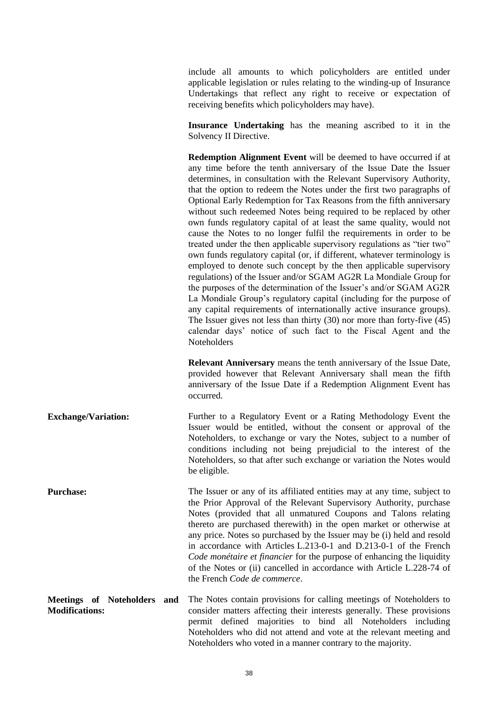include all amounts to which policyholders are entitled under applicable legislation or rules relating to the winding-up of Insurance Undertakings that reflect any right to receive or expectation of receiving benefits which policyholders may have).

**Insurance Undertaking** has the meaning ascribed to it in the Solvency II Directive.

**Redemption Alignment Event** will be deemed to have occurred if at any time before the tenth anniversary of the Issue Date the Issuer determines, in consultation with the Relevant Supervisory Authority, that the option to redeem the Notes under the first two paragraphs of Optional Early Redemption for Tax Reasons from the fifth anniversary without such redeemed Notes being required to be replaced by other own funds regulatory capital of at least the same quality, would not cause the Notes to no longer fulfil the requirements in order to be treated under the then applicable supervisory regulations as "tier two" own funds regulatory capital (or, if different, whatever terminology is employed to denote such concept by the then applicable supervisory regulations) of the Issuer and/or SGAM AG2R La Mondiale Group for the purposes of the determination of the Issuer's and/or SGAM AG2R La Mondiale Group's regulatory capital (including for the purpose of any capital requirements of internationally active insurance groups). The Issuer gives not less than thirty (30) nor more than forty-five (45) calendar days' notice of such fact to the Fiscal Agent and the **Noteholders** 

**Relevant Anniversary** means the tenth anniversary of the Issue Date, provided however that Relevant Anniversary shall mean the fifth anniversary of the Issue Date if a Redemption Alignment Event has occurred.

**Exchange/Variation:** Further to a Regulatory Event or a Rating Methodology Event the Issuer would be entitled, without the consent or approval of the Noteholders, to exchange or vary the Notes, subject to a number of conditions including not being prejudicial to the interest of the Noteholders, so that after such exchange or variation the Notes would be eligible.

**Purchase:** The Issuer or any of its affiliated entities may at any time, subject to the Prior Approval of the Relevant Supervisory Authority, purchase Notes (provided that all unmatured Coupons and Talons relating thereto are purchased therewith) in the open market or otherwise at any price. Notes so purchased by the Issuer may be (i) held and resold in accordance with Articles L.213-0-1 and D.213-0-1 of the French *Code monétaire et financier* for the purpose of enhancing the liquidity of the Notes or (ii) cancelled in accordance with Article L.228-74 of the French *Code de commerce*.

**Meetings of Noteholders and Modifications:** The Notes contain provisions for calling meetings of Noteholders to consider matters affecting their interests generally. These provisions permit defined majorities to bind all Noteholders including Noteholders who did not attend and vote at the relevant meeting and Noteholders who voted in a manner contrary to the majority.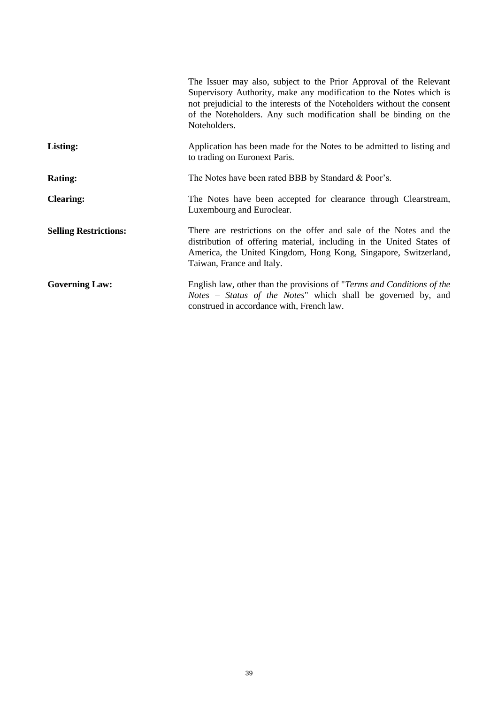|                              | The Issuer may also, subject to the Prior Approval of the Relevant<br>Supervisory Authority, make any modification to the Notes which is<br>not prejudicial to the interests of the Noteholders without the consent<br>of the Noteholders. Any such modification shall be binding on the<br>Noteholders. |
|------------------------------|----------------------------------------------------------------------------------------------------------------------------------------------------------------------------------------------------------------------------------------------------------------------------------------------------------|
| <b>Listing:</b>              | Application has been made for the Notes to be admitted to listing and<br>to trading on Euronext Paris.                                                                                                                                                                                                   |
| <b>Rating:</b>               | The Notes have been rated BBB by Standard & Poor's.                                                                                                                                                                                                                                                      |
| <b>Clearing:</b>             | The Notes have been accepted for clearance through Clearstream,<br>Luxembourg and Euroclear.                                                                                                                                                                                                             |
| <b>Selling Restrictions:</b> | There are restrictions on the offer and sale of the Notes and the<br>distribution of offering material, including in the United States of<br>America, the United Kingdom, Hong Kong, Singapore, Switzerland,<br>Taiwan, France and Italy.                                                                |
| <b>Governing Law:</b>        | English law, other than the provisions of " <i>Terms and Conditions of the</i><br><i>Notes – Status of the Notes</i> " which shall be governed by, and<br>construed in accordance with, French law.                                                                                                      |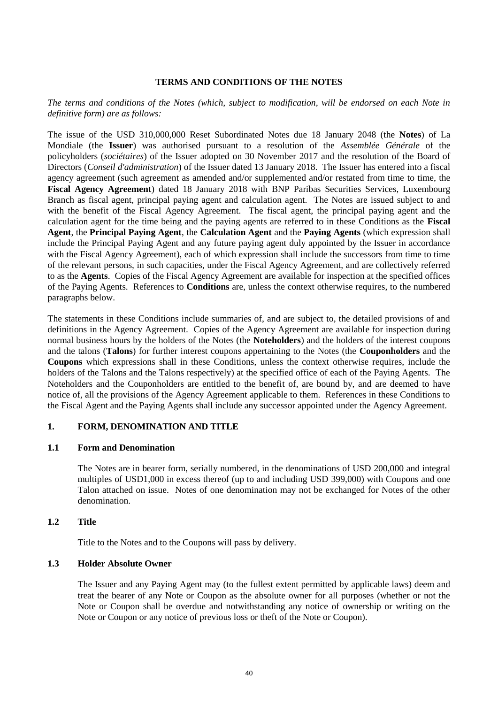## **TERMS AND CONDITIONS OF THE NOTES**

*The terms and conditions of the Notes (which, subject to modification, will be endorsed on each Note in definitive form) are as follows:*

The issue of the USD 310,000,000 Reset Subordinated Notes due 18 January 2048 (the **Notes**) of La Mondiale (the **Issuer**) was authorised pursuant to a resolution of the *Assemblée Générale* of the policyholders (*sociétaires*) of the Issuer adopted on 30 November 2017 and the resolution of the Board of Directors (*Conseil d'administration*) of the Issuer dated 13 January 2018. The Issuer has entered into a fiscal agency agreement (such agreement as amended and/or supplemented and/or restated from time to time, the **Fiscal Agency Agreement**) dated 18 January 2018 with BNP Paribas Securities Services, Luxembourg Branch as fiscal agent, principal paying agent and calculation agent. The Notes are issued subject to and with the benefit of the Fiscal Agency Agreement. The fiscal agent, the principal paying agent and the calculation agent for the time being and the paying agents are referred to in these Conditions as the **Fiscal Agent**, the **Principal Paying Agent**, the **Calculation Agent** and the **Paying Agents** (which expression shall include the Principal Paying Agent and any future paying agent duly appointed by the Issuer in accordance with the Fiscal Agency Agreement), each of which expression shall include the successors from time to time of the relevant persons, in such capacities, under the Fiscal Agency Agreement, and are collectively referred to as the **Agents**. Copies of the Fiscal Agency Agreement are available for inspection at the specified offices of the Paying Agents. References to **Conditions** are, unless the context otherwise requires, to the numbered paragraphs below.

The statements in these Conditions include summaries of, and are subject to, the detailed provisions of and definitions in the Agency Agreement. Copies of the Agency Agreement are available for inspection during normal business hours by the holders of the Notes (the **Noteholders**) and the holders of the interest coupons and the talons (**Talons**) for further interest coupons appertaining to the Notes (the **Couponholders** and the **Coupons** which expressions shall in these Conditions, unless the context otherwise requires, include the holders of the Talons and the Talons respectively) at the specified office of each of the Paying Agents. The Noteholders and the Couponholders are entitled to the benefit of, are bound by, and are deemed to have notice of, all the provisions of the Agency Agreement applicable to them. References in these Conditions to the Fiscal Agent and the Paying Agents shall include any successor appointed under the Agency Agreement.

#### **1. FORM, DENOMINATION AND TITLE**

#### **1.1 Form and Denomination**

The Notes are in bearer form, serially numbered, in the denominations of USD 200,000 and integral multiples of USD1,000 in excess thereof (up to and including USD 399,000) with Coupons and one Talon attached on issue. Notes of one denomination may not be exchanged for Notes of the other denomination.

#### **1.2 Title**

Title to the Notes and to the Coupons will pass by delivery.

#### **1.3 Holder Absolute Owner**

The Issuer and any Paying Agent may (to the fullest extent permitted by applicable laws) deem and treat the bearer of any Note or Coupon as the absolute owner for all purposes (whether or not the Note or Coupon shall be overdue and notwithstanding any notice of ownership or writing on the Note or Coupon or any notice of previous loss or theft of the Note or Coupon).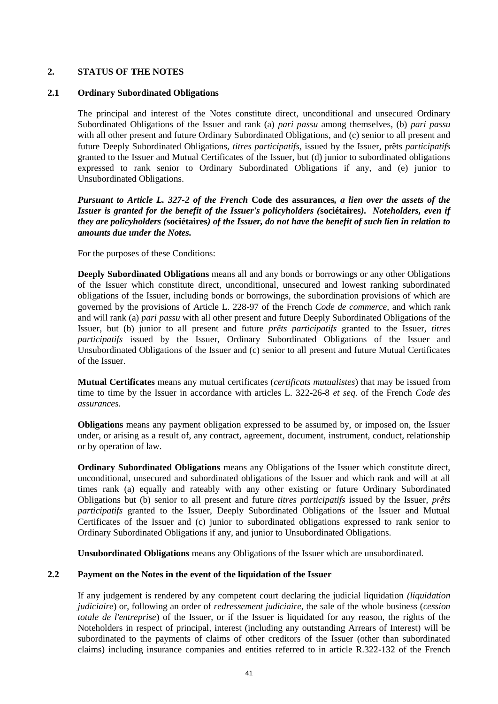# <span id="page-41-0"></span>**2. STATUS OF THE NOTES**

#### **2.1 Ordinary Subordinated Obligations**

The principal and interest of the Notes constitute direct, unconditional and unsecured Ordinary Subordinated Obligations of the Issuer and rank (a) *pari passu* among themselves, (b) *pari passu* with all other present and future Ordinary Subordinated Obligations, and (c) senior to all present and future Deeply Subordinated Obligations, *titres participatifs,* issued by the Issuer, prêts *participatifs* granted to the Issuer and Mutual Certificates of the Issuer, but (d) junior to subordinated obligations expressed to rank senior to Ordinary Subordinated Obligations if any, and (e) junior to Unsubordinated Obligations.

*Pursuant to Article L. 327-2 of the French* **Code des assurances***, a lien over the assets of the Issuer is granted for the benefit of the Issuer's policyholders (***sociétaires***).**Noteholders, even if they are policyholders (***sociétaires***) of the Issuer, do not have the benefit of such lien in relation to amounts due under the Notes.*

For the purposes of these Conditions:

**Deeply Subordinated Obligations** means all and any bonds or borrowings or any other Obligations of the Issuer which constitute direct, unconditional, unsecured and lowest ranking subordinated obligations of the Issuer, including bonds or borrowings, the subordination provisions of which are governed by the provisions of Article L. 228-97 of the French *Code de commerce,* and which rank and will rank (a) *pari passu* with all other present and future Deeply Subordinated Obligations of the Issuer, but (b) junior to all present and future *prêts participatifs* granted to the Issuer, *titres participatifs* issued by the Issuer, Ordinary Subordinated Obligations of the Issuer and Unsubordinated Obligations of the Issuer and (c) senior to all present and future Mutual Certificates of the Issuer.

**Mutual Certificates** means any mutual certificates (*certificats mutualistes*) that may be issued from time to time by the Issuer in accordance with articles L. 322-26-8 *et seq.* of the French *Code des assurances.* 

**Obligations** means any payment obligation expressed to be assumed by, or imposed on, the Issuer under, or arising as a result of, any contract, agreement, document, instrument, conduct, relationship or by operation of law.

**Ordinary Subordinated Obligations** means any Obligations of the Issuer which constitute direct, unconditional, unsecured and subordinated obligations of the Issuer and which rank and will at all times rank (a) equally and rateably with any other existing or future Ordinary Subordinated Obligations but (b) senior to all present and future *titres participatifs* issued by the Issuer, *prêts participatifs* granted to the Issuer, Deeply Subordinated Obligations of the Issuer and Mutual Certificates of the Issuer and (c) junior to subordinated obligations expressed to rank senior to Ordinary Subordinated Obligations if any, and junior to Unsubordinated Obligations.

**Unsubordinated Obligations** means any Obligations of the Issuer which are unsubordinated.

## **2.2 Payment on the Notes in the event of the liquidation of the Issuer**

If any judgement is rendered by any competent court declaring the judicial liquidation *(liquidation judiciaire*) or, following an order of *redressement judiciaire*, the sale of the whole business (*cession totale de l'entreprise*) of the Issuer, or if the Issuer is liquidated for any reason, the rights of the Noteholders in respect of principal, interest (including any outstanding Arrears of Interest) will be subordinated to the payments of claims of other creditors of the Issuer (other than subordinated claims) including insurance companies and entities referred to in article R.322-132 of the French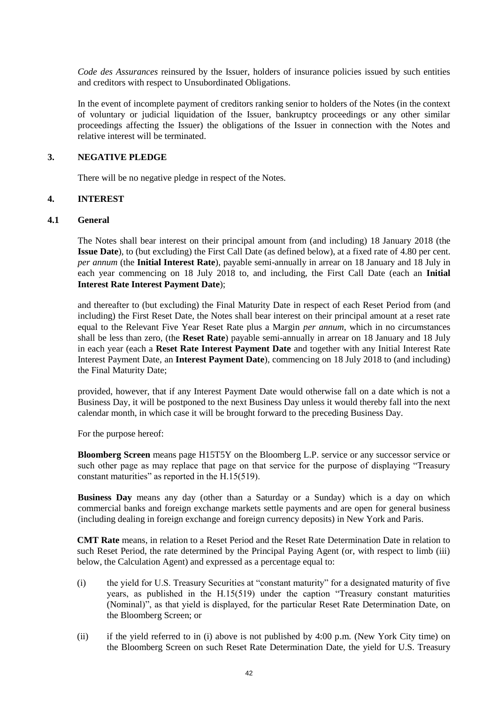*Code des Assurances* reinsured by the Issuer, holders of insurance policies issued by such entities and creditors with respect to Unsubordinated Obligations.

In the event of incomplete payment of creditors ranking senior to holders of the Notes (in the context of voluntary or judicial liquidation of the Issuer, bankruptcy proceedings or any other similar proceedings affecting the Issuer) the obligations of the Issuer in connection with the Notes and relative interest will be terminated.

#### **3. NEGATIVE PLEDGE**

There will be no negative pledge in respect of the Notes.

## <span id="page-42-0"></span>**4. INTEREST**

#### **4.1 General**

The Notes shall bear interest on their principal amount from (and including) 18 January 2018 (the **Issue Date**), to (but excluding) the First Call Date (as defined below), at a fixed rate of 4.80 per cent. *per annum* (the **Initial Interest Rate**), payable semi-annually in arrear on 18 January and 18 July in each year commencing on 18 July 2018 to, and including, the First Call Date (each an **Initial Interest Rate Interest Payment Date**);

and thereafter to (but excluding) the Final Maturity Date in respect of each Reset Period from (and including) the First Reset Date, the Notes shall bear interest on their principal amount at a reset rate equal to the Relevant Five Year Reset Rate plus a Margin *per annum*, which in no circumstances shall be less than zero, (the **Reset Rate**) payable semi-annually in arrear on 18 January and 18 July in each year (each a **Reset Rate Interest Payment Date** and together with any Initial Interest Rate Interest Payment Date, an **Interest Payment Date**), commencing on 18 July 2018 to (and including) the Final Maturity Date;

provided, however, that if any Interest Payment Date would otherwise fall on a date which is not a Business Day, it will be postponed to the next Business Day unless it would thereby fall into the next calendar month, in which case it will be brought forward to the preceding Business Day.

For the purpose hereof:

**Bloomberg Screen** means page H15T5Y on the Bloomberg L.P. service or any successor service or such other page as may replace that page on that service for the purpose of displaying "Treasury constant maturities" as reported in the H.15(519).

**Business Day** means any day (other than a Saturday or a Sunday) which is a day on which commercial banks and foreign exchange markets settle payments and are open for general business (including dealing in foreign exchange and foreign currency deposits) in New York and Paris.

**CMT Rate** means, in relation to a Reset Period and the Reset Rate Determination Date in relation to such Reset Period, the rate determined by the Principal Paying Agent (or, with respect to limb (iii) below, the Calculation Agent) and expressed as a percentage equal to:

- (i) the yield for U.S. Treasury Securities at "constant maturity" for a designated maturity of five years, as published in the H.15(519) under the caption "Treasury constant maturities (Nominal)", as that yield is displayed, for the particular Reset Rate Determination Date, on the Bloomberg Screen; or
- (ii) if the yield referred to in (i) above is not published by 4:00 p.m. (New York City time) on the Bloomberg Screen on such Reset Rate Determination Date, the yield for U.S. Treasury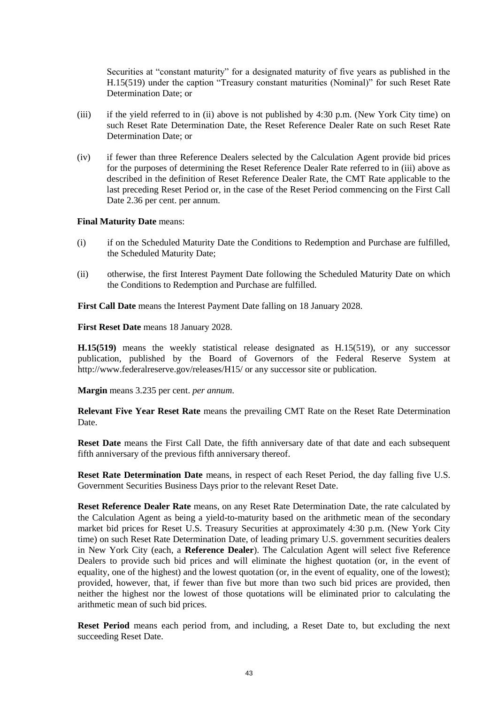Securities at "constant maturity" for a designated maturity of five years as published in the H.15(519) under the caption "Treasury constant maturities (Nominal)" for such Reset Rate Determination Date; or

- (iii) if the yield referred to in (ii) above is not published by 4:30 p.m. (New York City time) on such Reset Rate Determination Date, the Reset Reference Dealer Rate on such Reset Rate Determination Date; or
- (iv) if fewer than three Reference Dealers selected by the Calculation Agent provide bid prices for the purposes of determining the Reset Reference Dealer Rate referred to in (iii) above as described in the definition of Reset Reference Dealer Rate, the CMT Rate applicable to the last preceding Reset Period or, in the case of the Reset Period commencing on the First Call Date 2.36 per cent. per annum.

#### **Final Maturity Date** means:

- (i) if on the Scheduled Maturity Date the Conditions to Redemption and Purchase are fulfilled, the Scheduled Maturity Date;
- (ii) otherwise, the first Interest Payment Date following the Scheduled Maturity Date on which the Conditions to Redemption and Purchase are fulfilled.

**First Call Date** means the Interest Payment Date falling on 18 January 2028.

**First Reset Date** means 18 January 2028.

**H.15(519)** means the weekly statistical release designated as H.15(519), or any successor publication, published by the Board of Governors of the Federal Reserve System at http://www.federalreserve.gov/releases/H15/ or any successor site or publication.

**Margin** means 3.235 per cent. *per annum*.

**Relevant Five Year Reset Rate** means the prevailing CMT Rate on the Reset Rate Determination Date.

**Reset Date** means the First Call Date, the fifth anniversary date of that date and each subsequent fifth anniversary of the previous fifth anniversary thereof.

**Reset Rate Determination Date** means, in respect of each Reset Period, the day falling five U.S. Government Securities Business Days prior to the relevant Reset Date.

**Reset Reference Dealer Rate** means, on any Reset Rate Determination Date, the rate calculated by the Calculation Agent as being a yield-to-maturity based on the arithmetic mean of the secondary market bid prices for Reset U.S. Treasury Securities at approximately 4:30 p.m. (New York City time) on such Reset Rate Determination Date, of leading primary U.S. government securities dealers in New York City (each, a **Reference Dealer**). The Calculation Agent will select five Reference Dealers to provide such bid prices and will eliminate the highest quotation (or, in the event of equality, one of the highest) and the lowest quotation (or, in the event of equality, one of the lowest); provided, however, that, if fewer than five but more than two such bid prices are provided, then neither the highest nor the lowest of those quotations will be eliminated prior to calculating the arithmetic mean of such bid prices.

**Reset Period** means each period from, and including, a Reset Date to, but excluding the next succeeding Reset Date.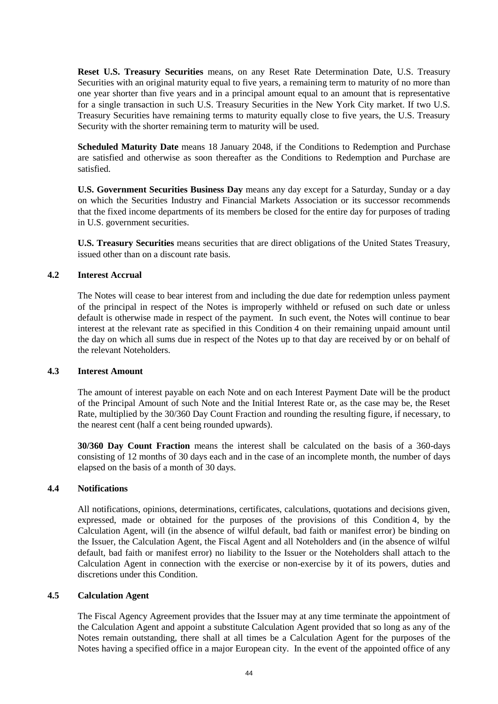**Reset U.S. Treasury Securities** means, on any Reset Rate Determination Date, U.S. Treasury Securities with an original maturity equal to five years, a remaining term to maturity of no more than one year shorter than five years and in a principal amount equal to an amount that is representative for a single transaction in such U.S. Treasury Securities in the New York City market. If two U.S. Treasury Securities have remaining terms to maturity equally close to five years, the U.S. Treasury Security with the shorter remaining term to maturity will be used.

**Scheduled Maturity Date** means 18 January 2048, if the Conditions to Redemption and Purchase are satisfied and otherwise as soon thereafter as the Conditions to Redemption and Purchase are satisfied.

**U.S. Government Securities Business Day** means any day except for a Saturday, Sunday or a day on which the Securities Industry and Financial Markets Association or its successor recommends that the fixed income departments of its members be closed for the entire day for purposes of trading in U.S. government securities.

**U.S. Treasury Securities** means securities that are direct obligations of the United States Treasury, issued other than on a discount rate basis.

## **4.2 Interest Accrual**

The Notes will cease to bear interest from and including the due date for redemption unless payment of the principal in respect of the Notes is improperly withheld or refused on such date or unless default is otherwise made in respect of the payment. In such event, the Notes will continue to bear interest at the relevant rate as specified in this Condition [4](#page-42-0) on their remaining unpaid amount until the day on which all sums due in respect of the Notes up to that day are received by or on behalf of the relevant Noteholders.

#### **4.3 Interest Amount**

The amount of interest payable on each Note and on each Interest Payment Date will be the product of the Principal Amount of such Note and the Initial Interest Rate or, as the case may be, the Reset Rate, multiplied by the 30/360 Day Count Fraction and rounding the resulting figure, if necessary, to the nearest cent (half a cent being rounded upwards).

**30/360 Day Count Fraction** means the interest shall be calculated on the basis of a 360-days consisting of 12 months of 30 days each and in the case of an incomplete month, the number of days elapsed on the basis of a month of 30 days.

# **4.4 Notifications**

All notifications, opinions, determinations, certificates, calculations, quotations and decisions given, expressed, made or obtained for the purposes of the provisions of this Condition [4,](#page-42-0) by the Calculation Agent, will (in the absence of wilful default, bad faith or manifest error) be binding on the Issuer, the Calculation Agent, the Fiscal Agent and all Noteholders and (in the absence of wilful default, bad faith or manifest error) no liability to the Issuer or the Noteholders shall attach to the Calculation Agent in connection with the exercise or non-exercise by it of its powers, duties and discretions under this Condition.

#### **4.5 Calculation Agent**

The Fiscal Agency Agreement provides that the Issuer may at any time terminate the appointment of the Calculation Agent and appoint a substitute Calculation Agent provided that so long as any of the Notes remain outstanding, there shall at all times be a Calculation Agent for the purposes of the Notes having a specified office in a major European city. In the event of the appointed office of any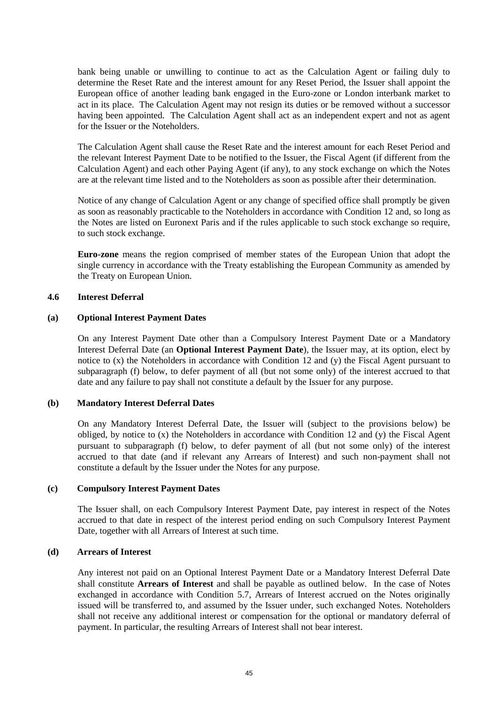bank being unable or unwilling to continue to act as the Calculation Agent or failing duly to determine the Reset Rate and the interest amount for any Reset Period, the Issuer shall appoint the European office of another leading bank engaged in the Euro-zone or London interbank market to act in its place. The Calculation Agent may not resign its duties or be removed without a successor having been appointed. The Calculation Agent shall act as an independent expert and not as agent for the Issuer or the Noteholders.

The Calculation Agent shall cause the Reset Rate and the interest amount for each Reset Period and the relevant Interest Payment Date to be notified to the Issuer, the Fiscal Agent (if different from the Calculation Agent) and each other Paying Agent (if any), to any stock exchange on which the Notes are at the relevant time listed and to the Noteholders as soon as possible after their determination.

Notice of any change of Calculation Agent or any change of specified office shall promptly be given as soon as reasonably practicable to the Noteholders in accordance with Condition [12](#page-58-0) and, so long as the Notes are listed on Euronext Paris and if the rules applicable to such stock exchange so require, to such stock exchange.

**Euro-zone** means the region comprised of member states of the European Union that adopt the single currency in accordance with the Treaty establishing the European Community as amended by the Treaty on European Union.

# <span id="page-45-1"></span><span id="page-45-0"></span>**4.6 Interest Deferral**

#### **(a) Optional Interest Payment Dates**

On any Interest Payment Date other than a Compulsory Interest Payment Date or a Mandatory Interest Deferral Date (an **Optional Interest Payment Date**), the Issuer may, at its option, elect by notice to (x) the Noteholders in accordance with Condition [12](#page-58-0) and (y) the Fiscal Agent pursuant to subparagraph [\(f\) below,](#page-48-0) to defer payment of all (but not some only) of the interest accrued to that date and any failure to pay shall not constitute a default by the Issuer for any purpose.

## **(b) Mandatory Interest Deferral Dates**

On any Mandatory Interest Deferral Date, the Issuer will (subject to the provisions below) be obliged, by notice to (x) the Noteholders in accordance with Condition [12](#page-58-0) and (y) the Fiscal Agent pursuant to subparagraph [\(f\) below,](#page-48-0) to defer payment of all (but not some only) of the interest accrued to that date (and if relevant any Arrears of Interest) and such non-payment shall not constitute a default by the Issuer under the Notes for any purpose.

#### **(c) Compulsory Interest Payment Dates**

The Issuer shall, on each Compulsory Interest Payment Date, pay interest in respect of the Notes accrued to that date in respect of the interest period ending on such Compulsory Interest Payment Date, together with all Arrears of Interest at such time.

#### **(d) Arrears of Interest**

Any interest not paid on an Optional Interest Payment Date or a Mandatory Interest Deferral Date shall constitute **Arrears of Interest** and shall be payable as outlined below. In the case of Notes exchanged in accordance with Condition [5.7,](#page-50-0) Arrears of Interest accrued on the Notes originally issued will be transferred to, and assumed by the Issuer under, such exchanged Notes. Noteholders shall not receive any additional interest or compensation for the optional or mandatory deferral of payment. In particular, the resulting Arrears of Interest shall not bear interest.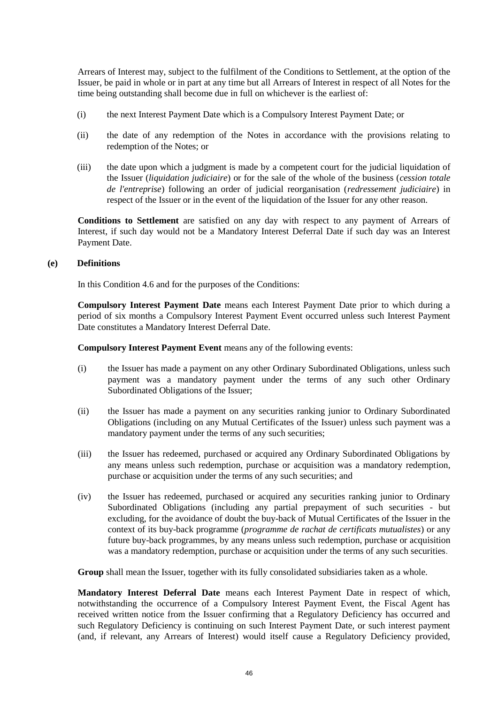Arrears of Interest may, subject to the fulfilment of the Conditions to Settlement, at the option of the Issuer, be paid in whole or in part at any time but all Arrears of Interest in respect of all Notes for the time being outstanding shall become due in full on whichever is the earliest of:

- (i) the next Interest Payment Date which is a Compulsory Interest Payment Date; or
- (ii) the date of any redemption of the Notes in accordance with the provisions relating to redemption of the Notes; or
- (iii) the date upon which a judgment is made by a competent court for the judicial liquidation of the Issuer (*liquidation judiciaire*) or for the sale of the whole of the business (*cession totale de l'entreprise*) following an order of judicial reorganisation (*redressement judiciaire*) in respect of the Issuer or in the event of the liquidation of the Issuer for any other reason.

**Conditions to Settlement** are satisfied on any day with respect to any payment of Arrears of Interest, if such day would not be a Mandatory Interest Deferral Date if such day was an Interest Payment Date.

#### **(e) Definitions**

In this Condition [4.6](#page-45-0) and for the purposes of the Conditions:

**Compulsory Interest Payment Date** means each Interest Payment Date prior to which during a period of six months a Compulsory Interest Payment Event occurred unless such Interest Payment Date constitutes a Mandatory Interest Deferral Date.

**Compulsory Interest Payment Event** means any of the following events:

- (i) the Issuer has made a payment on any other Ordinary Subordinated Obligations, unless such payment was a mandatory payment under the terms of any such other Ordinary Subordinated Obligations of the Issuer;
- (ii) the Issuer has made a payment on any securities ranking junior to Ordinary Subordinated Obligations (including on any Mutual Certificates of the Issuer) unless such payment was a mandatory payment under the terms of any such securities;
- (iii) the Issuer has redeemed, purchased or acquired any Ordinary Subordinated Obligations by any means unless such redemption, purchase or acquisition was a mandatory redemption, purchase or acquisition under the terms of any such securities; and
- (iv) the Issuer has redeemed, purchased or acquired any securities ranking junior to Ordinary Subordinated Obligations (including any partial prepayment of such securities - but excluding, for the avoidance of doubt the buy-back of Mutual Certificates of the Issuer in the context of its buy-back programme (*programme de rachat de certificats mutualistes*) or any future buy-back programmes, by any means unless such redemption, purchase or acquisition was a mandatory redemption, purchase or acquisition under the terms of any such securities.

**Group** shall mean the Issuer, together with its fully consolidated subsidiaries taken as a whole.

**Mandatory Interest Deferral Date** means each Interest Payment Date in respect of which, notwithstanding the occurrence of a Compulsory Interest Payment Event, the Fiscal Agent has received written notice from the Issuer confirming that a Regulatory Deficiency has occurred and such Regulatory Deficiency is continuing on such Interest Payment Date, or such interest payment (and, if relevant, any Arrears of Interest) would itself cause a Regulatory Deficiency provided,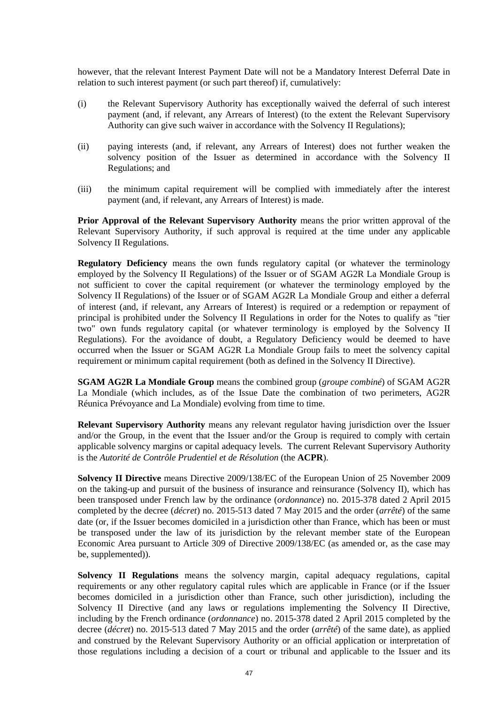however, that the relevant Interest Payment Date will not be a Mandatory Interest Deferral Date in relation to such interest payment (or such part thereof) if, cumulatively:

- (i) the Relevant Supervisory Authority has exceptionally waived the deferral of such interest payment (and, if relevant, any Arrears of Interest) (to the extent the Relevant Supervisory Authority can give such waiver in accordance with the Solvency II Regulations);
- (ii) paying interests (and, if relevant, any Arrears of Interest) does not further weaken the solvency position of the Issuer as determined in accordance with the Solvency II Regulations; and
- (iii) the minimum capital requirement will be complied with immediately after the interest payment (and, if relevant, any Arrears of Interest) is made.

**Prior Approval of the Relevant Supervisory Authority** means the prior written approval of the Relevant Supervisory Authority, if such approval is required at the time under any applicable Solvency II Regulations.

**Regulatory Deficiency** means the own funds regulatory capital (or whatever the terminology employed by the Solvency II Regulations) of the Issuer or of SGAM AG2R La Mondiale Group is not sufficient to cover the capital requirement (or whatever the terminology employed by the Solvency II Regulations) of the Issuer or of SGAM AG2R La Mondiale Group and either a deferral of interest (and, if relevant, any Arrears of Interest) is required or a redemption or repayment of principal is prohibited under the Solvency II Regulations in order for the Notes to qualify as "tier two" own funds regulatory capital (or whatever terminology is employed by the Solvency II Regulations). For the avoidance of doubt, a Regulatory Deficiency would be deemed to have occurred when the Issuer or SGAM AG2R La Mondiale Group fails to meet the solvency capital requirement or minimum capital requirement (both as defined in the Solvency II Directive).

**SGAM AG2R La Mondiale Group** means the combined group (*groupe combiné*) of SGAM AG2R La Mondiale (which includes, as of the Issue Date the combination of two perimeters, AG2R Réunica Prévoyance and La Mondiale) evolving from time to time.

**Relevant Supervisory Authority** means any relevant regulator having jurisdiction over the Issuer and/or the Group, in the event that the Issuer and/or the Group is required to comply with certain applicable solvency margins or capital adequacy levels. The current Relevant Supervisory Authority is the *Autorité de Contrôle Prudentiel et de Résolution* (the **ACPR**).

**Solvency II Directive** means Directive 2009/138/EC of the European Union of 25 November 2009 on the taking-up and pursuit of the business of insurance and reinsurance (Solvency II), which has been transposed under French law by the ordinance (*ordonnance*) no. 2015-378 dated 2 April 2015 completed by the decree (*décret*) no. 2015-513 dated 7 May 2015 and the order (*arrêté*) of the same date (or, if the Issuer becomes domiciled in a jurisdiction other than France, which has been or must be transposed under the law of its jurisdiction by the relevant member state of the European Economic Area pursuant to Article 309 of Directive 2009/138/EC (as amended or, as the case may be, supplemented)).

**Solvency II Regulations** means the solvency margin, capital adequacy regulations, capital requirements or any other regulatory capital rules which are applicable in France (or if the Issuer becomes domiciled in a jurisdiction other than France, such other jurisdiction), including the Solvency II Directive (and any laws or regulations implementing the Solvency II Directive, including by the French ordinance (*ordonnance*) no. 2015-378 dated 2 April 2015 completed by the decree (*décret*) no. 2015-513 dated 7 May 2015 and the order (*arrêté*) of the same date), as applied and construed by the Relevant Supervisory Authority or an official application or interpretation of those regulations including a decision of a court or tribunal and applicable to the Issuer and its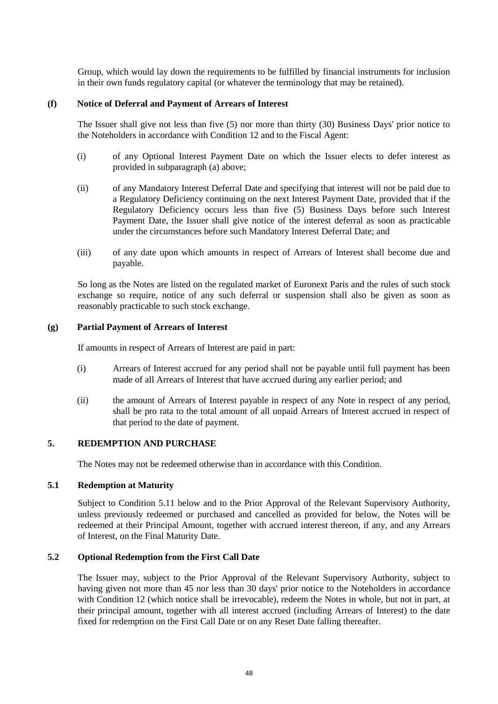Group, which would lay down the requirements to be fulfilled by financial instruments for inclusion in their own funds regulatory capital (or whatever the terminology that may be retained).

#### <span id="page-48-0"></span>**(f) Notice of Deferral and Payment of Arrears of Interest**

The Issuer shall give not less than five (5) nor more than thirty (30) Business Days' prior notice to the Noteholders in accordance with Condition [12](#page-58-0) and to the Fiscal Agent:

- (i) of any Optional Interest Payment Date on which the Issuer elects to defer interest as provided in subparagraph [\(a\) above;](#page-45-1)
- (ii) of any Mandatory Interest Deferral Date and specifying that interest will not be paid due to a Regulatory Deficiency continuing on the next Interest Payment Date, provided that if the Regulatory Deficiency occurs less than five (5) Business Days before such Interest Payment Date, the Issuer shall give notice of the interest deferral as soon as practicable under the circumstances before such Mandatory Interest Deferral Date; and
- (iii) of any date upon which amounts in respect of Arrears of Interest shall become due and payable.

So long as the Notes are listed on the regulated market of Euronext Paris and the rules of such stock exchange so require, notice of any such deferral or suspension shall also be given as soon as reasonably practicable to such stock exchange.

#### **(g) Partial Payment of Arrears of Interest**

If amounts in respect of Arrears of Interest are paid in part:

- (i) Arrears of Interest accrued for any period shall not be payable until full payment has been made of all Arrears of Interest that have accrued during any earlier period; and
- (ii) the amount of Arrears of Interest payable in respect of any Note in respect of any period, shall be pro rata to the total amount of all unpaid Arrears of Interest accrued in respect of that period to the date of payment.

#### <span id="page-48-1"></span>**5. REDEMPTION AND PURCHASE**

The Notes may not be redeemed otherwise than in accordance with this Condition.

## **5.1 Redemption at Maturity**

Subject to Condition 5.11 below and to the Prior Approval of the Relevant Supervisory Authority, unless previously redeemed or purchased and cancelled as provided for below, the Notes will be redeemed at their Principal Amount, together with accrued interest thereon, if any, and any Arrears of Interest, on the Final Maturity Date.

#### **5.2 Optional Redemption from the First Call Date**

The Issuer may, subject to the Prior Approval of the Relevant Supervisory Authority, subject to having given not more than 45 nor less than 30 days' prior notice to the Noteholders in accordance with Condition [12](#page-58-0) (which notice shall be irrevocable), redeem the Notes in whole, but not in part, at their principal amount, together with all interest accrued (including Arrears of Interest) to the date fixed for redemption on the First Call Date or on any Reset Date falling thereafter.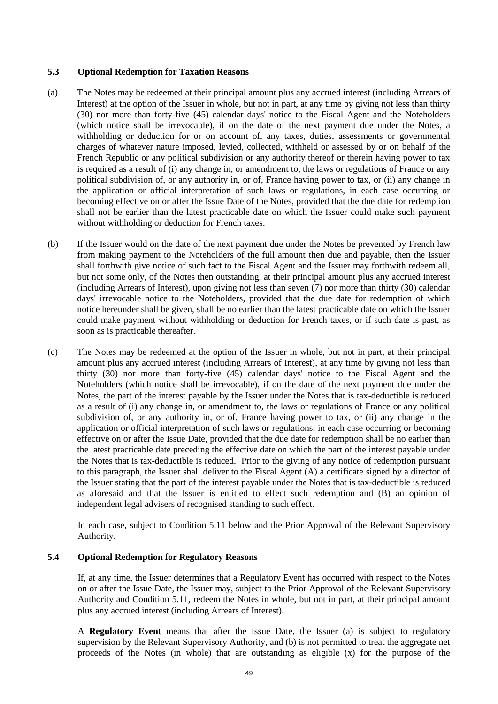#### **5.3 Optional Redemption for Taxation Reasons**

- (a) The Notes may be redeemed at their principal amount plus any accrued interest (including Arrears of Interest) at the option of the Issuer in whole, but not in part, at any time by giving not less than thirty (30) nor more than forty-five (45) calendar days' notice to the Fiscal Agent and the Noteholders (which notice shall be irrevocable), if on the date of the next payment due under the Notes, a withholding or deduction for or on account of, any taxes, duties, assessments or governmental charges of whatever nature imposed, levied, collected, withheld or assessed by or on behalf of the French Republic or any political subdivision or any authority thereof or therein having power to tax is required as a result of (i) any change in, or amendment to, the laws or regulations of France or any political subdivision of, or any authority in, or of, France having power to tax, or (ii) any change in the application or official interpretation of such laws or regulations, in each case occurring or becoming effective on or after the Issue Date of the Notes, provided that the due date for redemption shall not be earlier than the latest practicable date on which the Issuer could make such payment without withholding or deduction for French taxes.
- (b) If the Issuer would on the date of the next payment due under the Notes be prevented by French law from making payment to the Noteholders of the full amount then due and payable, then the Issuer shall forthwith give notice of such fact to the Fiscal Agent and the Issuer may forthwith redeem all, but not some only, of the Notes then outstanding, at their principal amount plus any accrued interest (including Arrears of Interest), upon giving not less than seven (7) nor more than thirty (30) calendar days' irrevocable notice to the Noteholders, provided that the due date for redemption of which notice hereunder shall be given, shall be no earlier than the latest practicable date on which the Issuer could make payment without withholding or deduction for French taxes, or if such date is past, as soon as is practicable thereafter.
- (c) The Notes may be redeemed at the option of the Issuer in whole, but not in part, at their principal amount plus any accrued interest (including Arrears of Interest), at any time by giving not less than thirty (30) nor more than forty-five (45) calendar days' notice to the Fiscal Agent and the Noteholders (which notice shall be irrevocable), if on the date of the next payment due under the Notes, the part of the interest payable by the Issuer under the Notes that is tax-deductible is reduced as a result of (i) any change in, or amendment to, the laws or regulations of France or any political subdivision of, or any authority in, or of, France having power to tax, or (ii) any change in the application or official interpretation of such laws or regulations, in each case occurring or becoming effective on or after the Issue Date, provided that the due date for redemption shall be no earlier than the latest practicable date preceding the effective date on which the part of the interest payable under the Notes that is tax-deductible is reduced. Prior to the giving of any notice of redemption pursuant to this paragraph, the Issuer shall deliver to the Fiscal Agent (A) a certificate signed by a director of the Issuer stating that the part of the interest payable under the Notes that is tax-deductible is reduced as aforesaid and that the Issuer is entitled to effect such redemption and (B) an opinion of independent legal advisers of recognised standing to such effect.

In each case, subject to Condition 5.11 below and the Prior Approval of the Relevant Supervisory Authority.

## **5.4 Optional Redemption for Regulatory Reasons**

If, at any time, the Issuer determines that a Regulatory Event has occurred with respect to the Notes on or after the Issue Date, the Issuer may, subject to the Prior Approval of the Relevant Supervisory Authority and Condition 5.11, redeem the Notes in whole, but not in part, at their principal amount plus any accrued interest (including Arrears of Interest).

A **Regulatory Event** means that after the Issue Date, the Issuer (a) is subject to regulatory supervision by the Relevant Supervisory Authority, and (b) is not permitted to treat the aggregate net proceeds of the Notes (in whole) that are outstanding as eligible (x) for the purpose of the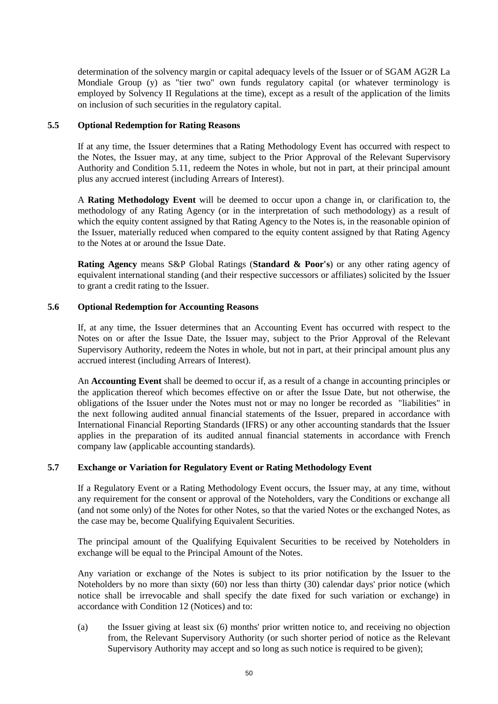determination of the solvency margin or capital adequacy levels of the Issuer or of SGAM AG2R La Mondiale Group (y) as "tier two" own funds regulatory capital (or whatever terminology is employed by Solvency II Regulations at the time), except as a result of the application of the limits on inclusion of such securities in the regulatory capital.

# **5.5 Optional Redemption for Rating Reasons**

If at any time, the Issuer determines that a Rating Methodology Event has occurred with respect to the Notes, the Issuer may, at any time, subject to the Prior Approval of the Relevant Supervisory Authority and Condition 5.11, redeem the Notes in whole, but not in part, at their principal amount plus any accrued interest (including Arrears of Interest).

A **Rating Methodology Event** will be deemed to occur upon a change in, or clarification to, the methodology of any Rating Agency (or in the interpretation of such methodology) as a result of which the equity content assigned by that Rating Agency to the Notes is, in the reasonable opinion of the Issuer, materially reduced when compared to the equity content assigned by that Rating Agency to the Notes at or around the Issue Date.

**Rating Agency** means S&P Global Ratings (**Standard & Poor's**) or any other rating agency of equivalent international standing (and their respective successors or affiliates) solicited by the Issuer to grant a credit rating to the Issuer.

# **5.6 Optional Redemption for Accounting Reasons**

If, at any time, the Issuer determines that an Accounting Event has occurred with respect to the Notes on or after the Issue Date, the Issuer may, subject to the Prior Approval of the Relevant Supervisory Authority, redeem the Notes in whole, but not in part, at their principal amount plus any accrued interest (including Arrears of Interest).

An **Accounting Event** shall be deemed to occur if, as a result of a change in accounting principles or the application thereof which becomes effective on or after the Issue Date, but not otherwise, the obligations of the Issuer under the Notes must not or may no longer be recorded as "liabilities" in the next following audited annual financial statements of the Issuer, prepared in accordance with International Financial Reporting Standards (IFRS) or any other accounting standards that the Issuer applies in the preparation of its audited annual financial statements in accordance with French company law (applicable accounting standards).

## <span id="page-50-0"></span>**5.7 Exchange or Variation for Regulatory Event or Rating Methodology Event**

If a Regulatory Event or a Rating Methodology Event occurs, the Issuer may, at any time, without any requirement for the consent or approval of the Noteholders, vary the Conditions or exchange all (and not some only) of the Notes for other Notes, so that the varied Notes or the exchanged Notes, as the case may be, become Qualifying Equivalent Securities.

The principal amount of the Qualifying Equivalent Securities to be received by Noteholders in exchange will be equal to the Principal Amount of the Notes.

Any variation or exchange of the Notes is subject to its prior notification by the Issuer to the Noteholders by no more than sixty (60) nor less than thirty (30) calendar days' prior notice (which notice shall be irrevocable and shall specify the date fixed for such variation or exchange) in accordance with Condition [12](#page-58-0) [\(Notices\)](#page-58-0) and to:

(a) the Issuer giving at least six (6) months' prior written notice to, and receiving no objection from, the Relevant Supervisory Authority (or such shorter period of notice as the Relevant Supervisory Authority may accept and so long as such notice is required to be given);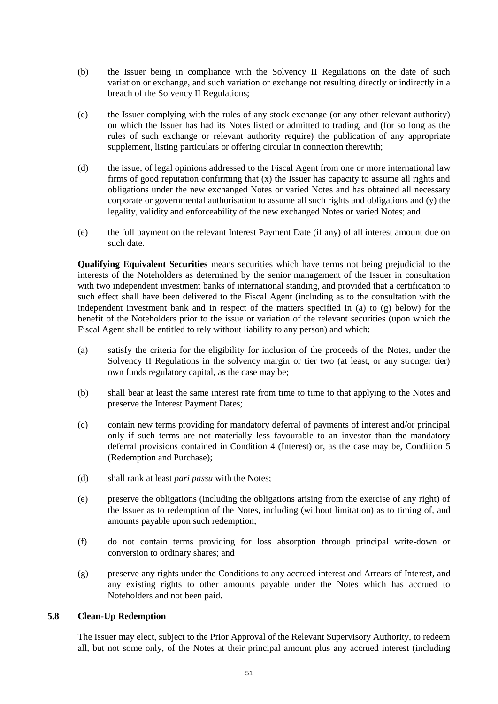- (b) the Issuer being in compliance with the Solvency II Regulations on the date of such variation or exchange, and such variation or exchange not resulting directly or indirectly in a breach of the Solvency II Regulations;
- (c) the Issuer complying with the rules of any stock exchange (or any other relevant authority) on which the Issuer has had its Notes listed or admitted to trading, and (for so long as the rules of such exchange or relevant authority require) the publication of any appropriate supplement, listing particulars or offering circular in connection therewith;
- (d) the issue, of legal opinions addressed to the Fiscal Agent from one or more international law firms of good reputation confirming that (x) the Issuer has capacity to assume all rights and obligations under the new exchanged Notes or varied Notes and has obtained all necessary corporate or governmental authorisation to assume all such rights and obligations and (y) the legality, validity and enforceability of the new exchanged Notes or varied Notes; and
- (e) the full payment on the relevant Interest Payment Date (if any) of all interest amount due on such date.

**Qualifying Equivalent Securities** means securities which have terms not being prejudicial to the interests of the Noteholders as determined by the senior management of the Issuer in consultation with two independent investment banks of international standing, and provided that a certification to such effect shall have been delivered to the Fiscal Agent (including as to the consultation with the independent investment bank and in respect of the matters specified in [\(a\)](#page-51-0) to [\(g\) below\)](#page-51-1) for the benefit of the Noteholders prior to the issue or variation of the relevant securities (upon which the Fiscal Agent shall be entitled to rely without liability to any person) and which:

- <span id="page-51-0"></span>(a) satisfy the criteria for the eligibility for inclusion of the proceeds of the Notes, under the Solvency II Regulations in the solvency margin or tier two (at least, or any stronger tier) own funds regulatory capital, as the case may be;
- (b) shall bear at least the same interest rate from time to time to that applying to the Notes and preserve the Interest Payment Dates;
- (c) contain new terms providing for mandatory deferral of payments of interest and/or principal only if such terms are not materially less favourable to an investor than the mandatory deferral provisions contained in Condition [4](#page-42-0) [\(Interest\)](#page-42-0) or, as the case may be, Condition [5](#page-48-1) [\(Redemption and Purchase\)](#page-48-1);
- (d) shall rank at least *pari passu* with the Notes;
- (e) preserve the obligations (including the obligations arising from the exercise of any right) of the Issuer as to redemption of the Notes, including (without limitation) as to timing of, and amounts payable upon such redemption;
- (f) do not contain terms providing for loss absorption through principal write-down or conversion to ordinary shares; and
- <span id="page-51-1"></span>(g) preserve any rights under the Conditions to any accrued interest and Arrears of Interest, and any existing rights to other amounts payable under the Notes which has accrued to Noteholders and not been paid.

## **5.8 Clean-Up Redemption**

The Issuer may elect, subject to the Prior Approval of the Relevant Supervisory Authority, to redeem all, but not some only, of the Notes at their principal amount plus any accrued interest (including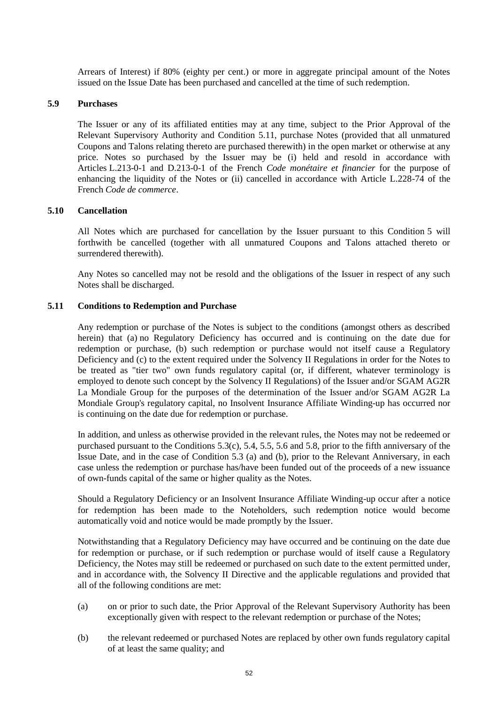Arrears of Interest) if 80% (eighty per cent.) or more in aggregate principal amount of the Notes issued on the Issue Date has been purchased and cancelled at the time of such redemption.

#### **5.9 Purchases**

The Issuer or any of its affiliated entities may at any time, subject to the Prior Approval of the Relevant Supervisory Authority and Condition 5.11, purchase Notes (provided that all unmatured Coupons and Talons relating thereto are purchased therewith) in the open market or otherwise at any price. Notes so purchased by the Issuer may be (i) held and resold in accordance with Articles L.213-0-1 and D.213-0-1 of the French *Code monétaire et financier* for the purpose of enhancing the liquidity of the Notes or (ii) cancelled in accordance with Article L.228-74 of the French *Code de commerce*.

#### **5.10 Cancellation**

All Notes which are purchased for cancellation by the Issuer pursuant to this Condition [5](#page-48-1) will forthwith be cancelled (together with all unmatured Coupons and Talons attached thereto or surrendered therewith).

Any Notes so cancelled may not be resold and the obligations of the Issuer in respect of any such Notes shall be discharged.

#### **5.11 Conditions to Redemption and Purchase**

Any redemption or purchase of the Notes is subject to the conditions (amongst others as described herein) that (a) no Regulatory Deficiency has occurred and is continuing on the date due for redemption or purchase, (b) such redemption or purchase would not itself cause a Regulatory Deficiency and (c) to the extent required under the Solvency II Regulations in order for the Notes to be treated as "tier two" own funds regulatory capital (or, if different, whatever terminology is employed to denote such concept by the Solvency II Regulations) of the Issuer and/or SGAM AG2R La Mondiale Group for the purposes of the determination of the Issuer and/or SGAM AG2R La Mondiale Group's regulatory capital, no Insolvent Insurance Affiliate Winding-up has occurred nor is continuing on the date due for redemption or purchase.

In addition, and unless as otherwise provided in the relevant rules, the Notes may not be redeemed or purchased pursuant to the Conditions 5.3(c), 5.4, 5.5, 5.6 and 5.8, prior to the fifth anniversary of the Issue Date, and in the case of Condition 5.3 (a) and (b), prior to the Relevant Anniversary, in each case unless the redemption or purchase has/have been funded out of the proceeds of a new issuance of own-funds capital of the same or higher quality as the Notes.

Should a Regulatory Deficiency or an Insolvent Insurance Affiliate Winding-up occur after a notice for redemption has been made to the Noteholders, such redemption notice would become automatically void and notice would be made promptly by the Issuer.

Notwithstanding that a Regulatory Deficiency may have occurred and be continuing on the date due for redemption or purchase, or if such redemption or purchase would of itself cause a Regulatory Deficiency, the Notes may still be redeemed or purchased on such date to the extent permitted under, and in accordance with, the Solvency II Directive and the applicable regulations and provided that all of the following conditions are met:

- (a) on or prior to such date, the Prior Approval of the Relevant Supervisory Authority has been exceptionally given with respect to the relevant redemption or purchase of the Notes;
- (b) the relevant redeemed or purchased Notes are replaced by other own funds regulatory capital of at least the same quality; and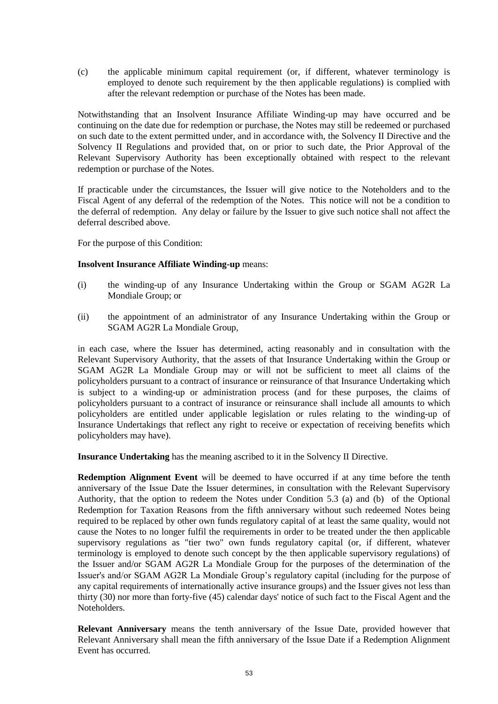(c) the applicable minimum capital requirement (or, if different, whatever terminology is employed to denote such requirement by the then applicable regulations) is complied with after the relevant redemption or purchase of the Notes has been made.

Notwithstanding that an Insolvent Insurance Affiliate Winding-up may have occurred and be continuing on the date due for redemption or purchase, the Notes may still be redeemed or purchased on such date to the extent permitted under, and in accordance with, the Solvency II Directive and the Solvency II Regulations and provided that, on or prior to such date, the Prior Approval of the Relevant Supervisory Authority has been exceptionally obtained with respect to the relevant redemption or purchase of the Notes.

If practicable under the circumstances, the Issuer will give notice to the Noteholders and to the Fiscal Agent of any deferral of the redemption of the Notes. This notice will not be a condition to the deferral of redemption. Any delay or failure by the Issuer to give such notice shall not affect the deferral described above.

For the purpose of this Condition:

## **Insolvent Insurance Affiliate Winding-up** means:

- (i) the winding-up of any Insurance Undertaking within the Group or SGAM AG2R La Mondiale Group; or
- (ii) the appointment of an administrator of any Insurance Undertaking within the Group or SGAM AG2R La Mondiale Group,

in each case, where the Issuer has determined, acting reasonably and in consultation with the Relevant Supervisory Authority, that the assets of that Insurance Undertaking within the Group or SGAM AG2R La Mondiale Group may or will not be sufficient to meet all claims of the policyholders pursuant to a contract of insurance or reinsurance of that Insurance Undertaking which is subject to a winding-up or administration process (and for these purposes, the claims of policyholders pursuant to a contract of insurance or reinsurance shall include all amounts to which policyholders are entitled under applicable legislation or rules relating to the winding-up of Insurance Undertakings that reflect any right to receive or expectation of receiving benefits which policyholders may have).

**Insurance Undertaking** has the meaning ascribed to it in the Solvency II Directive.

**Redemption Alignment Event** will be deemed to have occurred if at any time before the tenth anniversary of the Issue Date the Issuer determines, in consultation with the Relevant Supervisory Authority, that the option to redeem the Notes under Condition 5.3 (a) and (b) of the Optional Redemption for Taxation Reasons from the fifth anniversary without such redeemed Notes being required to be replaced by other own funds regulatory capital of at least the same quality, would not cause the Notes to no longer fulfil the requirements in order to be treated under the then applicable supervisory regulations as "tier two" own funds regulatory capital (or, if different, whatever terminology is employed to denote such concept by the then applicable supervisory regulations) of the Issuer and/or SGAM AG2R La Mondiale Group for the purposes of the determination of the Issuer's and/or SGAM AG2R La Mondiale Group's regulatory capital (including for the purpose of any capital requirements of internationally active insurance groups) and the Issuer gives not less than thirty (30) nor more than forty-five (45) calendar days' notice of such fact to the Fiscal Agent and the Noteholders.

**Relevant Anniversary** means the tenth anniversary of the Issue Date, provided however that Relevant Anniversary shall mean the fifth anniversary of the Issue Date if a Redemption Alignment Event has occurred.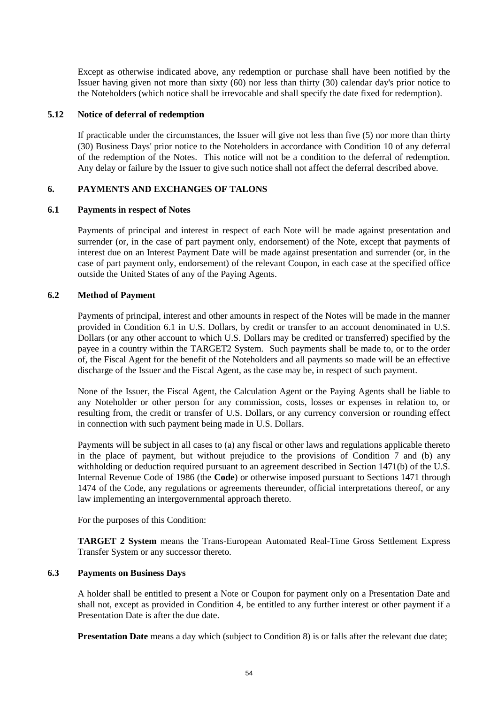Except as otherwise indicated above, any redemption or purchase shall have been notified by the Issuer having given not more than sixty (60) nor less than thirty (30) calendar day's prior notice to the Noteholders (which notice shall be irrevocable and shall specify the date fixed for redemption).

## **5.12 Notice of deferral of redemption**

If practicable under the circumstances, the Issuer will give not less than five (5) nor more than thirty (30) Business Days' prior notice to the Noteholders in accordance with Condition [10](#page-57-0) of any deferral of the redemption of the Notes. This notice will not be a condition to the deferral of redemption. Any delay or failure by the Issuer to give such notice shall not affect the deferral described above.

## <span id="page-54-2"></span><span id="page-54-0"></span>**6. PAYMENTS AND EXCHANGES OF TALONS**

#### **6.1 Payments in respect of Notes**

Payments of principal and interest in respect of each Note will be made against presentation and surrender (or, in the case of part payment only, endorsement) of the Note, except that payments of interest due on an Interest Payment Date will be made against presentation and surrender (or, in the case of part payment only, endorsement) of the relevant Coupon, in each case at the specified office outside the United States of any of the Paying Agents.

#### **6.2 Method of Payment**

Payments of principal, interest and other amounts in respect of the Notes will be made in the manner provided in Condition [6.1](#page-54-0) in U.S. Dollars, by credit or transfer to an account denominated in U.S. Dollars (or any other account to which U.S. Dollars may be credited or transferred) specified by the payee in a country within the TARGET2 System. Such payments shall be made to, or to the order of, the Fiscal Agent for the benefit of the Noteholders and all payments so made will be an effective discharge of the Issuer and the Fiscal Agent, as the case may be, in respect of such payment.

None of the Issuer, the Fiscal Agent, the Calculation Agent or the Paying Agents shall be liable to any Noteholder or other person for any commission, costs, losses or expenses in relation to, or resulting from, the credit or transfer of U.S. Dollars, or any currency conversion or rounding effect in connection with such payment being made in U.S. Dollars.

Payments will be subject in all cases to (a) any fiscal or other laws and regulations applicable thereto in the place of payment, but without prejudice to the provisions of Condition [7](#page-55-0) and (b) any withholding or deduction required pursuant to an agreement described in Section 1471(b) of the U.S. Internal Revenue Code of 1986 (the **Code**) or otherwise imposed pursuant to Sections 1471 through 1474 of the Code, any regulations or agreements thereunder, official interpretations thereof, or any law implementing an intergovernmental approach thereto.

For the purposes of this Condition:

**TARGET 2 System** means the Trans-European Automated Real-Time Gross Settlement Express Transfer System or any successor thereto.

## <span id="page-54-1"></span>**6.3 Payments on Business Days**

A holder shall be entitled to present a Note or Coupon for payment only on a Presentation Date and shall not, except as provided in Condition [4,](#page-42-0) be entitled to any further interest or other payment if a Presentation Date is after the due date.

**Presentation Date** means a day which (subject to Condition [8\)](#page-56-0) is or falls after the relevant due date;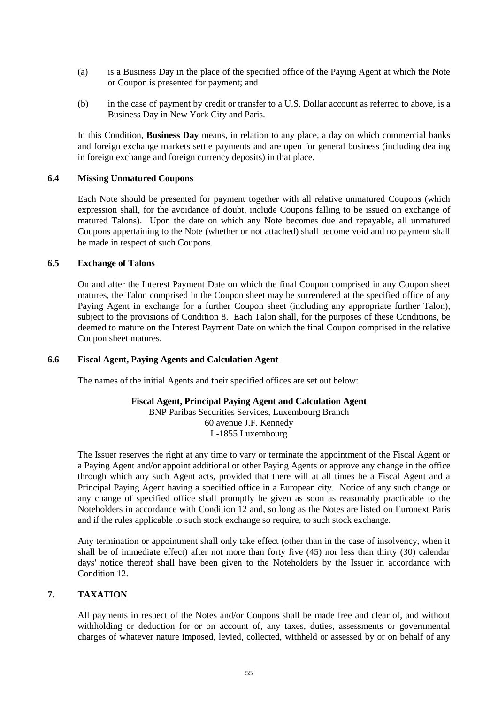- (a) is a Business Day in the place of the specified office of the Paying Agent at which the Note or Coupon is presented for payment; and
- (b) in the case of payment by credit or transfer to a U.S. Dollar account as referred to above, is a Business Day in New York City and Paris.

In this Condition, **Business Day** means, in relation to any place, a day on which commercial banks and foreign exchange markets settle payments and are open for general business (including dealing in foreign exchange and foreign currency deposits) in that place.

#### **6.4 Missing Unmatured Coupons**

Each Note should be presented for payment together with all relative unmatured Coupons (which expression shall, for the avoidance of doubt, include Coupons falling to be issued on exchange of matured Talons). Upon the date on which any Note becomes due and repayable, all unmatured Coupons appertaining to the Note (whether or not attached) shall become void and no payment shall be made in respect of such Coupons.

#### **6.5 Exchange of Talons**

On and after the Interest Payment Date on which the final Coupon comprised in any Coupon sheet matures, the Talon comprised in the Coupon sheet may be surrendered at the specified office of any Paying Agent in exchange for a further Coupon sheet (including any appropriate further Talon), subject to the provisions of Condition [8.](#page-56-0) Each Talon shall, for the purposes of these Conditions, be deemed to mature on the Interest Payment Date on which the final Coupon comprised in the relative Coupon sheet matures.

## **6.6 Fiscal Agent, Paying Agents and Calculation Agent**

The names of the initial Agents and their specified offices are set out below:

## **Fiscal Agent, Principal Paying Agent and Calculation Agent**

BNP Paribas Securities Services, Luxembourg Branch 60 avenue J.F. Kennedy L-1855 Luxembourg

The Issuer reserves the right at any time to vary or terminate the appointment of the Fiscal Agent or a Paying Agent and/or appoint additional or other Paying Agents or approve any change in the office through which any such Agent acts, provided that there will at all times be a Fiscal Agent and a Principal Paying Agent having a specified office in a European city. Notice of any such change or any change of specified office shall promptly be given as soon as reasonably practicable to the Noteholders in accordance with Condition [12](#page-58-0) and, so long as the Notes are listed on Euronext Paris and if the rules applicable to such stock exchange so require, to such stock exchange.

Any termination or appointment shall only take effect (other than in the case of insolvency, when it shall be of immediate effect) after not more than forty five (45) nor less than thirty (30) calendar days' notice thereof shall have been given to the Noteholders by the Issuer in accordance with Conditio[n 12.](#page-58-0)

# <span id="page-55-0"></span>**7. TAXATION**

All payments in respect of the Notes and/or Coupons shall be made free and clear of, and without withholding or deduction for or on account of, any taxes, duties, assessments or governmental charges of whatever nature imposed, levied, collected, withheld or assessed by or on behalf of any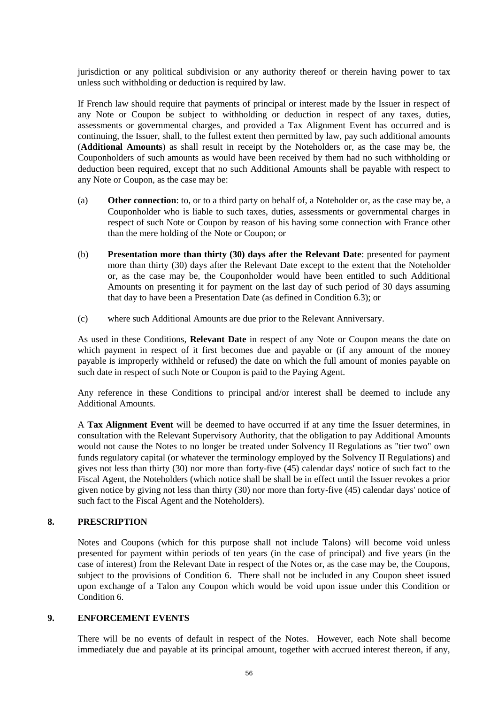jurisdiction or any political subdivision or any authority thereof or therein having power to tax unless such withholding or deduction is required by law.

If French law should require that payments of principal or interest made by the Issuer in respect of any Note or Coupon be subject to withholding or deduction in respect of any taxes, duties, assessments or governmental charges, and provided a Tax Alignment Event has occurred and is continuing, the Issuer, shall, to the fullest extent then permitted by law, pay such additional amounts (**Additional Amounts**) as shall result in receipt by the Noteholders or, as the case may be, the Couponholders of such amounts as would have been received by them had no such withholding or deduction been required, except that no such Additional Amounts shall be payable with respect to any Note or Coupon, as the case may be:

- (a) **Other connection**: to, or to a third party on behalf of, a Noteholder or, as the case may be, a Couponholder who is liable to such taxes, duties, assessments or governmental charges in respect of such Note or Coupon by reason of his having some connection with France other than the mere holding of the Note or Coupon; or
- (b) **Presentation more than thirty (30) days after the Relevant Date**: presented for payment more than thirty (30) days after the Relevant Date except to the extent that the Noteholder or, as the case may be, the Couponholder would have been entitled to such Additional Amounts on presenting it for payment on the last day of such period of 30 days assuming that day to have been a Presentation Date (as defined in Condition [6.3\)](#page-54-1); or
- (c) where such Additional Amounts are due prior to the Relevant Anniversary.

As used in these Conditions, **Relevant Date** in respect of any Note or Coupon means the date on which payment in respect of it first becomes due and payable or (if any amount of the money payable is improperly withheld or refused) the date on which the full amount of monies payable on such date in respect of such Note or Coupon is paid to the Paying Agent.

Any reference in these Conditions to principal and/or interest shall be deemed to include any Additional Amounts.

A **Tax Alignment Event** will be deemed to have occurred if at any time the Issuer determines, in consultation with the Relevant Supervisory Authority, that the obligation to pay Additional Amounts would not cause the Notes to no longer be treated under Solvency II Regulations as "tier two" own funds regulatory capital (or whatever the terminology employed by the Solvency II Regulations) and gives not less than thirty (30) nor more than forty-five (45) calendar days' notice of such fact to the Fiscal Agent, the Noteholders (which notice shall be shall be in effect until the Issuer revokes a prior given notice by giving not less than thirty (30) nor more than forty-five (45) calendar days' notice of such fact to the Fiscal Agent and the Noteholders).

## <span id="page-56-0"></span>**8. PRESCRIPTION**

Notes and Coupons (which for this purpose shall not include Talons) will become void unless presented for payment within periods of ten years (in the case of principal) and five years (in the case of interest) from the Relevant Date in respect of the Notes or, as the case may be, the Coupons, subject to the provisions of Condition [6.](#page-54-2) There shall not be included in any Coupon sheet issued upon exchange of a Talon any Coupon which would be void upon issue under this Condition or Conditio[n 6.](#page-54-2)

## **9. ENFORCEMENT EVENTS**

There will be no events of default in respect of the Notes. However, each Note shall become immediately due and payable at its principal amount, together with accrued interest thereon, if any,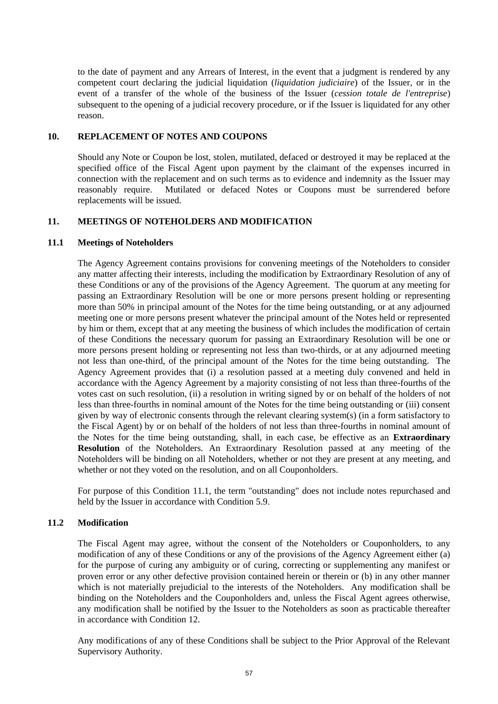to the date of payment and any Arrears of Interest, in the event that a judgment is rendered by any competent court declaring the judicial liquidation (*liquidation judiciaire*) of the Issuer, or in the event of a transfer of the whole of the business of the Issuer (*cession totale de l'entreprise*) subsequent to the opening of a judicial recovery procedure, or if the Issuer is liquidated for any other reason.

## <span id="page-57-0"></span>**10. REPLACEMENT OF NOTES AND COUPONS**

Should any Note or Coupon be lost, stolen, mutilated, defaced or destroyed it may be replaced at the specified office of the Fiscal Agent upon payment by the claimant of the expenses incurred in connection with the replacement and on such terms as to evidence and indemnity as the Issuer may reasonably require. Mutilated or defaced Notes or Coupons must be surrendered before replacements will be issued.

## <span id="page-57-1"></span>**11. MEETINGS OF NOTEHOLDERS AND MODIFICATION**

## **11.1 Meetings of Noteholders**

The Agency Agreement contains provisions for convening meetings of the Noteholders to consider any matter affecting their interests, including the modification by Extraordinary Resolution of any of these Conditions or any of the provisions of the Agency Agreement. The quorum at any meeting for passing an Extraordinary Resolution will be one or more persons present holding or representing more than 50% in principal amount of the Notes for the time being outstanding, or at any adjourned meeting one or more persons present whatever the principal amount of the Notes held or represented by him or them, except that at any meeting the business of which includes the modification of certain of these Conditions the necessary quorum for passing an Extraordinary Resolution will be one or more persons present holding or representing not less than two-thirds, or at any adjourned meeting not less than one-third, of the principal amount of the Notes for the time being outstanding. The Agency Agreement provides that (i) a resolution passed at a meeting duly convened and held in accordance with the Agency Agreement by a majority consisting of not less than three-fourths of the votes cast on such resolution, (ii) a resolution in writing signed by or on behalf of the holders of not less than three-fourths in nominal amount of the Notes for the time being outstanding or (iii) consent given by way of electronic consents through the relevant clearing system(s) (in a form satisfactory to the Fiscal Agent) by or on behalf of the holders of not less than three-fourths in nominal amount of the Notes for the time being outstanding, shall, in each case, be effective as an **Extraordinary Resolution** of the Noteholders. An Extraordinary Resolution passed at any meeting of the Noteholders will be binding on all Noteholders, whether or not they are present at any meeting, and whether or not they voted on the resolution, and on all Couponholders.

For purpose of this Condition [11.1,](#page-57-1) the term "outstanding" does not include notes repurchased and held by the Issuer in accordance with Condition 5.9.

# **11.2 Modification**

The Fiscal Agent may agree, without the consent of the Noteholders or Couponholders, to any modification of any of these Conditions or any of the provisions of the Agency Agreement either (a) for the purpose of curing any ambiguity or of curing, correcting or supplementing any manifest or proven error or any other defective provision contained herein or therein or (b) in any other manner which is not materially prejudicial to the interests of the Noteholders. Any modification shall be binding on the Noteholders and the Couponholders and, unless the Fiscal Agent agrees otherwise, any modification shall be notified by the Issuer to the Noteholders as soon as practicable thereafter in accordance with Condition [12.](#page-58-0)

Any modifications of any of these Conditions shall be subject to the Prior Approval of the Relevant Supervisory Authority.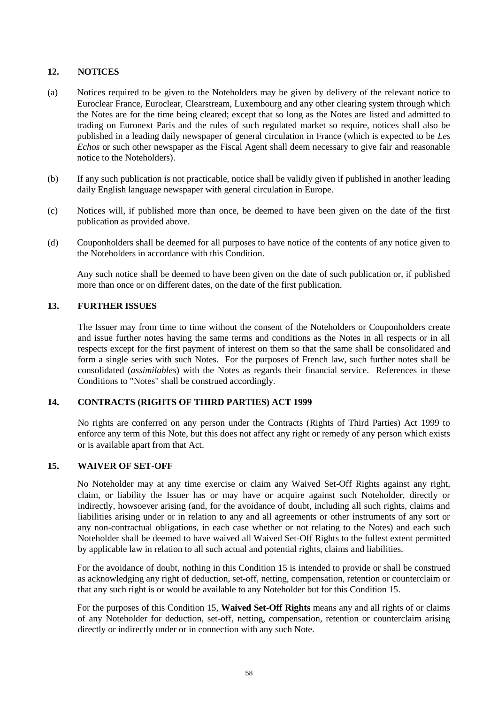# <span id="page-58-0"></span>**12. NOTICES**

- (a) Notices required to be given to the Noteholders may be given by delivery of the relevant notice to Euroclear France, Euroclear, Clearstream, Luxembourg and any other clearing system through which the Notes are for the time being cleared; except that so long as the Notes are listed and admitted to trading on Euronext Paris and the rules of such regulated market so require, notices shall also be published in a leading daily newspaper of general circulation in France (which is expected to be *Les Echos* or such other newspaper as the Fiscal Agent shall deem necessary to give fair and reasonable notice to the Noteholders).
- (b) If any such publication is not practicable, notice shall be validly given if published in another leading daily English language newspaper with general circulation in Europe.
- (c) Notices will, if published more than once, be deemed to have been given on the date of the first publication as provided above.
- (d) Couponholders shall be deemed for all purposes to have notice of the contents of any notice given to the Noteholders in accordance with this Condition.

Any such notice shall be deemed to have been given on the date of such publication or, if published more than once or on different dates, on the date of the first publication.

# **13. FURTHER ISSUES**

The Issuer may from time to time without the consent of the Noteholders or Couponholders create and issue further notes having the same terms and conditions as the Notes in all respects or in all respects except for the first payment of interest on them so that the same shall be consolidated and form a single series with such Notes. For the purposes of French law, such further notes shall be consolidated (*assimilables*) with the Notes as regards their financial service. References in these Conditions to "Notes" shall be construed accordingly.

# **14. CONTRACTS (RIGHTS OF THIRD PARTIES) ACT 1999**

No rights are conferred on any person under the Contracts (Rights of Third Parties) Act 1999 to enforce any term of this Note, but this does not affect any right or remedy of any person which exists or is available apart from that Act.

## **15. WAIVER OF SET-OFF**

No Noteholder may at any time exercise or claim any Waived Set-Off Rights against any right, claim, or liability the Issuer has or may have or acquire against such Noteholder, directly or indirectly, howsoever arising (and, for the avoidance of doubt, including all such rights, claims and liabilities arising under or in relation to any and all agreements or other instruments of any sort or any non-contractual obligations, in each case whether or not relating to the Notes) and each such Noteholder shall be deemed to have waived all Waived Set-Off Rights to the fullest extent permitted by applicable law in relation to all such actual and potential rights, claims and liabilities.

For the avoidance of doubt, nothing in this Condition 15 is intended to provide or shall be construed as acknowledging any right of deduction, set-off, netting, compensation, retention or counterclaim or that any such right is or would be available to any Noteholder but for this Condition 15.

For the purposes of this Condition 15, **Waived Set-Off Rights** means any and all rights of or claims of any Noteholder for deduction, set-off, netting, compensation, retention or counterclaim arising directly or indirectly under or in connection with any such Note.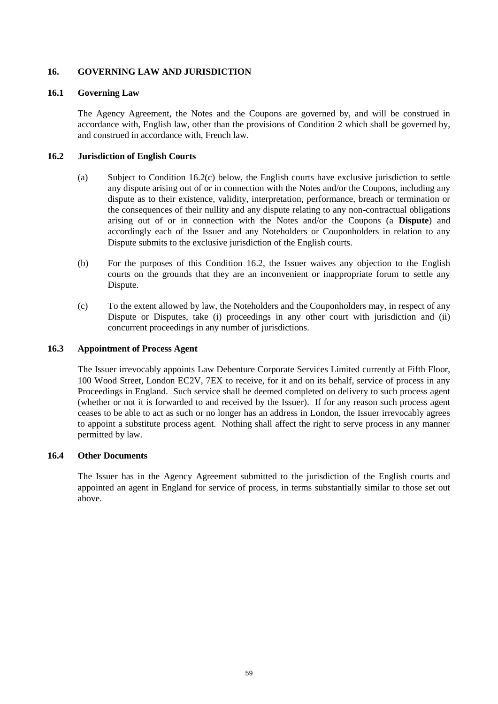# **16. GOVERNING LAW AND JURISDICTION**

## **16.1 Governing Law**

The Agency Agreement, the Notes and the Coupons are governed by, and will be construed in accordance with, English law, other than the provisions of Condition [2](#page-41-0) which shall be governed by, and construed in accordance with, French law.

## **16.2 Jurisdiction of English Courts**

- (a) Subject to Condition 16.2(c) below, the English courts have exclusive jurisdiction to settle any dispute arising out of or in connection with the Notes and/or the Coupons, including any dispute as to their existence, validity, interpretation, performance, breach or termination or the consequences of their nullity and any dispute relating to any non-contractual obligations arising out of or in connection with the Notes and/or the Coupons (a **Dispute**) and accordingly each of the Issuer and any Noteholders or Couponholders in relation to any Dispute submits to the exclusive jurisdiction of the English courts.
- (b) For the purposes of this Condition 16.2, the Issuer waives any objection to the English courts on the grounds that they are an inconvenient or inappropriate forum to settle any Dispute.
- (c) To the extent allowed by law, the Noteholders and the Couponholders may, in respect of any Dispute or Disputes, take (i) proceedings in any other court with jurisdiction and (ii) concurrent proceedings in any number of jurisdictions.

# **16.3 Appointment of Process Agent**

The Issuer irrevocably appoints Law Debenture Corporate Services Limited currently at Fifth Floor, 100 Wood Street, London EC2V, 7EX to receive, for it and on its behalf, service of process in any Proceedings in England. Such service shall be deemed completed on delivery to such process agent (whether or not it is forwarded to and received by the Issuer). If for any reason such process agent ceases to be able to act as such or no longer has an address in London, the Issuer irrevocably agrees to appoint a substitute process agent. Nothing shall affect the right to serve process in any manner permitted by law.

#### **16.4 Other Documents**

The Issuer has in the Agency Agreement submitted to the jurisdiction of the English courts and appointed an agent in England for service of process, in terms substantially similar to those set out above.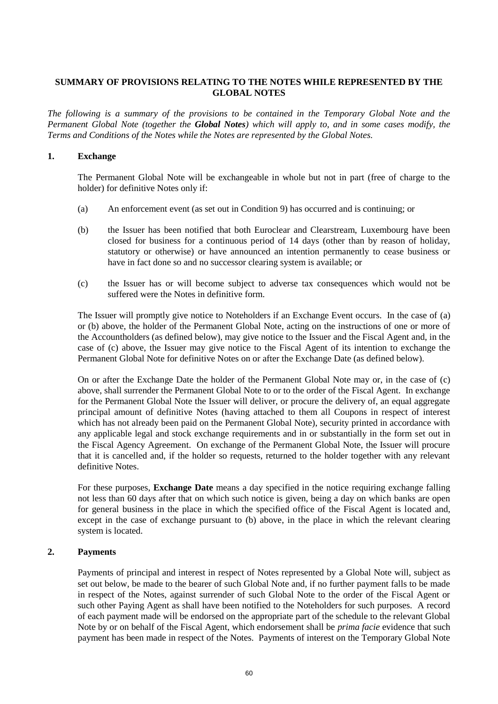# **SUMMARY OF PROVISIONS RELATING TO THE NOTES WHILE REPRESENTED BY THE GLOBAL NOTES**

*The following is a summary of the provisions to be contained in the Temporary Global Note and the Permanent Global Note (together the Global Notes) which will apply to, and in some cases modify, the Terms and Conditions of the Notes while the Notes are represented by the Global Notes.*

# **1. Exchange**

The Permanent Global Note will be exchangeable in whole but not in part (free of charge to the holder) for definitive Notes only if:

- <span id="page-60-0"></span>(a) An enforcement event (as set out in Condition 9) has occurred and is continuing; or
- <span id="page-60-1"></span>(b) the Issuer has been notified that both Euroclear and Clearstream, Luxembourg have been closed for business for a continuous period of 14 days (other than by reason of holiday, statutory or otherwise) or have announced an intention permanently to cease business or have in fact done so and no successor clearing system is available; or
- <span id="page-60-2"></span>(c) the Issuer has or will become subject to adverse tax consequences which would not be suffered were the Notes in definitive form.

The Issuer will promptly give notice to Noteholders if an Exchange Event occurs. In the case of [\(a\)](#page-60-0) or [\(b\) above,](#page-60-1) the holder of the Permanent Global Note, acting on the instructions of one or more of the Accountholders (as defined below), may give notice to the Issuer and the Fiscal Agent and, in the case of [\(c\) above,](#page-60-2) the Issuer may give notice to the Fiscal Agent of its intention to exchange the Permanent Global Note for definitive Notes on or after the Exchange Date (as defined below).

On or after the Exchange Date the holder of the Permanent Global Note may or, in the case of [\(c\)](#page-60-2)  [above,](#page-60-2) shall surrender the Permanent Global Note to or to the order of the Fiscal Agent. In exchange for the Permanent Global Note the Issuer will deliver, or procure the delivery of, an equal aggregate principal amount of definitive Notes (having attached to them all Coupons in respect of interest which has not already been paid on the Permanent Global Note), security printed in accordance with any applicable legal and stock exchange requirements and in or substantially in the form set out in the Fiscal Agency Agreement. On exchange of the Permanent Global Note, the Issuer will procure that it is cancelled and, if the holder so requests, returned to the holder together with any relevant definitive Notes.

For these purposes, **Exchange Date** means a day specified in the notice requiring exchange falling not less than 60 days after that on which such notice is given, being a day on which banks are open for general business in the place in which the specified office of the Fiscal Agent is located and, except in the case of exchange pursuant to [\(b\) above,](#page-60-1) in the place in which the relevant clearing system is located.

# **2. Payments**

Payments of principal and interest in respect of Notes represented by a Global Note will, subject as set out below, be made to the bearer of such Global Note and, if no further payment falls to be made in respect of the Notes, against surrender of such Global Note to the order of the Fiscal Agent or such other Paying Agent as shall have been notified to the Noteholders for such purposes. A record of each payment made will be endorsed on the appropriate part of the schedule to the relevant Global Note by or on behalf of the Fiscal Agent, which endorsement shall be *prima facie* evidence that such payment has been made in respect of the Notes. Payments of interest on the Temporary Global Note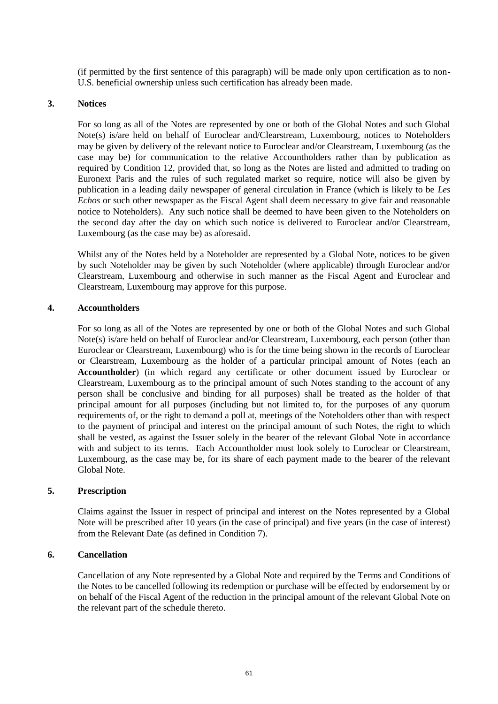(if permitted by the first sentence of this paragraph) will be made only upon certification as to non-U.S. beneficial ownership unless such certification has already been made.

#### **3. Notices**

For so long as all of the Notes are represented by one or both of the Global Notes and such Global Note(s) is/are held on behalf of Euroclear and/Clearstream, Luxembourg, notices to Noteholders may be given by delivery of the relevant notice to Euroclear and/or Clearstream, Luxembourg (as the case may be) for communication to the relative Accountholders rather than by publication as required by Condition 12, provided that, so long as the Notes are listed and admitted to trading on Euronext Paris and the rules of such regulated market so require, notice will also be given by publication in a leading daily newspaper of general circulation in France (which is likely to be *Les Echos* or such other newspaper as the Fiscal Agent shall deem necessary to give fair and reasonable notice to Noteholders). Any such notice shall be deemed to have been given to the Noteholders on the second day after the day on which such notice is delivered to Euroclear and/or Clearstream, Luxembourg (as the case may be) as aforesaid.

Whilst any of the Notes held by a Noteholder are represented by a Global Note, notices to be given by such Noteholder may be given by such Noteholder (where applicable) through Euroclear and/or Clearstream, Luxembourg and otherwise in such manner as the Fiscal Agent and Euroclear and Clearstream, Luxembourg may approve for this purpose.

#### **4. Accountholders**

For so long as all of the Notes are represented by one or both of the Global Notes and such Global Note(s) is/are held on behalf of Euroclear and/or Clearstream, Luxembourg, each person (other than Euroclear or Clearstream, Luxembourg) who is for the time being shown in the records of Euroclear or Clearstream, Luxembourg as the holder of a particular principal amount of Notes (each an **Accountholder**) (in which regard any certificate or other document issued by Euroclear or Clearstream, Luxembourg as to the principal amount of such Notes standing to the account of any person shall be conclusive and binding for all purposes) shall be treated as the holder of that principal amount for all purposes (including but not limited to, for the purposes of any quorum requirements of, or the right to demand a poll at, meetings of the Noteholders other than with respect to the payment of principal and interest on the principal amount of such Notes, the right to which shall be vested, as against the Issuer solely in the bearer of the relevant Global Note in accordance with and subject to its terms. Each Accountholder must look solely to Euroclear or Clearstream, Luxembourg, as the case may be, for its share of each payment made to the bearer of the relevant Global Note.

#### **5. Prescription**

Claims against the Issuer in respect of principal and interest on the Notes represented by a Global Note will be prescribed after 10 years (in the case of principal) and five years (in the case of interest) from the Relevant Date (as defined in Condition 7).

## **6. Cancellation**

Cancellation of any Note represented by a Global Note and required by the Terms and Conditions of the Notes to be cancelled following its redemption or purchase will be effected by endorsement by or on behalf of the Fiscal Agent of the reduction in the principal amount of the relevant Global Note on the relevant part of the schedule thereto.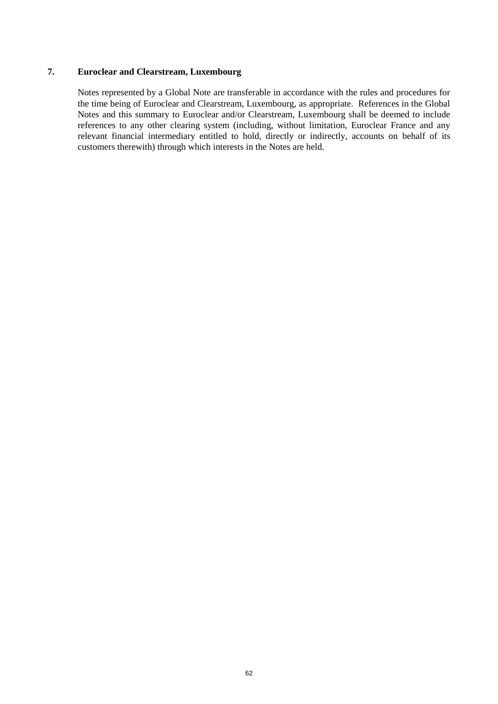# **7. Euroclear and Clearstream, Luxembourg**

Notes represented by a Global Note are transferable in accordance with the rules and procedures for the time being of Euroclear and Clearstream, Luxembourg, as appropriate. References in the Global Notes and this summary to Euroclear and/or Clearstream, Luxembourg shall be deemed to include references to any other clearing system (including, without limitation, Euroclear France and any relevant financial intermediary entitled to hold, directly or indirectly, accounts on behalf of its customers therewith) through which interests in the Notes are held.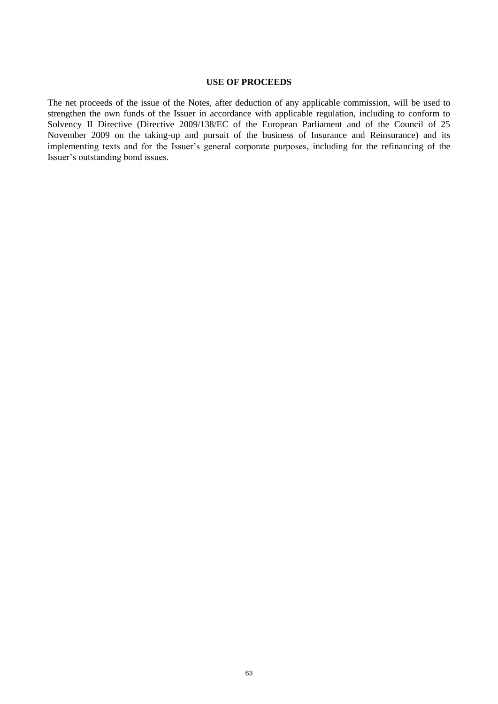#### **USE OF PROCEEDS**

The net proceeds of the issue of the Notes, after deduction of any applicable commission, will be used to strengthen the own funds of the Issuer in accordance with applicable regulation, including to conform to Solvency II Directive (Directive 2009/138/EC of the European Parliament and of the Council of 25 November 2009 on the taking-up and pursuit of the business of Insurance and Reinsurance) and its implementing texts and for the Issuer's general corporate purposes, including for the refinancing of the Issuer's outstanding bond issues.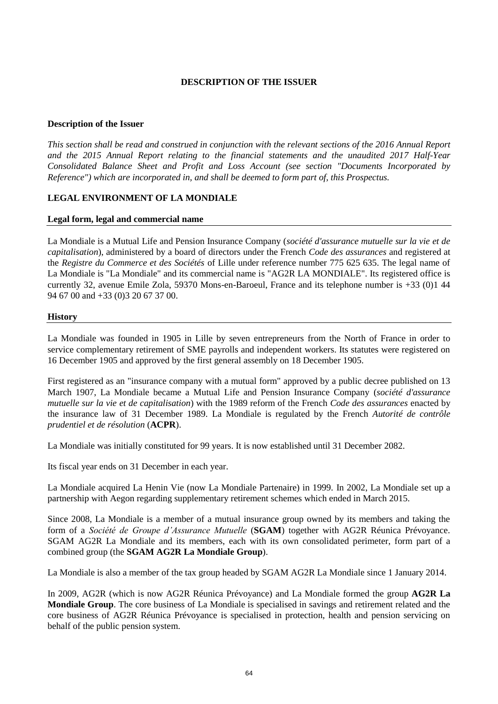# **DESCRIPTION OF THE ISSUER**

# **Description of the Issuer**

*This section shall be read and construed in conjunction with the relevant sections of the 2016 Annual Report and the 2015 Annual Report relating to the financial statements and the unaudited 2017 Half-Year Consolidated Balance Sheet and Profit and Loss Account (see section "Documents Incorporated by Reference") which are incorporated in, and shall be deemed to form part of, this Prospectus.* 

# **LEGAL ENVIRONMENT OF LA MONDIALE**

## **Legal form, legal and commercial name**

La Mondiale is a Mutual Life and Pension Insurance Company (*société d'assurance mutuelle sur la vie et de capitalisation*), administered by a board of directors under the French *Code des assurances* and registered at the *Registre du Commerce et des Sociétés* of Lille under reference number 775 625 635. The legal name of La Mondiale is "La Mondiale" and its commercial name is "AG2R LA MONDIALE". Its registered office is currently 32, avenue Emile Zola, 59370 Mons-en-Baroeul, France and its telephone number is +33 (0)1 44 94 67 00 and +33 (0)3 20 67 37 00.

#### **History**

La Mondiale was founded in 1905 in Lille by seven entrepreneurs from the North of France in order to service complementary retirement of SME payrolls and independent workers. Its statutes were registered on 16 December 1905 and approved by the first general assembly on 18 December 1905.

First registered as an "insurance company with a mutual form" approved by a public decree published on 13 March 1907, La Mondiale became a Mutual Life and Pension Insurance Company (*société d'assurance mutuelle sur la vie et de capitalisation*) with the 1989 reform of the French *Code des assurances* enacted by the insurance law of 31 December 1989. La Mondiale is regulated by the French *Autorité de contrôle prudentiel et de résolution* (**ACPR**).

La Mondiale was initially constituted for 99 years. It is now established until 31 December 2082.

Its fiscal year ends on 31 December in each year.

La Mondiale acquired La Henin Vie (now La Mondiale Partenaire) in 1999. In 2002, La Mondiale set up a partnership with Aegon regarding supplementary retirement schemes which ended in March 2015.

Since 2008, La Mondiale is a member of a mutual insurance group owned by its members and taking the form of a *Société de Groupe d'Assurance Mutuelle* (**SGAM**) together with AG2R Réunica Prévoyance. SGAM AG2R La Mondiale and its members, each with its own consolidated perimeter, form part of a combined group (the **SGAM AG2R La Mondiale Group**).

La Mondiale is also a member of the tax group headed by SGAM AG2R La Mondiale since 1 January 2014.

In 2009, AG2R (which is now AG2R Réunica Prévoyance) and La Mondiale formed the group **AG2R La Mondiale Group**. The core business of La Mondiale is specialised in savings and retirement related and the core business of AG2R Réunica Prévoyance is specialised in protection, health and pension servicing on behalf of the public pension system.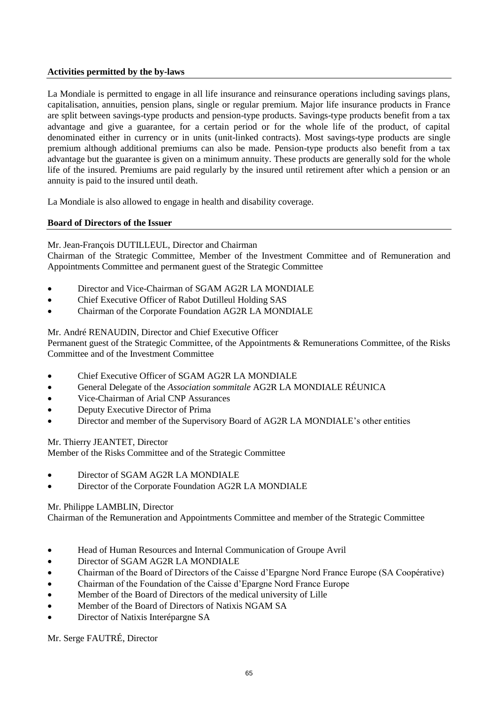# **Activities permitted by the by-laws**

La Mondiale is permitted to engage in all life insurance and reinsurance operations including savings plans, capitalisation, annuities, pension plans, single or regular premium. Major life insurance products in France are split between savings-type products and pension-type products. Savings-type products benefit from a tax advantage and give a guarantee, for a certain period or for the whole life of the product, of capital denominated either in currency or in units (unit-linked contracts). Most savings-type products are single premium although additional premiums can also be made. Pension-type products also benefit from a tax advantage but the guarantee is given on a minimum annuity. These products are generally sold for the whole life of the insured. Premiums are paid regularly by the insured until retirement after which a pension or an annuity is paid to the insured until death.

La Mondiale is also allowed to engage in health and disability coverage.

# **Board of Directors of the Issuer**

# Mr. Jean-François DUTILLEUL, Director and Chairman

Chairman of the Strategic Committee, Member of the Investment Committee and of Remuneration and Appointments Committee and permanent guest of the Strategic Committee

- Director and Vice-Chairman of SGAM AG2R LA MONDIALE
- Chief Executive Officer of Rabot Dutilleul Holding SAS
- Chairman of the Corporate Foundation AG2R LA MONDIALE

# Mr. André RENAUDIN, Director and Chief Executive Officer

Permanent guest of the Strategic Committee, of the Appointments & Remunerations Committee, of the Risks Committee and of the Investment Committee

- Chief Executive Officer of SGAM AG2R LA MONDIALE
- General Delegate of the *Association sommitale* AG2R LA MONDIALE RÉUNICA
- Vice-Chairman of Arial CNP Assurances
- Deputy Executive Director of Prima
- Director and member of the Supervisory Board of AG2R LA MONDIALE's other entities

Mr. Thierry JEANTET, Director

Member of the Risks Committee and of the Strategic Committee

- Director of SGAM AG2R LA MONDIALE
- Director of the Corporate Foundation AG2R LA MONDIALE

## Mr. Philippe LAMBLIN, Director

Chairman of the Remuneration and Appointments Committee and member of the Strategic Committee

- Head of Human Resources and Internal Communication of Groupe Avril
- Director of SGAM AG2R LA MONDIALE
- Chairman of the Board of Directors of the Caisse d'Epargne Nord France Europe (SA Coopérative)
- Chairman of the Foundation of the Caisse d'Epargne Nord France Europe
- Member of the Board of Directors of the medical university of Lille
- Member of the Board of Directors of Natixis NGAM SA
- Director of Natixis Interépargne SA

Mr. Serge FAUTRÉ, Director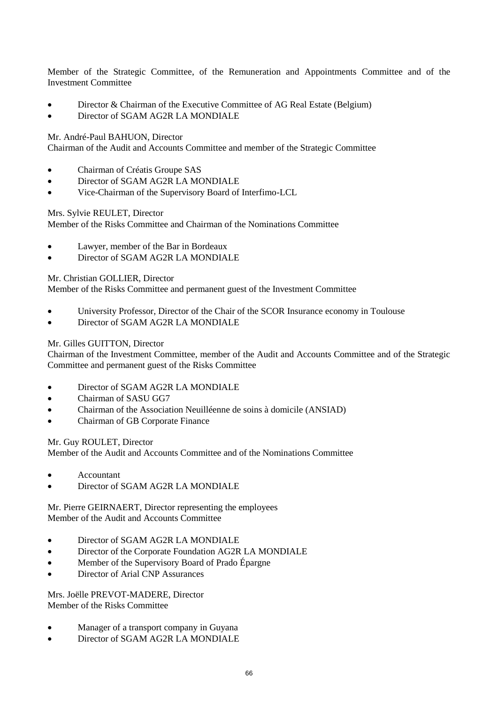Member of the Strategic Committee, of the Remuneration and Appointments Committee and of the Investment Committee

- Director & Chairman of the Executive Committee of AG Real Estate (Belgium)
- Director of SGAM AG2R LA MONDIALE

Mr. André-Paul BAHUON, Director

Chairman of the Audit and Accounts Committee and member of the Strategic Committee

- Chairman of Créatis Groupe SAS
- Director of SGAM AG2R LA MONDIALE
- Vice-Chairman of the Supervisory Board of Interfimo-LCL

## Mrs. Sylvie REULET, Director

Member of the Risks Committee and Chairman of the Nominations Committee

- Lawyer, member of the Bar in Bordeaux
- Director of SGAM AG2R LA MONDIALE

Mr. Christian GOLLIER, Director

Member of the Risks Committee and permanent guest of the Investment Committee

- University Professor, Director of the Chair of the SCOR Insurance economy in Toulouse
- Director of SGAM AG2R LA MONDIALE

## Mr. Gilles GUITTON, Director

Chairman of the Investment Committee, member of the Audit and Accounts Committee and of the Strategic Committee and permanent guest of the Risks Committee

- Director of SGAM AG2R LA MONDIALE
- Chairman of SASU GG7
- Chairman of the Association Neuilléenne de soins à domicile (ANSIAD)
- Chairman of GB Corporate Finance

Mr. Guy ROULET, Director

Member of the Audit and Accounts Committee and of the Nominations Committee

- Accountant
- Director of SGAM AG2R LA MONDIALE

Mr. Pierre GEIRNAERT, Director representing the employees Member of the Audit and Accounts Committee

- Director of SGAM AG2R LA MONDIALE
- Director of the Corporate Foundation AG2R LA MONDIALE
- Member of the Supervisory Board of Prado Épargne
- Director of Arial CNP Assurances

Mrs. Joëlle PREVOT-MADERE, Director Member of the Risks Committee

- Manager of a transport company in Guyana
- Director of SGAM AG2R LA MONDIALE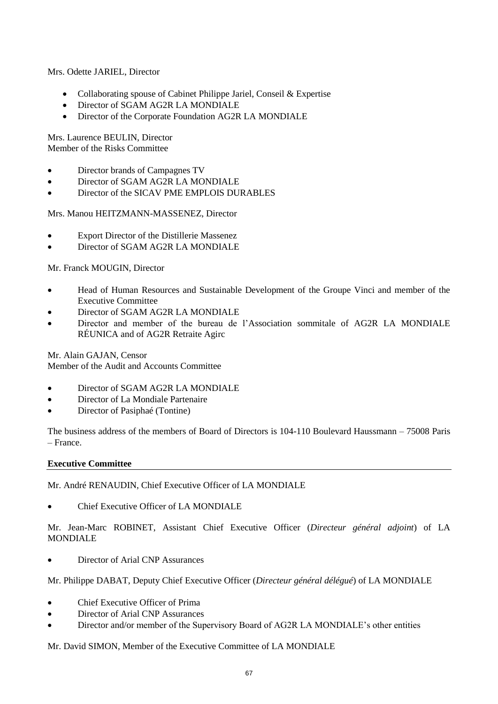Mrs. Odette JARIEL, Director

- Collaborating spouse of Cabinet Philippe Jariel, Conseil & Expertise
- Director of SGAM AG2R LA MONDIALE
- Director of the Corporate Foundation AG2R LA MONDIALE

Mrs. Laurence BEULIN, Director Member of the Risks Committee

- Director brands of Campagnes TV
- Director of SGAM AG2R LA MONDIALE
- Director of the SICAV PME EMPLOIS DURABLES

Mrs. Manou HEITZMANN-MASSENEZ, Director

- Export Director of the Distillerie Massenez
- Director of SGAM AG2R LA MONDIALE

Mr. Franck MOUGIN, Director

- Head of Human Resources and Sustainable Development of the Groupe Vinci and member of the Executive Committee
- Director of SGAM AG2R LA MONDIALE
- Director and member of the bureau de l'Association sommitale of AG2R LA MONDIALE RÉUNICA and of AG2R Retraite Agirc

Mr. Alain GAJAN, Censor Member of the Audit and Accounts Committee

- Director of SGAM AG2R LA MONDIALE
- Director of La Mondiale Partenaire
- Director of Pasiphaé (Tontine)

The business address of the members of Board of Directors is 104-110 Boulevard Haussmann – 75008 Paris – France.

#### **Executive Committee**

Mr. André RENAUDIN, Chief Executive Officer of LA MONDIALE

Chief Executive Officer of LA MONDIALE

Mr. Jean-Marc ROBINET, Assistant Chief Executive Officer (*Directeur général adjoint*) of LA MONDIALE

• Director of Arial CNP Assurances

Mr. Philippe DABAT, Deputy Chief Executive Officer (*Directeur général délégué*) of LA MONDIALE

- Chief Executive Officer of Prima
- Director of Arial CNP Assurances
- Director and/or member of the Supervisory Board of AG2R LA MONDIALE's other entities

Mr. David SIMON, Member of the Executive Committee of LA MONDIALE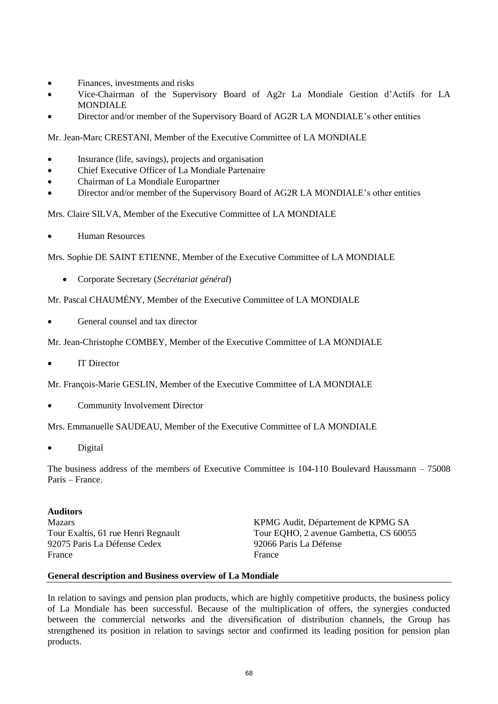- Finances, investments and risks
- Vice-Chairman of the Supervisory Board of Ag2r La Mondiale Gestion d'Actifs for LA MONDIALE
- Director and/or member of the Supervisory Board of AG2R LA MONDIALE's other entities

Mr. Jean-Marc CRESTANI, Member of the Executive Committee of LA MONDIALE

- Insurance (life, savings), projects and organisation
- Chief Executive Officer of La Mondiale Partenaire
- Chairman of La Mondiale Europartner
- Director and/or member of the Supervisory Board of AG2R LA MONDIALE's other entities

Mrs. Claire SILVA, Member of the Executive Committee of LA MONDIALE

Human Resources

Mrs. Sophie DE SAINT ETIENNE, Member of the Executive Committee of LA MONDIALE

Corporate Secretary (*Secrétariat général*)

Mr. Pascal CHAUMÉNY, Member of the Executive Committee of LA MONDIALE

General counsel and tax director

Mr. Jean-Christophe COMBEY, Member of the Executive Committee of LA MONDIALE

IT Director

Mr. François-Marie GESLIN, Member of the Executive Committee of LA MONDIALE

Community Involvement Director

Mrs. Emmanuelle SAUDEAU, Member of the Executive Committee of LA MONDIALE

Digital

The business address of the members of Executive Committee is 104-110 Boulevard Haussmann – 75008 Paris – France.

# **Auditors**

92075 Paris La Défense Cedex 92066 Paris La Défense France France **France** 

Mazars KPMG Audit, Département de KPMG SA Tour Exaltis, 61 rue Henri Regnault Tour EQHO, 2 avenue Gambetta, CS 60055

## **General description and Business overview of La Mondiale**

In relation to savings and pension plan products, which are highly competitive products, the business policy of La Mondiale has been successful. Because of the multiplication of offers, the synergies conducted between the commercial networks and the diversification of distribution channels, the Group has strengthened its position in relation to savings sector and confirmed its leading position for pension plan products.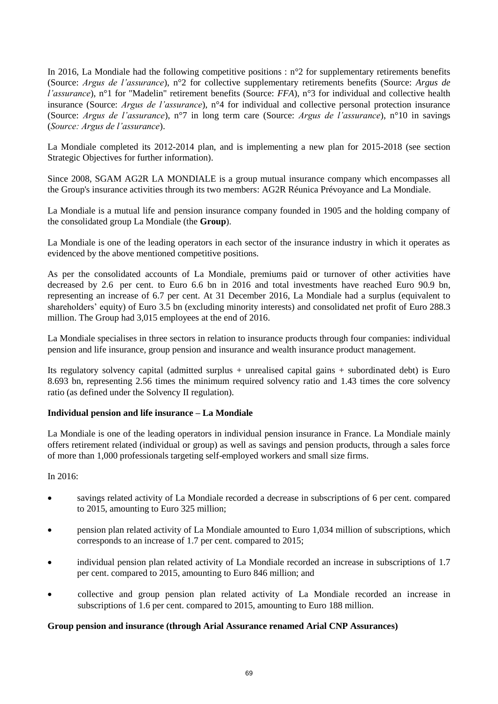In 2016, La Mondiale had the following competitive positions : n°2 for supplementary retirements benefits (Source: *Argus de l'assurance*), n°2 for collective supplementary retirements benefits (Source: *Argus de l'assurance*), n°1 for "Madelin" retirement benefits (Source: *FFA*), n°3 for individual and collective health insurance (Source: *Argus de l'assurance*), n°4 for individual and collective personal protection insurance (Source: *Argus de l'assurance*), n°7 in long term care (Source: *Argus de l'assurance*), n°10 in savings (*Source: Argus de l'assurance*).

La Mondiale completed its 2012-2014 plan, and is implementing a new plan for 2015-2018 (see section Strategic Objectives for further information).

Since 2008, SGAM AG2R LA MONDIALE is a group mutual insurance company which encompasses all the Group's insurance activities through its two members: AG2R Réunica Prévoyance and La Mondiale.

La Mondiale is a mutual life and pension insurance company founded in 1905 and the holding company of the consolidated group La Mondiale (the **Group**).

La Mondiale is one of the leading operators in each sector of the insurance industry in which it operates as evidenced by the above mentioned competitive positions.

As per the consolidated accounts of La Mondiale, premiums paid or turnover of other activities have decreased by 2.6 per cent. to Euro 6.6 bn in 2016 and total investments have reached Euro 90.9 bn, representing an increase of 6.7 per cent. At 31 December 2016, La Mondiale had a surplus (equivalent to shareholders' equity) of Euro 3.5 bn (excluding minority interests) and consolidated net profit of Euro 288.3 million. The Group had 3,015 employees at the end of 2016.

La Mondiale specialises in three sectors in relation to insurance products through four companies: individual pension and life insurance, group pension and insurance and wealth insurance product management.

Its regulatory solvency capital (admitted surplus + unrealised capital gains + subordinated debt) is Euro 8.693 bn, representing 2.56 times the minimum required solvency ratio and 1.43 times the core solvency ratio (as defined under the Solvency II regulation).

# **Individual pension and life insurance – La Mondiale**

La Mondiale is one of the leading operators in individual pension insurance in France. La Mondiale mainly offers retirement related (individual or group) as well as savings and pension products, through a sales force of more than 1,000 professionals targeting self-employed workers and small size firms.

## In 2016:

- savings related activity of La Mondiale recorded a decrease in subscriptions of 6 per cent. compared to 2015, amounting to Euro 325 million;
- pension plan related activity of La Mondiale amounted to Euro 1,034 million of subscriptions, which corresponds to an increase of 1.7 per cent. compared to 2015;
- individual pension plan related activity of La Mondiale recorded an increase in subscriptions of 1.7 per cent. compared to 2015, amounting to Euro 846 million; and
- collective and group pension plan related activity of La Mondiale recorded an increase in subscriptions of 1.6 per cent. compared to 2015, amounting to Euro 188 million.

## **Group pension and insurance (through Arial Assurance renamed Arial CNP Assurances)**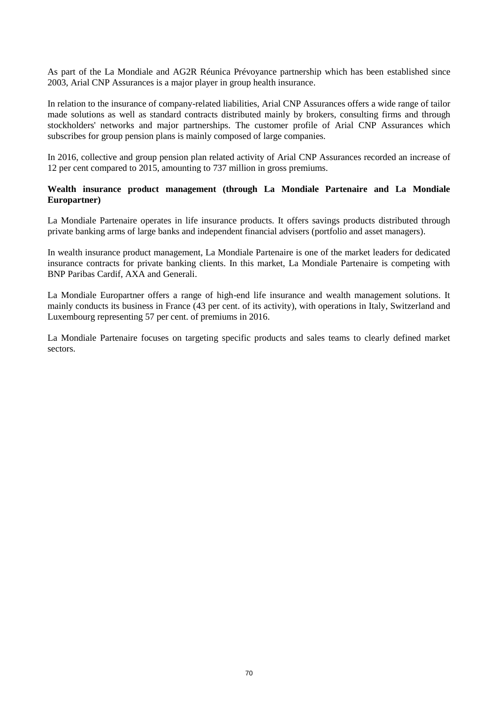As part of the La Mondiale and AG2R Réunica Prévoyance partnership which has been established since 2003, Arial CNP Assurances is a major player in group health insurance.

In relation to the insurance of company-related liabilities, Arial CNP Assurances offers a wide range of tailor made solutions as well as standard contracts distributed mainly by brokers, consulting firms and through stockholders' networks and major partnerships. The customer profile of Arial CNP Assurances which subscribes for group pension plans is mainly composed of large companies.

In 2016, collective and group pension plan related activity of Arial CNP Assurances recorded an increase of 12 per cent compared to 2015, amounting to 737 million in gross premiums.

# **Wealth insurance product management (through La Mondiale Partenaire and La Mondiale Europartner)**

La Mondiale Partenaire operates in life insurance products. It offers savings products distributed through private banking arms of large banks and independent financial advisers (portfolio and asset managers).

In wealth insurance product management, La Mondiale Partenaire is one of the market leaders for dedicated insurance contracts for private banking clients. In this market, La Mondiale Partenaire is competing with BNP Paribas Cardif, AXA and Generali.

La Mondiale Europartner offers a range of high-end life insurance and wealth management solutions. It mainly conducts its business in France (43 per cent. of its activity), with operations in Italy, Switzerland and Luxembourg representing 57 per cent. of premiums in 2016.

La Mondiale Partenaire focuses on targeting specific products and sales teams to clearly defined market sectors.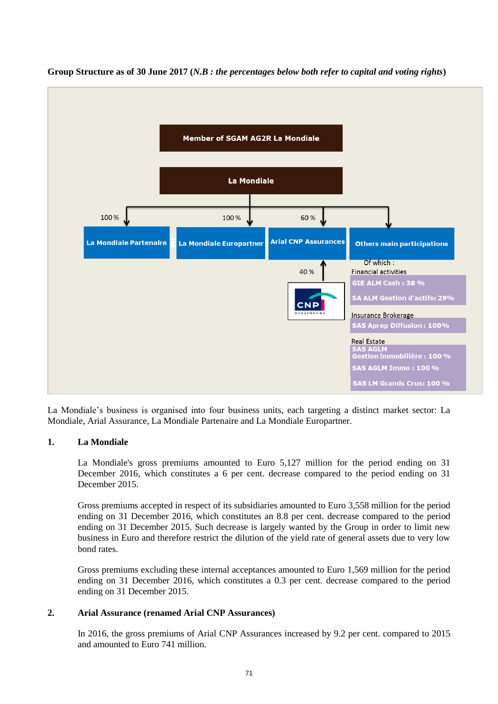

**Group Structure as of 30 June 2017 (***N.B : the percentages below both refer to capital and voting rights***)**

La Mondiale's business is organised into four business units, each targeting a distinct market sector: La Mondiale, Arial Assurance, La Mondiale Partenaire and La Mondiale Europartner.

## **1. La Mondiale**

La Mondiale's gross premiums amounted to Euro 5,127 million for the period ending on 31 December 2016, which constitutes a 6 per cent. decrease compared to the period ending on 31 December 2015.

Gross premiums accepted in respect of its subsidiaries amounted to Euro 3,558 million for the period ending on 31 December 2016, which constitutes an 8.8 per cent. decrease compared to the period ending on 31 December 2015. Such decrease is largely wanted by the Group in order to limit new business in Euro and therefore restrict the dilution of the yield rate of general assets due to very low bond rates.

Gross premiums excluding these internal acceptances amounted to Euro 1,569 million for the period ending on 31 December 2016, which constitutes a 0.3 per cent. decrease compared to the period ending on 31 December 2015.

## **2. Arial Assurance (renamed Arial CNP Assurances)**

In 2016, the gross premiums of Arial CNP Assurances increased by 9.2 per cent. compared to 2015 and amounted to Euro 741 million.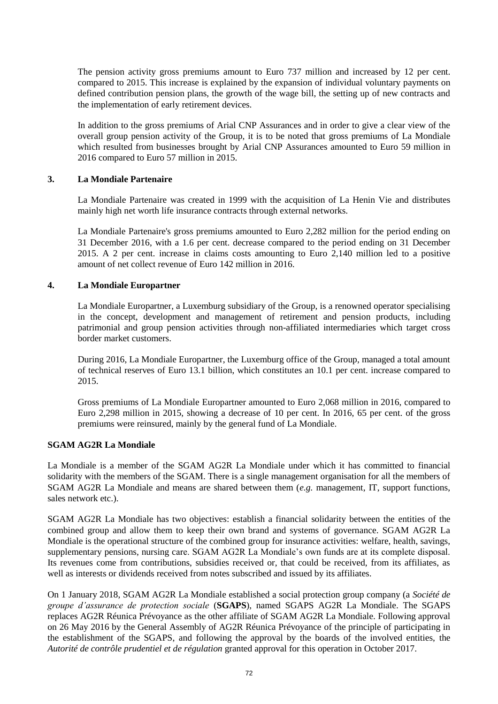The pension activity gross premiums amount to Euro 737 million and increased by 12 per cent. compared to 2015. This increase is explained by the expansion of individual voluntary payments on defined contribution pension plans, the growth of the wage bill, the setting up of new contracts and the implementation of early retirement devices.

In addition to the gross premiums of Arial CNP Assurances and in order to give a clear view of the overall group pension activity of the Group, it is to be noted that gross premiums of La Mondiale which resulted from businesses brought by Arial CNP Assurances amounted to Euro 59 million in 2016 compared to Euro 57 million in 2015.

#### **3. La Mondiale Partenaire**

La Mondiale Partenaire was created in 1999 with the acquisition of La Henin Vie and distributes mainly high net worth life insurance contracts through external networks.

La Mondiale Partenaire's gross premiums amounted to Euro 2,282 million for the period ending on 31 December 2016, with a 1.6 per cent. decrease compared to the period ending on 31 December 2015. A 2 per cent. increase in claims costs amounting to Euro 2,140 million led to a positive amount of net collect revenue of Euro 142 million in 2016.

#### **4. La Mondiale Europartner**

La Mondiale Europartner, a Luxemburg subsidiary of the Group, is a renowned operator specialising in the concept, development and management of retirement and pension products, including patrimonial and group pension activities through non-affiliated intermediaries which target cross border market customers.

During 2016, La Mondiale Europartner, the Luxemburg office of the Group, managed a total amount of technical reserves of Euro 13.1 billion, which constitutes an 10.1 per cent. increase compared to 2015.

Gross premiums of La Mondiale Europartner amounted to Euro 2,068 million in 2016, compared to Euro 2,298 million in 2015, showing a decrease of 10 per cent. In 2016, 65 per cent. of the gross premiums were reinsured, mainly by the general fund of La Mondiale.

# **SGAM AG2R La Mondiale**

La Mondiale is a member of the SGAM AG2R La Mondiale under which it has committed to financial solidarity with the members of the SGAM. There is a single management organisation for all the members of SGAM AG2R La Mondiale and means are shared between them (*e.g.* management, IT, support functions, sales network etc.).

SGAM AG2R La Mondiale has two objectives: establish a financial solidarity between the entities of the combined group and allow them to keep their own brand and systems of governance. SGAM AG2R La Mondiale is the operational structure of the combined group for insurance activities: welfare, health, savings, supplementary pensions, nursing care. SGAM AG2R La Mondiale's own funds are at its complete disposal. Its revenues come from contributions, subsidies received or, that could be received, from its affiliates, as well as interests or dividends received from notes subscribed and issued by its affiliates.

On 1 January 2018, SGAM AG2R La Mondiale established a social protection group company (a *Société de groupe d'assurance de protection sociale* (**SGAPS**), named SGAPS AG2R La Mondiale. The SGAPS replaces AG2R Réunica Prévoyance as the other affiliate of SGAM AG2R La Mondiale. Following approval on 26 May 2016 by the General Assembly of AG2R Réunica Prévoyance of the principle of participating in the establishment of the SGAPS, and following the approval by the boards of the involved entities, the *Autorité de contrôle prudentiel et de régulation* granted approval for this operation in October 2017.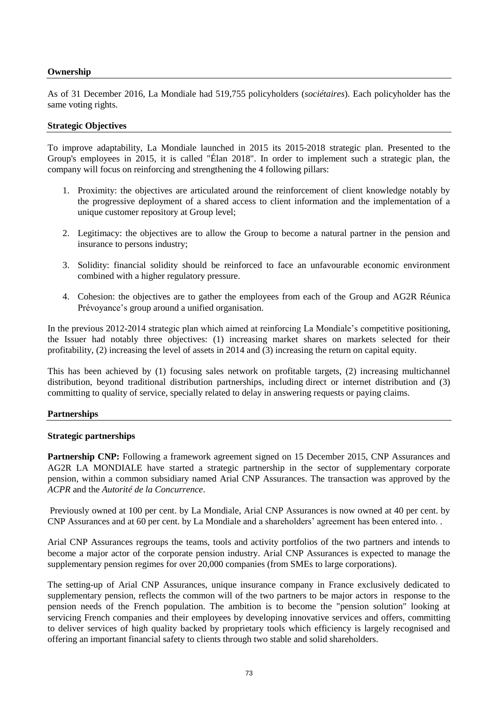# **Ownership**

As of 31 December 2016, La Mondiale had 519,755 policyholders (*sociétaires*). Each policyholder has the same voting rights.

#### **Strategic Objectives**

To improve adaptability, La Mondiale launched in 2015 its 2015-2018 strategic plan. Presented to the Group's employees in 2015, it is called "Élan 2018". In order to implement such a strategic plan, the company will focus on reinforcing and strengthening the 4 following pillars:

- 1. Proximity: the objectives are articulated around the reinforcement of client knowledge notably by the progressive deployment of a shared access to client information and the implementation of a unique customer repository at Group level;
- 2. Legitimacy: the objectives are to allow the Group to become a natural partner in the pension and insurance to persons industry;
- 3. Solidity: financial solidity should be reinforced to face an unfavourable economic environment combined with a higher regulatory pressure.
- 4. Cohesion: the objectives are to gather the employees from each of the Group and AG2R Réunica Prévoyance's group around a unified organisation.

In the previous 2012-2014 strategic plan which aimed at reinforcing La Mondiale's competitive positioning, the Issuer had notably three objectives: (1) increasing market shares on markets selected for their profitability, (2) increasing the level of assets in 2014 and (3) increasing the return on capital equity.

This has been achieved by (1) focusing sales network on profitable targets, (2) increasing multichannel distribution, beyond traditional distribution partnerships, including direct or internet distribution and (3) committing to quality of service, specially related to delay in answering requests or paying claims.

# **Partnerships**

#### **Strategic partnerships**

**Partnership CNP:** Following a framework agreement signed on 15 December 2015, CNP Assurances and AG2R LA MONDIALE have started a strategic partnership in the sector of supplementary corporate pension, within a common subsidiary named Arial CNP Assurances. The transaction was approved by the *ACPR* and the *Autorité de la Concurrence*.

Previously owned at 100 per cent. by La Mondiale, Arial CNP Assurances is now owned at 40 per cent. by CNP Assurances and at 60 per cent. by La Mondiale and a shareholders' agreement has been entered into. .

Arial CNP Assurances regroups the teams, tools and activity portfolios of the two partners and intends to become a major actor of the corporate pension industry. Arial CNP Assurances is expected to manage the supplementary pension regimes for over 20,000 companies (from SMEs to large corporations).

The setting-up of Arial CNP Assurances, unique insurance company in France exclusively dedicated to supplementary pension, reflects the common will of the two partners to be major actors in response to the pension needs of the French population. The ambition is to become the "pension solution" looking at servicing French companies and their employees by developing innovative services and offers, committing to deliver services of high quality backed by proprietary tools which efficiency is largely recognised and offering an important financial safety to clients through two stable and solid shareholders.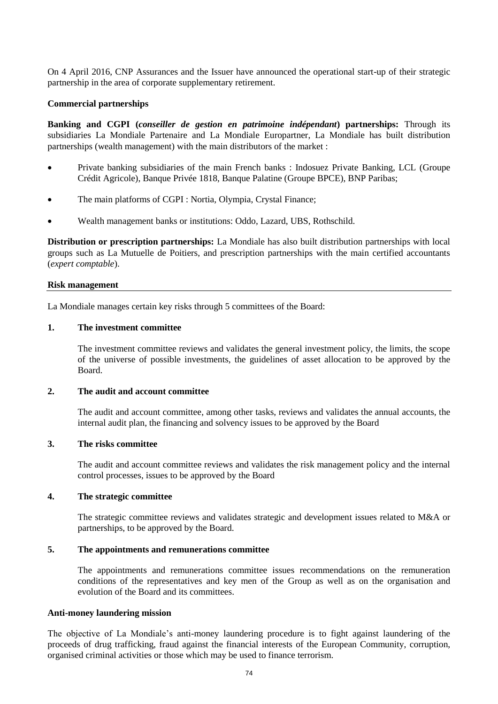On 4 April 2016, CNP Assurances and the Issuer have announced the operational start-up of their strategic partnership in the area of corporate supplementary retirement.

#### **Commercial partnerships**

**Banking and CGPI (***conseiller de gestion en patrimoine indépendant***) partnerships:** Through its subsidiaries La Mondiale Partenaire and La Mondiale Europartner, La Mondiale has built distribution partnerships (wealth management) with the main distributors of the market :

- Private banking subsidiaries of the main French banks : Indosuez Private Banking, LCL (Groupe Crédit Agricole), Banque Privée 1818, Banque Palatine (Groupe BPCE), BNP Paribas;
- The main platforms of CGPI : Nortia, Olympia, Crystal Finance;
- Wealth management banks or institutions: Oddo, Lazard, UBS, Rothschild.

**Distribution or prescription partnerships:** La Mondiale has also built distribution partnerships with local groups such as La Mutuelle de Poitiers, and prescription partnerships with the main certified accountants (*expert comptable*).

#### **Risk management**

La Mondiale manages certain key risks through 5 committees of the Board:

#### **1. The investment committee**

The investment committee reviews and validates the general investment policy, the limits, the scope of the universe of possible investments, the guidelines of asset allocation to be approved by the Board.

# **2. The audit and account committee**

The audit and account committee, among other tasks, reviews and validates the annual accounts, the internal audit plan, the financing and solvency issues to be approved by the Board

#### **3. The risks committee**

The audit and account committee reviews and validates the risk management policy and the internal control processes, issues to be approved by the Board

#### **4. The strategic committee**

The strategic committee reviews and validates strategic and development issues related to M&A or partnerships, to be approved by the Board.

#### **5. The appointments and remunerations committee**

The appointments and remunerations committee issues recommendations on the remuneration conditions of the representatives and key men of the Group as well as on the organisation and evolution of the Board and its committees.

#### **Anti-money laundering mission**

The objective of La Mondiale's anti-money laundering procedure is to fight against laundering of the proceeds of drug trafficking, fraud against the financial interests of the European Community, corruption, organised criminal activities or those which may be used to finance terrorism.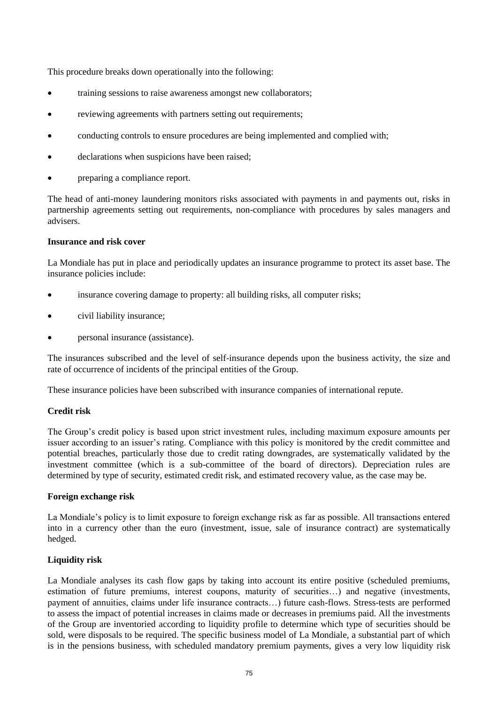This procedure breaks down operationally into the following:

- training sessions to raise awareness amongst new collaborators;
- reviewing agreements with partners setting out requirements;
- conducting controls to ensure procedures are being implemented and complied with;
- declarations when suspicions have been raised;
- preparing a compliance report.

The head of anti-money laundering monitors risks associated with payments in and payments out, risks in partnership agreements setting out requirements, non-compliance with procedures by sales managers and advisers.

# **Insurance and risk cover**

La Mondiale has put in place and periodically updates an insurance programme to protect its asset base. The insurance policies include:

- insurance covering damage to property: all building risks, all computer risks;
- civil liability insurance;
- personal insurance (assistance).

The insurances subscribed and the level of self-insurance depends upon the business activity, the size and rate of occurrence of incidents of the principal entities of the Group.

These insurance policies have been subscribed with insurance companies of international repute.

# **Credit risk**

The Group's credit policy is based upon strict investment rules, including maximum exposure amounts per issuer according to an issuer's rating. Compliance with this policy is monitored by the credit committee and potential breaches, particularly those due to credit rating downgrades, are systematically validated by the investment committee (which is a sub-committee of the board of directors). Depreciation rules are determined by type of security, estimated credit risk, and estimated recovery value, as the case may be.

# **Foreign exchange risk**

La Mondiale's policy is to limit exposure to foreign exchange risk as far as possible. All transactions entered into in a currency other than the euro (investment, issue, sale of insurance contract) are systematically hedged.

# **Liquidity risk**

La Mondiale analyses its cash flow gaps by taking into account its entire positive (scheduled premiums, estimation of future premiums, interest coupons, maturity of securities…) and negative (investments, payment of annuities, claims under life insurance contracts…) future cash-flows. Stress-tests are performed to assess the impact of potential increases in claims made or decreases in premiums paid. All the investments of the Group are inventoried according to liquidity profile to determine which type of securities should be sold, were disposals to be required. The specific business model of La Mondiale, a substantial part of which is in the pensions business, with scheduled mandatory premium payments, gives a very low liquidity risk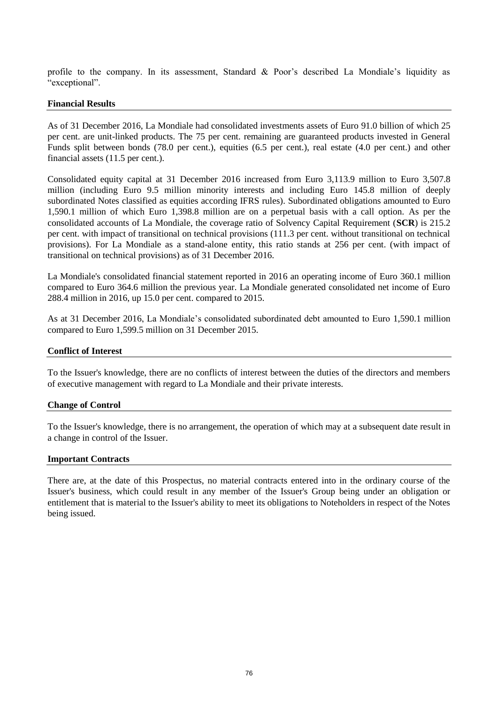profile to the company. In its assessment, Standard & Poor's described La Mondiale's liquidity as "exceptional".

#### **Financial Results**

As of 31 December 2016, La Mondiale had consolidated investments assets of Euro 91.0 billion of which 25 per cent. are unit-linked products. The 75 per cent. remaining are guaranteed products invested in General Funds split between bonds (78.0 per cent.), equities (6.5 per cent.), real estate (4.0 per cent.) and other financial assets (11.5 per cent.).

Consolidated equity capital at 31 December 2016 increased from Euro 3,113.9 million to Euro 3,507.8 million (including Euro 9.5 million minority interests and including Euro 145.8 million of deeply subordinated Notes classified as equities according IFRS rules). Subordinated obligations amounted to Euro 1,590.1 million of which Euro 1,398.8 million are on a perpetual basis with a call option. As per the consolidated accounts of La Mondiale, the coverage ratio of Solvency Capital Requirement (**SCR**) is 215.2 per cent. with impact of transitional on technical provisions (111.3 per cent. without transitional on technical provisions). For La Mondiale as a stand-alone entity, this ratio stands at 256 per cent. (with impact of transitional on technical provisions) as of 31 December 2016.

La Mondiale's consolidated financial statement reported in 2016 an operating income of Euro 360.1 million compared to Euro 364.6 million the previous year. La Mondiale generated consolidated net income of Euro 288.4 million in 2016, up 15.0 per cent. compared to 2015.

As at 31 December 2016, La Mondiale's consolidated subordinated debt amounted to Euro 1,590.1 million compared to Euro 1,599.5 million on 31 December 2015.

#### **Conflict of Interest**

To the Issuer's knowledge, there are no conflicts of interest between the duties of the directors and members of executive management with regard to La Mondiale and their private interests.

#### **Change of Control**

To the Issuer's knowledge, there is no arrangement, the operation of which may at a subsequent date result in a change in control of the Issuer.

#### **Important Contracts**

There are, at the date of this Prospectus, no material contracts entered into in the ordinary course of the Issuer's business, which could result in any member of the Issuer's Group being under an obligation or entitlement that is material to the Issuer's ability to meet its obligations to Noteholders in respect of the Notes being issued.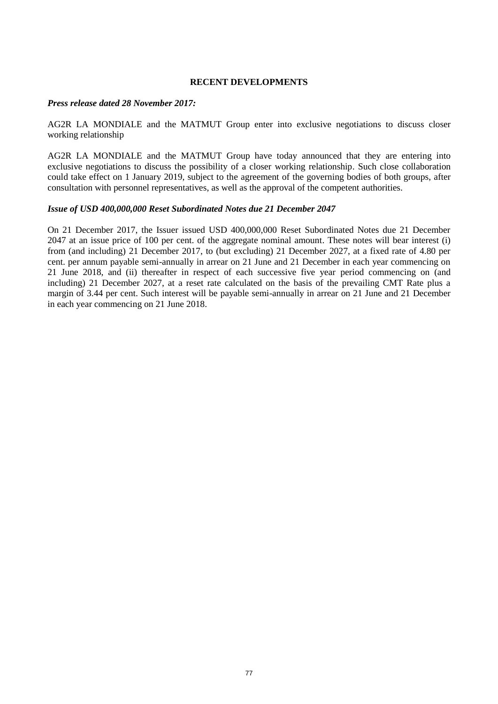#### **RECENT DEVELOPMENTS**

#### *Press release dated 28 November 2017:*

AG2R LA MONDIALE and the MATMUT Group enter into exclusive negotiations to discuss closer working relationship

AG2R LA MONDIALE and the MATMUT Group have today announced that they are entering into exclusive negotiations to discuss the possibility of a closer working relationship. Such close collaboration could take effect on 1 January 2019, subject to the agreement of the governing bodies of both groups, after consultation with personnel representatives, as well as the approval of the competent authorities.

#### *Issue of USD 400,000,000 Reset Subordinated Notes due 21 December 2047*

On 21 December 2017, the Issuer issued USD 400,000,000 Reset Subordinated Notes due 21 December 2047 at an issue price of 100 per cent. of the aggregate nominal amount. These notes will bear interest (i) from (and including) 21 December 2017, to (but excluding) 21 December 2027, at a fixed rate of 4.80 per cent. per annum payable semi-annually in arrear on 21 June and 21 December in each year commencing on 21 June 2018, and (ii) thereafter in respect of each successive five year period commencing on (and including) 21 December 2027, at a reset rate calculated on the basis of the prevailing CMT Rate plus a margin of 3.44 per cent. Such interest will be payable semi-annually in arrear on 21 June and 21 December in each year commencing on 21 June 2018.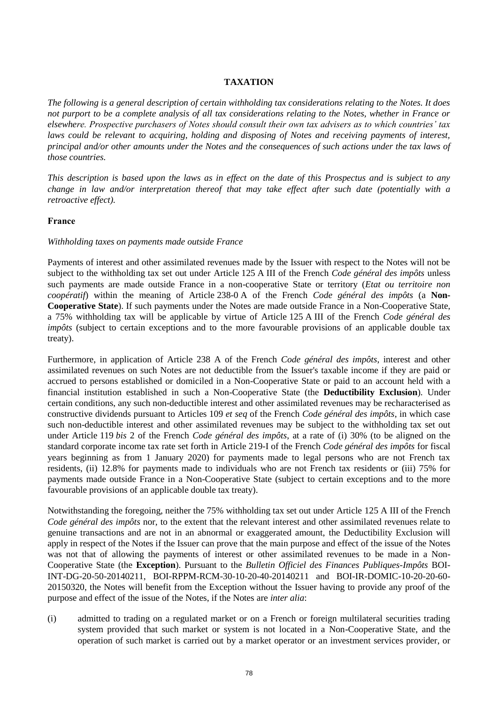# **TAXATION**

*The following is a general description of certain withholding tax considerations relating to the Notes. It does not purport to be a complete analysis of all tax considerations relating to the Notes, whether in France or elsewhere. Prospective purchasers of Notes should consult their own tax advisers as to which countries' tax laws could be relevant to acquiring, holding and disposing of Notes and receiving payments of interest, principal and/or other amounts under the Notes and the consequences of such actions under the tax laws of those countries.* 

*This description is based upon the laws as in effect on the date of this Prospectus and is subject to any change in law and/or interpretation thereof that may take effect after such date (potentially with a retroactive effect).*

# **France**

# *Withholding taxes on payments made outside France*

Payments of interest and other assimilated revenues made by the Issuer with respect to the Notes will not be subject to the withholding tax set out under Article 125 A III of the French *Code général des impôts* unless such payments are made outside France in a non-cooperative State or territory (*Etat ou territoire non coopératif*) within the meaning of Article 238-0 A of the French *Code général des impôts* (a **Non-Cooperative State**). If such payments under the Notes are made outside France in a Non-Cooperative State, a 75% withholding tax will be applicable by virtue of Article 125 A III of the French *Code général des impôts* (subject to certain exceptions and to the more favourable provisions of an applicable double tax treaty).

Furthermore, in application of Article 238 A of the French *Code général des impôts*, interest and other assimilated revenues on such Notes are not deductible from the Issuer's taxable income if they are paid or accrued to persons established or domiciled in a Non-Cooperative State or paid to an account held with a financial institution established in such a Non-Cooperative State (the **Deductibility Exclusion**). Under certain conditions, any such non-deductible interest and other assimilated revenues may be recharacterised as constructive dividends pursuant to Articles 109 *et seq* of the French *Code général des impôts*, in which case such non-deductible interest and other assimilated revenues may be subject to the withholding tax set out under Article 119 *bis* 2 of the French *Code général des impôts*, at a rate of (i) 30% (to be aligned on the standard corporate income tax rate set forth in Article 219-I of the French *Code général des impôts* for fiscal years beginning as from 1 January 2020) for payments made to legal persons who are not French tax residents, (ii) 12.8% for payments made to individuals who are not French tax residents or (iii) 75% for payments made outside France in a Non-Cooperative State (subject to certain exceptions and to the more favourable provisions of an applicable double tax treaty).

Notwithstanding the foregoing, neither the 75% withholding tax set out under Article 125 A III of the French *Code général des impôts* nor, to the extent that the relevant interest and other assimilated revenues relate to genuine transactions and are not in an abnormal or exaggerated amount, the Deductibility Exclusion will apply in respect of the Notes if the Issuer can prove that the main purpose and effect of the issue of the Notes was not that of allowing the payments of interest or other assimilated revenues to be made in a Non-Cooperative State (the **Exception**). Pursuant to the *Bulletin Officiel des Finances Publiques-Impôts* BOI-INT-DG-20-50-20140211, BOI-RPPM-RCM-30-10-20-40-20140211 and BOI-IR-DOMIC-10-20-20-60- 20150320, the Notes will benefit from the Exception without the Issuer having to provide any proof of the purpose and effect of the issue of the Notes, if the Notes are *inter alia*:

(i) admitted to trading on a regulated market or on a French or foreign multilateral securities trading system provided that such market or system is not located in a Non-Cooperative State, and the operation of such market is carried out by a market operator or an investment services provider, or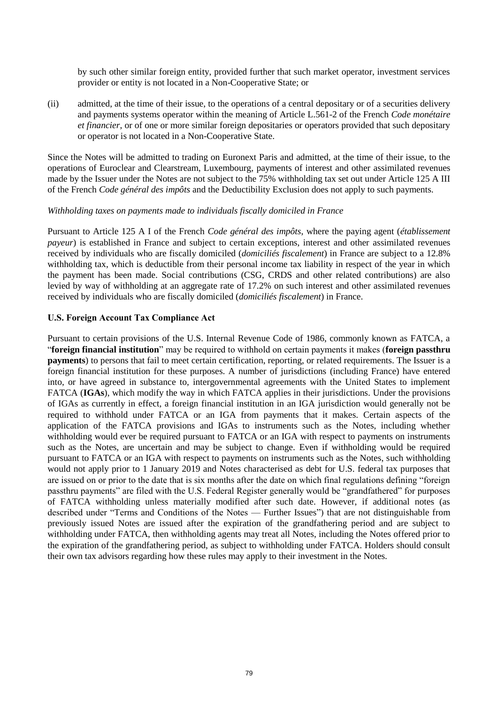by such other similar foreign entity, provided further that such market operator, investment services provider or entity is not located in a Non-Cooperative State; or

(ii) admitted, at the time of their issue, to the operations of a central depositary or of a securities delivery and payments systems operator within the meaning of Article L.561-2 of the French *Code monétaire et financier*, or of one or more similar foreign depositaries or operators provided that such depositary or operator is not located in a Non-Cooperative State.

Since the Notes will be admitted to trading on Euronext Paris and admitted, at the time of their issue, to the operations of Euroclear and Clearstream, Luxembourg, payments of interest and other assimilated revenues made by the Issuer under the Notes are not subject to the 75% withholding tax set out under Article 125 A III of the French *Code général des impôts* and the Deductibility Exclusion does not apply to such payments.

#### *Withholding taxes on payments made to individuals fiscally domiciled in France*

Pursuant to Article 125 A I of the French *Code général des impôts*, where the paying agent (*établissement payeur*) is established in France and subject to certain exceptions, interest and other assimilated revenues received by individuals who are fiscally domiciled (*domiciliés fiscalement*) in France are subject to a 12.8% withholding tax, which is deductible from their personal income tax liability in respect of the year in which the payment has been made. Social contributions (CSG, CRDS and other related contributions) are also levied by way of withholding at an aggregate rate of 17.2% on such interest and other assimilated revenues received by individuals who are fiscally domiciled (*domiciliés fiscalement*) in France.

#### **U.S. Foreign Account Tax Compliance Act**

Pursuant to certain provisions of the U.S. Internal Revenue Code of 1986, commonly known as FATCA, a "**foreign financial institution**" may be required to withhold on certain payments it makes (**foreign passthru payments**) to persons that fail to meet certain certification, reporting, or related requirements. The Issuer is a foreign financial institution for these purposes. A number of jurisdictions (including France) have entered into, or have agreed in substance to, intergovernmental agreements with the United States to implement FATCA (**IGAs**), which modify the way in which FATCA applies in their jurisdictions. Under the provisions of IGAs as currently in effect, a foreign financial institution in an IGA jurisdiction would generally not be required to withhold under FATCA or an IGA from payments that it makes. Certain aspects of the application of the FATCA provisions and IGAs to instruments such as the Notes, including whether withholding would ever be required pursuant to FATCA or an IGA with respect to payments on instruments such as the Notes, are uncertain and may be subject to change. Even if withholding would be required pursuant to FATCA or an IGA with respect to payments on instruments such as the Notes, such withholding would not apply prior to 1 January 2019 and Notes characterised as debt for U.S. federal tax purposes that are issued on or prior to the date that is six months after the date on which final regulations defining "foreign passthru payments" are filed with the U.S. Federal Register generally would be "grandfathered" for purposes of FATCA withholding unless materially modified after such date. However, if additional notes (as described under "Terms and Conditions of the Notes — Further Issues") that are not distinguishable from previously issued Notes are issued after the expiration of the grandfathering period and are subject to withholding under FATCA, then withholding agents may treat all Notes, including the Notes offered prior to the expiration of the grandfathering period, as subject to withholding under FATCA. Holders should consult their own tax advisors regarding how these rules may apply to their investment in the Notes.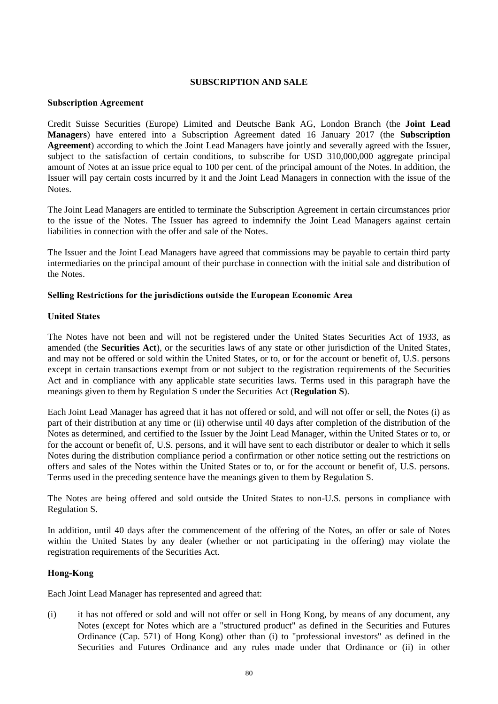# **SUBSCRIPTION AND SALE**

#### **Subscription Agreement**

Credit Suisse Securities (Europe) Limited and Deutsche Bank AG, London Branch (the **Joint Lead Managers**) have entered into a Subscription Agreement dated 16 January 2017 (the **Subscription Agreement**) according to which the Joint Lead Managers have jointly and severally agreed with the Issuer, subject to the satisfaction of certain conditions, to subscribe for USD 310,000,000 aggregate principal amount of Notes at an issue price equal to 100 per cent. of the principal amount of the Notes. In addition, the Issuer will pay certain costs incurred by it and the Joint Lead Managers in connection with the issue of the **Notes**.

The Joint Lead Managers are entitled to terminate the Subscription Agreement in certain circumstances prior to the issue of the Notes. The Issuer has agreed to indemnify the Joint Lead Managers against certain liabilities in connection with the offer and sale of the Notes.

The Issuer and the Joint Lead Managers have agreed that commissions may be payable to certain third party intermediaries on the principal amount of their purchase in connection with the initial sale and distribution of the Notes.

#### **Selling Restrictions for the jurisdictions outside the European Economic Area**

#### **United States**

The Notes have not been and will not be registered under the United States Securities Act of 1933, as amended (the **Securities Act**), or the securities laws of any state or other jurisdiction of the United States, and may not be offered or sold within the United States, or to, or for the account or benefit of, U.S. persons except in certain transactions exempt from or not subject to the registration requirements of the Securities Act and in compliance with any applicable state securities laws. Terms used in this paragraph have the meanings given to them by Regulation S under the Securities Act (**Regulation S**).

Each Joint Lead Manager has agreed that it has not offered or sold, and will not offer or sell, the Notes (i) as part of their distribution at any time or (ii) otherwise until 40 days after completion of the distribution of the Notes as determined, and certified to the Issuer by the Joint Lead Manager, within the United States or to, or for the account or benefit of, U.S. persons, and it will have sent to each distributor or dealer to which it sells Notes during the distribution compliance period a confirmation or other notice setting out the restrictions on offers and sales of the Notes within the United States or to, or for the account or benefit of, U.S. persons. Terms used in the preceding sentence have the meanings given to them by Regulation S.

The Notes are being offered and sold outside the United States to non-U.S. persons in compliance with Regulation S.

In addition, until 40 days after the commencement of the offering of the Notes, an offer or sale of Notes within the United States by any dealer (whether or not participating in the offering) may violate the registration requirements of the Securities Act.

# **Hong-Kong**

Each Joint Lead Manager has represented and agreed that:

(i) it has not offered or sold and will not offer or sell in Hong Kong, by means of any document, any Notes (except for Notes which are a "structured product" as defined in the Securities and Futures Ordinance (Cap. 571) of Hong Kong) other than (i) to "professional investors" as defined in the Securities and Futures Ordinance and any rules made under that Ordinance or (ii) in other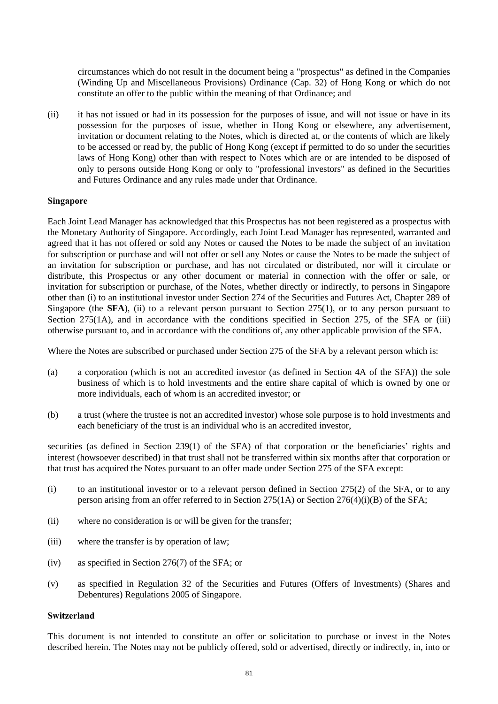circumstances which do not result in the document being a "prospectus" as defined in the Companies (Winding Up and Miscellaneous Provisions) Ordinance (Cap. 32) of Hong Kong or which do not constitute an offer to the public within the meaning of that Ordinance; and

(ii) it has not issued or had in its possession for the purposes of issue, and will not issue or have in its possession for the purposes of issue, whether in Hong Kong or elsewhere, any advertisement, invitation or document relating to the Notes, which is directed at, or the contents of which are likely to be accessed or read by, the public of Hong Kong (except if permitted to do so under the securities laws of Hong Kong) other than with respect to Notes which are or are intended to be disposed of only to persons outside Hong Kong or only to "professional investors" as defined in the Securities and Futures Ordinance and any rules made under that Ordinance.

#### **Singapore**

Each Joint Lead Manager has acknowledged that this Prospectus has not been registered as a prospectus with the Monetary Authority of Singapore. Accordingly, each Joint Lead Manager has represented, warranted and agreed that it has not offered or sold any Notes or caused the Notes to be made the subject of an invitation for subscription or purchase and will not offer or sell any Notes or cause the Notes to be made the subject of an invitation for subscription or purchase, and has not circulated or distributed, nor will it circulate or distribute, this Prospectus or any other document or material in connection with the offer or sale, or invitation for subscription or purchase, of the Notes, whether directly or indirectly, to persons in Singapore other than (i) to an institutional investor under Section 274 of the Securities and Futures Act, Chapter 289 of Singapore (the **SFA**), (ii) to a relevant person pursuant to Section 275(1), or to any person pursuant to Section 275(1A), and in accordance with the conditions specified in Section 275, of the SFA or (iii) otherwise pursuant to, and in accordance with the conditions of, any other applicable provision of the SFA.

Where the Notes are subscribed or purchased under Section 275 of the SFA by a relevant person which is:

- (a) a corporation (which is not an accredited investor (as defined in Section 4A of the SFA)) the sole business of which is to hold investments and the entire share capital of which is owned by one or more individuals, each of whom is an accredited investor; or
- (b) a trust (where the trustee is not an accredited investor) whose sole purpose is to hold investments and each beneficiary of the trust is an individual who is an accredited investor,

securities (as defined in Section 239(1) of the SFA) of that corporation or the beneficiaries' rights and interest (howsoever described) in that trust shall not be transferred within six months after that corporation or that trust has acquired the Notes pursuant to an offer made under Section 275 of the SFA except:

- (i) to an institutional investor or to a relevant person defined in Section 275(2) of the SFA, or to any person arising from an offer referred to in Section 275(1A) or Section 276(4)(i)(B) of the SFA;
- (ii) where no consideration is or will be given for the transfer;
- (iii) where the transfer is by operation of law;
- (iv) as specified in Section 276(7) of the SFA; or
- (v) as specified in Regulation 32 of the Securities and Futures (Offers of Investments) (Shares and Debentures) Regulations 2005 of Singapore.

#### **Switzerland**

This document is not intended to constitute an offer or solicitation to purchase or invest in the Notes described herein. The Notes may not be publicly offered, sold or advertised, directly or indirectly, in, into or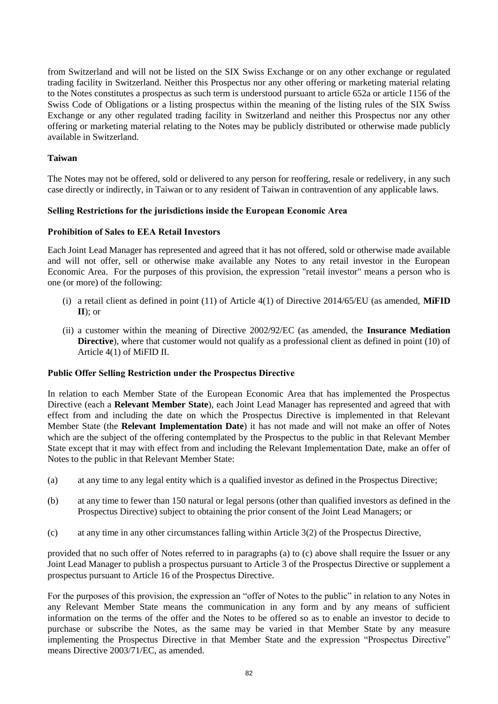from Switzerland and will not be listed on the SIX Swiss Exchange or on any other exchange or regulated trading facility in Switzerland. Neither this Prospectus nor any other offering or marketing material relating to the Notes constitutes a prospectus as such term is understood pursuant to article 652a or article 1156 of the Swiss Code of Obligations or a listing prospectus within the meaning of the listing rules of the SIX Swiss Exchange or any other regulated trading facility in Switzerland and neither this Prospectus nor any other offering or marketing material relating to the Notes may be publicly distributed or otherwise made publicly available in Switzerland.

# **Taiwan**

The Notes may not be offered, sold or delivered to any person for reoffering, resale or redelivery, in any such case directly or indirectly, in Taiwan or to any resident of Taiwan in contravention of any applicable laws.

# **Selling Restrictions for the jurisdictions inside the European Economic Area**

# **Prohibition of Sales to EEA Retail Investors**

Each Joint Lead Manager has represented and agreed that it has not offered, sold or otherwise made available and will not offer, sell or otherwise make available any Notes to any retail investor in the European Economic Area. For the purposes of this provision, the expression "retail investor" means a person who is one (or more) of the following:

- (i) a retail client as defined in point (11) of Article 4(1) of Directive 2014/65/EU (as amended, **MiFID II**); or
- (ii) a customer within the meaning of Directive 2002/92/EC (as amended, the **Insurance Mediation Directive**), where that customer would not qualify as a professional client as defined in point (10) of Article 4(1) of MiFID II.

# **Public Offer Selling Restriction under the Prospectus Directive**

In relation to each Member State of the European Economic Area that has implemented the Prospectus Directive (each a **Relevant Member State**), each Joint Lead Manager has represented and agreed that with effect from and including the date on which the Prospectus Directive is implemented in that Relevant Member State (the **Relevant Implementation Date**) it has not made and will not make an offer of Notes which are the subject of the offering contemplated by the Prospectus to the public in that Relevant Member State except that it may with effect from and including the Relevant Implementation Date, make an offer of Notes to the public in that Relevant Member State:

- <span id="page-82-0"></span>(a) at any time to any legal entity which is a qualified investor as defined in the Prospectus Directive;
- (b) at any time to fewer than 150 natural or legal persons (other than qualified investors as defined in the Prospectus Directive) subject to obtaining the prior consent of the Joint Lead Managers; or
- <span id="page-82-1"></span>(c) at any time in any other circumstances falling within Article 3(2) of the Prospectus Directive,

provided that no such offer of Notes referred to in paragraphs [\(a\)](#page-82-0) to [\(c\) above](#page-82-1) shall require the Issuer or any Joint Lead Manager to publish a prospectus pursuant to Article 3 of the Prospectus Directive or supplement a prospectus pursuant to Article 16 of the Prospectus Directive.

For the purposes of this provision, the expression an "offer of Notes to the public" in relation to any Notes in any Relevant Member State means the communication in any form and by any means of sufficient information on the terms of the offer and the Notes to be offered so as to enable an investor to decide to purchase or subscribe the Notes, as the same may be varied in that Member State by any measure implementing the Prospectus Directive in that Member State and the expression "Prospectus Directive" means Directive 2003/71/EC, as amended.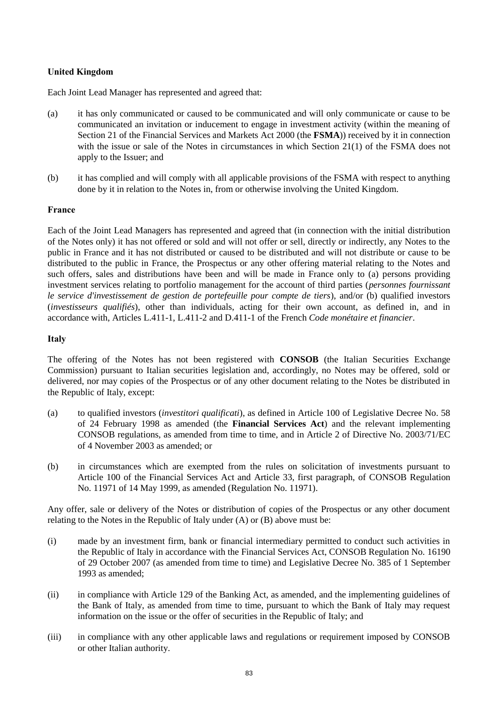# **United Kingdom**

Each Joint Lead Manager has represented and agreed that:

- (a) it has only communicated or caused to be communicated and will only communicate or cause to be communicated an invitation or inducement to engage in investment activity (within the meaning of Section 21 of the Financial Services and Markets Act 2000 (the **FSMA**)) received by it in connection with the issue or sale of the Notes in circumstances in which Section 21(1) of the FSMA does not apply to the Issuer; and
- (b) it has complied and will comply with all applicable provisions of the FSMA with respect to anything done by it in relation to the Notes in, from or otherwise involving the United Kingdom.

# **France**

Each of the Joint Lead Managers has represented and agreed that (in connection with the initial distribution of the Notes only) it has not offered or sold and will not offer or sell, directly or indirectly, any Notes to the public in France and it has not distributed or caused to be distributed and will not distribute or cause to be distributed to the public in France, the Prospectus or any other offering material relating to the Notes and such offers, sales and distributions have been and will be made in France only to (a) persons providing investment services relating to portfolio management for the account of third parties (*personnes fournissant le service d'investissement de gestion de portefeuille pour compte de tiers*), and/or (b) qualified investors (*investisseurs qualifiés*), other than individuals, acting for their own account, as defined in, and in accordance with, Articles L.411-1, L.411-2 and D.411-1 of the French *Code monétaire et financier*.

# **Italy**

The offering of the Notes has not been registered with **CONSOB** (the Italian Securities Exchange Commission) pursuant to Italian securities legislation and, accordingly, no Notes may be offered, sold or delivered, nor may copies of the Prospectus or of any other document relating to the Notes be distributed in the Republic of Italy, except:

- (a) to qualified investors (*investitori qualificati*), as defined in Article 100 of Legislative Decree No. 58 of 24 February 1998 as amended (the **Financial Services Act**) and the relevant implementing CONSOB regulations, as amended from time to time, and in Article 2 of Directive No. 2003/71/EC of 4 November 2003 as amended; or
- (b) in circumstances which are exempted from the rules on solicitation of investments pursuant to Article 100 of the Financial Services Act and Article 33, first paragraph, of CONSOB Regulation No. 11971 of 14 May 1999, as amended (Regulation No. 11971).

Any offer, sale or delivery of the Notes or distribution of copies of the Prospectus or any other document relating to the Notes in the Republic of Italy under (A) or (B) above must be:

- (i) made by an investment firm, bank or financial intermediary permitted to conduct such activities in the Republic of Italy in accordance with the Financial Services Act, CONSOB Regulation No. 16190 of 29 October 2007 (as amended from time to time) and Legislative Decree No. 385 of 1 September 1993 as amended;
- (ii) in compliance with Article 129 of the Banking Act, as amended, and the implementing guidelines of the Bank of Italy, as amended from time to time, pursuant to which the Bank of Italy may request information on the issue or the offer of securities in the Republic of Italy; and
- (iii) in compliance with any other applicable laws and regulations or requirement imposed by CONSOB or other Italian authority.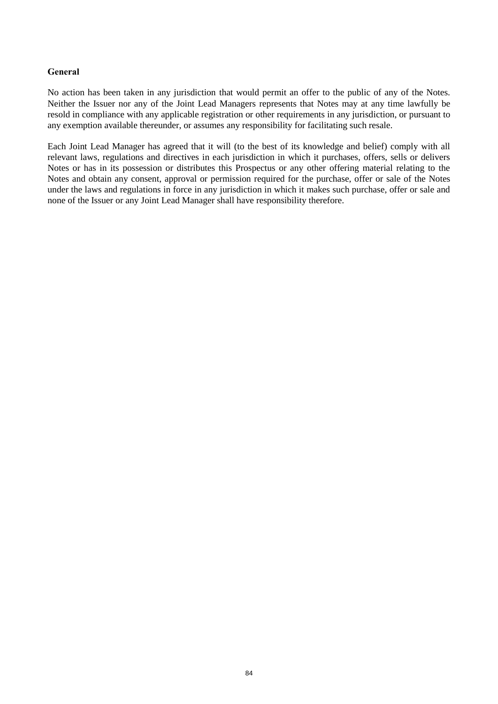# **General**

No action has been taken in any jurisdiction that would permit an offer to the public of any of the Notes. Neither the Issuer nor any of the Joint Lead Managers represents that Notes may at any time lawfully be resold in compliance with any applicable registration or other requirements in any jurisdiction, or pursuant to any exemption available thereunder, or assumes any responsibility for facilitating such resale.

Each Joint Lead Manager has agreed that it will (to the best of its knowledge and belief) comply with all relevant laws, regulations and directives in each jurisdiction in which it purchases, offers, sells or delivers Notes or has in its possession or distributes this Prospectus or any other offering material relating to the Notes and obtain any consent, approval or permission required for the purchase, offer or sale of the Notes under the laws and regulations in force in any jurisdiction in which it makes such purchase, offer or sale and none of the Issuer or any Joint Lead Manager shall have responsibility therefore.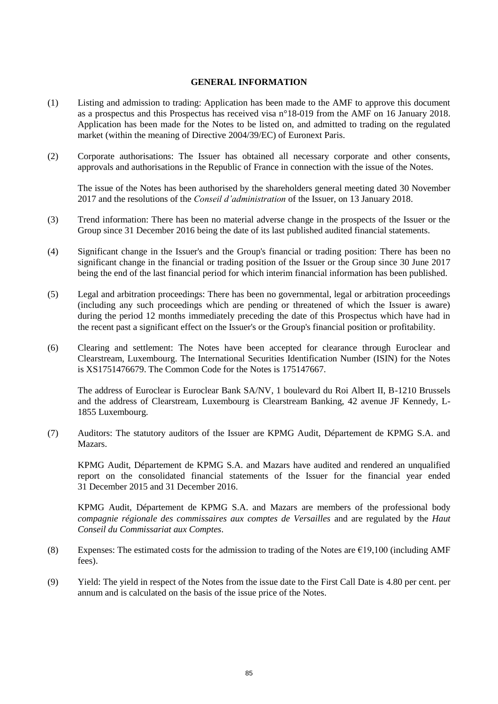#### **GENERAL INFORMATION**

- (1) Listing and admission to trading: Application has been made to the AMF to approve this document as a prospectus and this Prospectus has received visa n°18-019 from the AMF on 16 January 2018. Application has been made for the Notes to be listed on, and admitted to trading on the regulated market (within the meaning of Directive 2004/39/EC) of Euronext Paris.
- (2) Corporate authorisations: The Issuer has obtained all necessary corporate and other consents, approvals and authorisations in the Republic of France in connection with the issue of the Notes.

The issue of the Notes has been authorised by the shareholders general meeting dated 30 November 2017 and the resolutions of the *Conseil d'administration* of the Issuer, on 13 January 2018.

- (3) Trend information: There has been no material adverse change in the prospects of the Issuer or the Group since 31 December 2016 being the date of its last published audited financial statements.
- (4) Significant change in the Issuer's and the Group's financial or trading position: There has been no significant change in the financial or trading position of the Issuer or the Group since 30 June 2017 being the end of the last financial period for which interim financial information has been published.
- (5) Legal and arbitration proceedings: There has been no governmental, legal or arbitration proceedings (including any such proceedings which are pending or threatened of which the Issuer is aware) during the period 12 months immediately preceding the date of this Prospectus which have had in the recent past a significant effect on the Issuer's or the Group's financial position or profitability.
- (6) Clearing and settlement: The Notes have been accepted for clearance through Euroclear and Clearstream, Luxembourg. The International Securities Identification Number (ISIN) for the Notes is XS1751476679. The Common Code for the Notes is 175147667.

The address of Euroclear is Euroclear Bank SA/NV, 1 boulevard du Roi Albert II, B-1210 Brussels and the address of Clearstream, Luxembourg is Clearstream Banking, 42 avenue JF Kennedy, L-1855 Luxembourg.

(7) Auditors: The statutory auditors of the Issuer are KPMG Audit, Département de KPMG S.A. and Mazars.

KPMG Audit, Département de KPMG S.A. and Mazars have audited and rendered an unqualified report on the consolidated financial statements of the Issuer for the financial year ended 31 December 2015 and 31 December 2016.

KPMG Audit, Département de KPMG S.A. and Mazars are members of the professional body *compagnie régionale des commissaires aux comptes de Versailles* and are regulated by the *Haut Conseil du Commissariat aux Comptes*.

- (8) Expenses: The estimated costs for the admission to trading of the Notes are  $E19,100$  (including AMF fees).
- (9) Yield: The yield in respect of the Notes from the issue date to the First Call Date is 4.80 per cent. per annum and is calculated on the basis of the issue price of the Notes.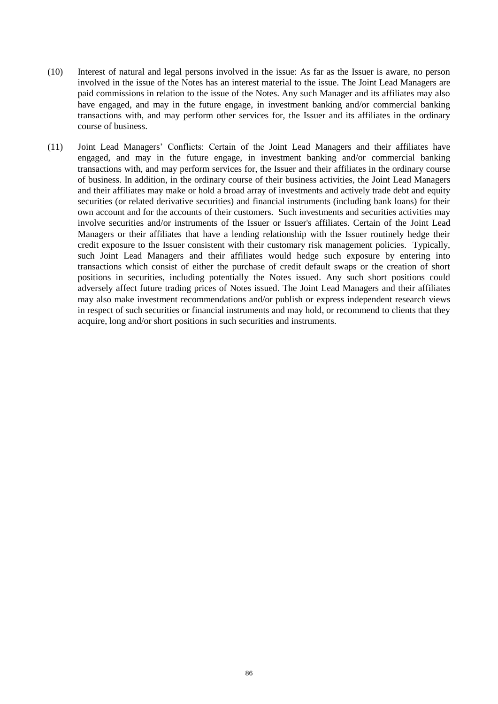- (10) Interest of natural and legal persons involved in the issue: As far as the Issuer is aware, no person involved in the issue of the Notes has an interest material to the issue. The Joint Lead Managers are paid commissions in relation to the issue of the Notes. Any such Manager and its affiliates may also have engaged, and may in the future engage, in investment banking and/or commercial banking transactions with, and may perform other services for, the Issuer and its affiliates in the ordinary course of business.
- (11) Joint Lead Managers' Conflicts: Certain of the Joint Lead Managers and their affiliates have engaged, and may in the future engage, in investment banking and/or commercial banking transactions with, and may perform services for, the Issuer and their affiliates in the ordinary course of business. In addition, in the ordinary course of their business activities, the Joint Lead Managers and their affiliates may make or hold a broad array of investments and actively trade debt and equity securities (or related derivative securities) and financial instruments (including bank loans) for their own account and for the accounts of their customers. Such investments and securities activities may involve securities and/or instruments of the Issuer or Issuer's affiliates. Certain of the Joint Lead Managers or their affiliates that have a lending relationship with the Issuer routinely hedge their credit exposure to the Issuer consistent with their customary risk management policies. Typically, such Joint Lead Managers and their affiliates would hedge such exposure by entering into transactions which consist of either the purchase of credit default swaps or the creation of short positions in securities, including potentially the Notes issued. Any such short positions could adversely affect future trading prices of Notes issued. The Joint Lead Managers and their affiliates may also make investment recommendations and/or publish or express independent research views in respect of such securities or financial instruments and may hold, or recommend to clients that they acquire, long and/or short positions in such securities and instruments.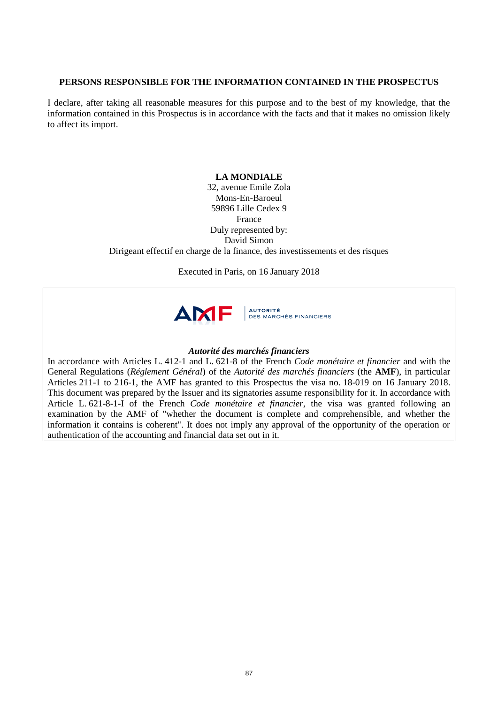# **PERSONS RESPONSIBLE FOR THE INFORMATION CONTAINED IN THE PROSPECTUS**

I declare, after taking all reasonable measures for this purpose and to the best of my knowledge, that the information contained in this Prospectus is in accordance with the facts and that it makes no omission likely to affect its import.

# **LA MONDIALE**

32, avenue Emile Zola Mons-En-Baroeul 59896 Lille Cedex 9 France Duly represented by: David Simon Dirigeant effectif en charge de la finance, des investissements et des risques

Executed in Paris, on 16 January 2018



# *Autorité des marchés financiers*

In accordance with Articles L. 412-1 and L. 621-8 of the French *Code monétaire et financier* and with the General Regulations (*Réglement Général*) of the *Autorité des marchés financiers* (the **AMF**), in particular Articles 211-1 to 216-1, the AMF has granted to this Prospectus the visa no. 18-019 on 16 January 2018. This document was prepared by the Issuer and its signatories assume responsibility for it. In accordance with Article L. 621-8-1-I of the French *Code monétaire et financier*, the visa was granted following an examination by the AMF of "whether the document is complete and comprehensible, and whether the information it contains is coherent". It does not imply any approval of the opportunity of the operation or authentication of the accounting and financial data set out in it.